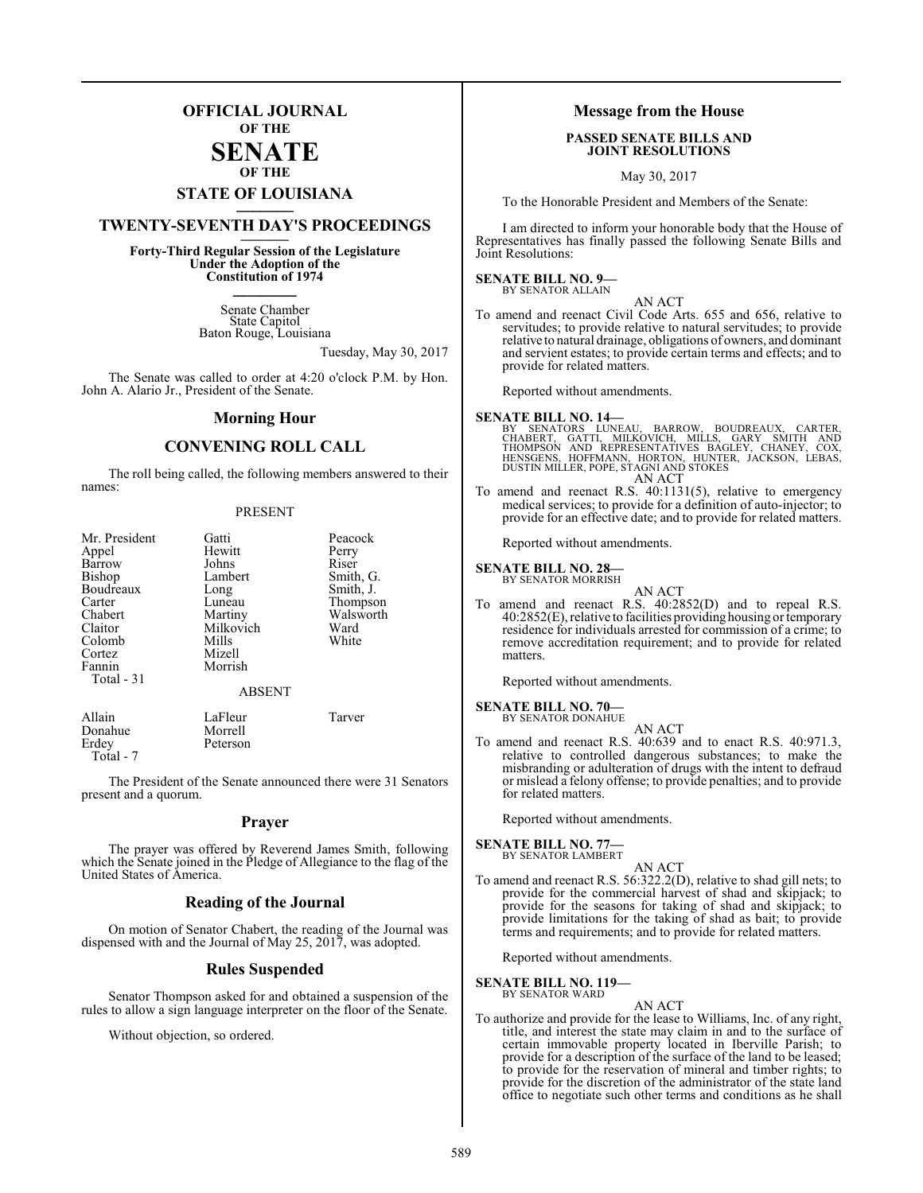### **OFFICIAL JOURNAL OF THE**

#### **SENATE OF THE**

## **STATE OF LOUISIANA \_\_\_\_\_\_\_**

### **TWENTY-SEVENTH DAY'S PROCEEDINGS \_\_\_\_\_\_\_**

**Forty-Third Regular Session of the Legislature Under the Adoption of the Constitution of 1974 \_\_\_\_\_\_\_**

> Senate Chamber State Capitol Baton Rouge, Louisiana

> > Tuesday, May 30, 2017

The Senate was called to order at 4:20 o'clock P.M. by Hon. John A. Alario Jr., President of the Senate.

#### **Morning Hour**

### **CONVENING ROLL CALL**

The roll being called, the following members answered to their names:

#### PRESENT

| Mr. President<br>Appel<br>Barrow<br><b>Bishop</b><br>Boudreaux<br>Carter<br>Chabert<br>Claitor<br>Colomb<br>Cortez<br>Fannin<br>Total - 31 | Gatti<br>Hewitt<br>Johns<br>Lambert<br>Long<br>Luneau<br>Martiny<br>Milkovich<br>Mills<br>Mizell<br>Morrish | Peacock<br>Perry<br>Riser<br>Smith, G.<br>Smith, J.<br>Thompson<br>Walsworth<br>Ward<br>White |
|--------------------------------------------------------------------------------------------------------------------------------------------|-------------------------------------------------------------------------------------------------------------|-----------------------------------------------------------------------------------------------|
|                                                                                                                                            | <b>ABSENT</b>                                                                                               |                                                                                               |
| Allain<br>Donahue<br>Erdey                                                                                                                 | LaFleur<br>Morrell<br>Peterson                                                                              | Tarver                                                                                        |

Total - 7

The President of the Senate announced there were 31 Senators present and a quorum.

#### **Prayer**

The prayer was offered by Reverend James Smith, following which the Senate joined in the Pledge of Allegiance to the flag of the United States of America.

#### **Reading of the Journal**

On motion of Senator Chabert, the reading of the Journal was dispensed with and the Journal of May 25, 2017, was adopted.

#### **Rules Suspended**

Senator Thompson asked for and obtained a suspension of the rules to allow a sign language interpreter on the floor of the Senate.

Without objection, so ordered.

#### **Message from the House**

#### **PASSED SENATE BILLS AND JOINT RESOLUTIONS**

May 30, 2017

To the Honorable President and Members of the Senate:

I am directed to inform your honorable body that the House of Representatives has finally passed the following Senate Bills and Joint Resolutions:

### **SENATE BILL NO. 9—** BY SENATOR ALLAIN

AN ACT

To amend and reenact Civil Code Arts. 655 and 656, relative to servitudes; to provide relative to natural servitudes; to provide relative to natural drainage, obligations of owners, and dominant and servient estates; to provide certain terms and effects; and to provide for related matters.

Reported without amendments.

#### **SENATE BILL NO. 14—**

- BY SENATORS LUNEAU, BARROW, BOUDREAUX, CARTER,<br>CHABERT, GATTI, MILKOVICH, MILLS, GARY SMITH AND<br>THOMPSON AND REPRESENTATIVES BAGLEY, CHANEY, COX,<br>HENSGENS, HOFFMANN, HORTON, HUNTER, JACKSON, LEBAS,<br>DUSTIN-MILLER, POPE, STA AN ACT
- To amend and reenact R.S. 40:1131(5), relative to emergency medical services; to provide for a definition of auto-injector; to provide for an effective date; and to provide for related matters.

Reported without amendments.

#### **SENATE BILL NO. 28—**

BY SENATOR MORRISH AN ACT

To amend and reenact R.S. 40:2852(D) and to repeal R.S. 40:2852(E), relative to facilities providinghousing or temporary residence for individuals arrested for commission of a crime; to remove accreditation requirement; and to provide for related matters.

Reported without amendments.

#### **SENATE BILL NO. 70—**

- BY SENATOR DONAHUE
- AN ACT To amend and reenact R.S. 40:639 and to enact R.S. 40:971.3, relative to controlled dangerous substances; to make the misbranding or adulteration of drugs with the intent to defraud or mislead a felony offense; to provide penalties; and to provide for related matters.

Reported without amendments.

### **SENATE BILL NO. 77—**<br>BY SENATOR LAMBERT

AN ACT

To amend and reenact R.S. 56:322.2(D), relative to shad gill nets; to provide for the commercial harvest of shad and skipjack; to provide for the seasons for taking of shad and skipjack; to provide limitations for the taking of shad as bait; to provide terms and requirements; and to provide for related matters.

Reported without amendments.

#### **SENATE BILL NO. 119—** BY SENATOR WARD

AN ACT

To authorize and provide for the lease to Williams, Inc. of any right, title, and interest the state may claim in and to the surface of certain immovable property located in Iberville Parish; to provide for a description of the surface of the land to be leased; to provide for the reservation of mineral and timber rights; to provide for the discretion of the administrator of the state land office to negotiate such other terms and conditions as he shall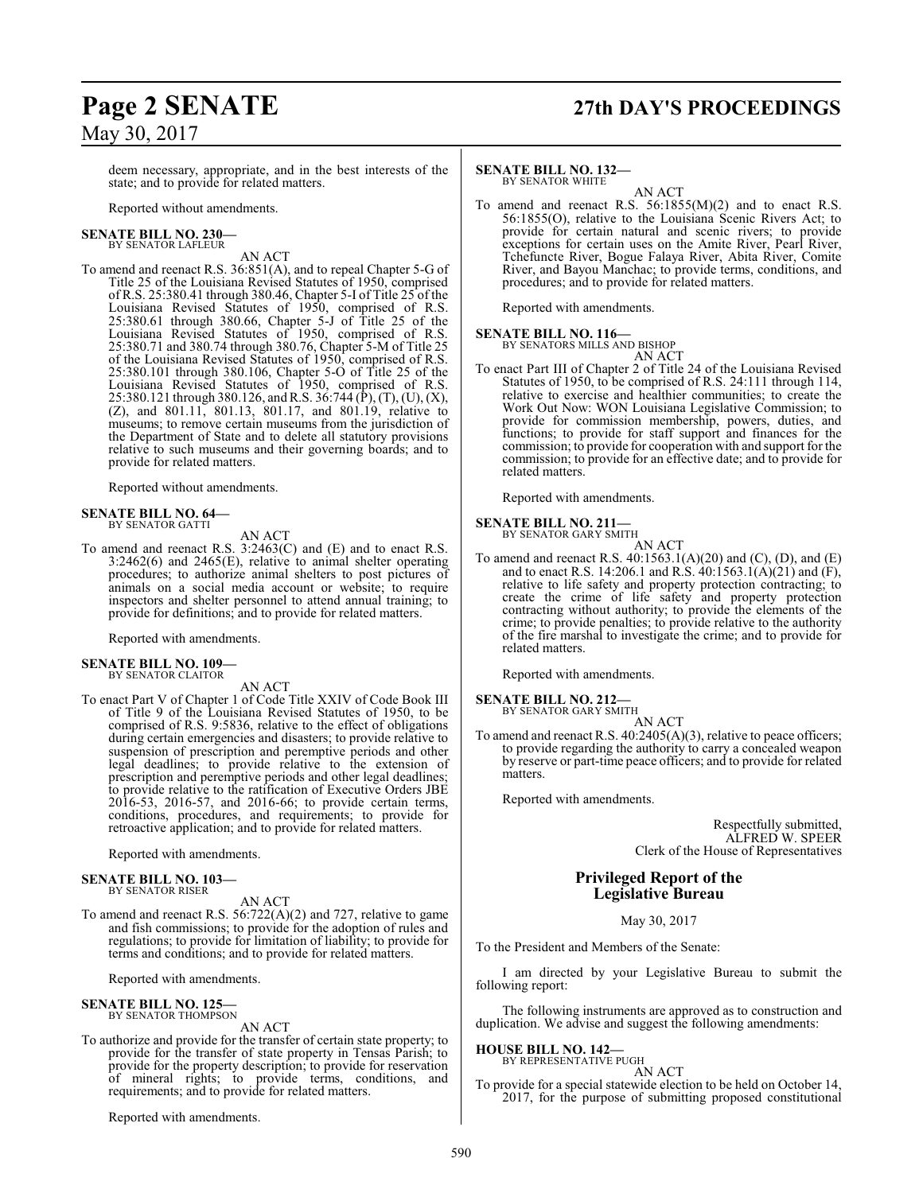## **Page 2 SENATE 27th DAY'S PROCEEDINGS**

deem necessary, appropriate, and in the best interests of the state; and to provide for related matters.

Reported without amendments.

#### **SENATE BILL NO. 230—** BY SENATOR LAFLEUR

#### AN ACT

To amend and reenact R.S. 36:851(A), and to repeal Chapter 5-G of Title 25 of the Louisiana Revised Statutes of 1950, comprised of R.S. 25:380.41 through 380.46, Chapter 5-I of Title 25 of the Louisiana Revised Statutes of 1950, comprised of R.S. 25:380.61 through 380.66, Chapter 5-J of Title 25 of the Louisiana Revised Statutes of 1950, comprised of R.S. 25:380.71 and 380.74 through 380.76, Chapter 5-M of Title 25 of the Louisiana Revised Statutes of 1950, comprised of R.S. 25:380.101 through 380.106, Chapter 5-O of Title 25 of the Louisiana Revised Statutes of 1950, comprised of R.S. 25:380.121 through 380.126, and R.S. 36:744 (P), (T), (U), (X), (Z), and 801.11, 801.13, 801.17, and 801.19, relative to museums; to remove certain museums from the jurisdiction of the Department of State and to delete all statutory provisions relative to such museums and their governing boards; and to provide for related matters.

Reported without amendments.

#### **SENATE BILL NO. 64—** BY SENATOR GATTI

AN ACT

To amend and reenact R.S. 3:2463(C) and (E) and to enact R.S. 3:2462(6) and 2465(E), relative to animal shelter operating procedures; to authorize animal shelters to post pictures of animals on a social media account or website; to require inspectors and shelter personnel to attend annual training; to provide for definitions; and to provide for related matters.

Reported with amendments.

#### **SENATE BILL NO. 109—** BY SENATOR CLAITOR

AN ACT

To enact Part V of Chapter 1 of Code Title XXIV of Code Book III of Title 9 of the Louisiana Revised Statutes of 1950, to be comprised of R.S. 9:5836, relative to the effect of obligations during certain emergencies and disasters; to provide relative to suspension of prescription and peremptive periods and other legal deadlines; to provide relative to the extension of prescription and peremptive periods and other legal deadlines; to provide relative to the ratification of Executive Orders JBE 2016-53, 2016-57, and 2016-66; to provide certain terms, conditions, procedures, and requirements; to provide for retroactive application; and to provide for related matters.

Reported with amendments.

#### **SENATE BILL NO. 103—** BY SENATOR RISER

#### AN ACT

To amend and reenact R.S. 56:722(A)(2) and 727, relative to game and fish commissions; to provide for the adoption of rules and regulations; to provide for limitation of liability; to provide for terms and conditions; and to provide for related matters.

Reported with amendments.

### **SENATE BILL NO. 125—** BY SENATOR THOMPSON

AN ACT

To authorize and provide for the transfer of certain state property; to provide for the transfer of state property in Tensas Parish; to provide for the property description; to provide for reservation of mineral rights; to provide terms, conditions, and requirements; and to provide for related matters.

Reported with amendments.

#### **SENATE BILL NO. 132—**

BY SENATOR WHITE AN ACT

To amend and reenact R.S. 56:1855(M)(2) and to enact R.S. 56:1855(O), relative to the Louisiana Scenic Rivers Act; to provide for certain natural and scenic rivers; to provide exceptions for certain uses on the Amite River, Pearl River, Tchefuncte River, Bogue Falaya River, Abita River, Comite River, and Bayou Manchac; to provide terms, conditions, and procedures; and to provide for related matters.

Reported with amendments.

#### **SENATE BILL NO. 116—**

BY SENATORS MILLS AND BISHOP



To enact Part III of Chapter 2 of Title 24 of the Louisiana Revised Statutes of 1950, to be comprised of R.S. 24:111 through 114, relative to exercise and healthier communities; to create the Work Out Now: WON Louisiana Legislative Commission; to provide for commission membership, powers, duties, and functions; to provide for staff support and finances for the commission; to provide for cooperation with and support for the commission; to provide for an effective date; and to provide for related matters.

Reported with amendments.

#### **SENATE BILL NO. 211—** BY SENATOR GARY SMITH

AN ACT

To amend and reenact R.S. 40:1563.1(A)(20) and (C), (D), and (E) and to enact R.S. 14:206.1 and R.S.  $40:1563.1(A)(21)$  and  $(F)$ , relative to life safety and property protection contracting; to create the crime of life safety and property protection contracting without authority; to provide the elements of the crime; to provide penalties; to provide relative to the authority of the fire marshal to investigate the crime; and to provide for related matters.

Reported with amendments.

#### **SENATE BILL NO. 212—**

BY SENATOR GARY SMITH

AN ACT To amend and reenact R.S. 40:2405(A)(3), relative to peace officers; to provide regarding the authority to carry a concealed weapon by reserve or part-time peace officers; and to provide for related matters.

Reported with amendments.

Respectfully submitted, ALFRED W. SPEER Clerk of the House of Representatives

#### **Privileged Report of the Legislative Bureau**

May 30, 2017

To the President and Members of the Senate:

I am directed by your Legislative Bureau to submit the following report:

The following instruments are approved as to construction and duplication. We advise and suggest the following amendments:

#### **HOUSE BILL NO. 142—** BY REPRESENTATIVE PUGH

AN ACT

To provide for a special statewide election to be held on October 14, 2017, for the purpose of submitting proposed constitutional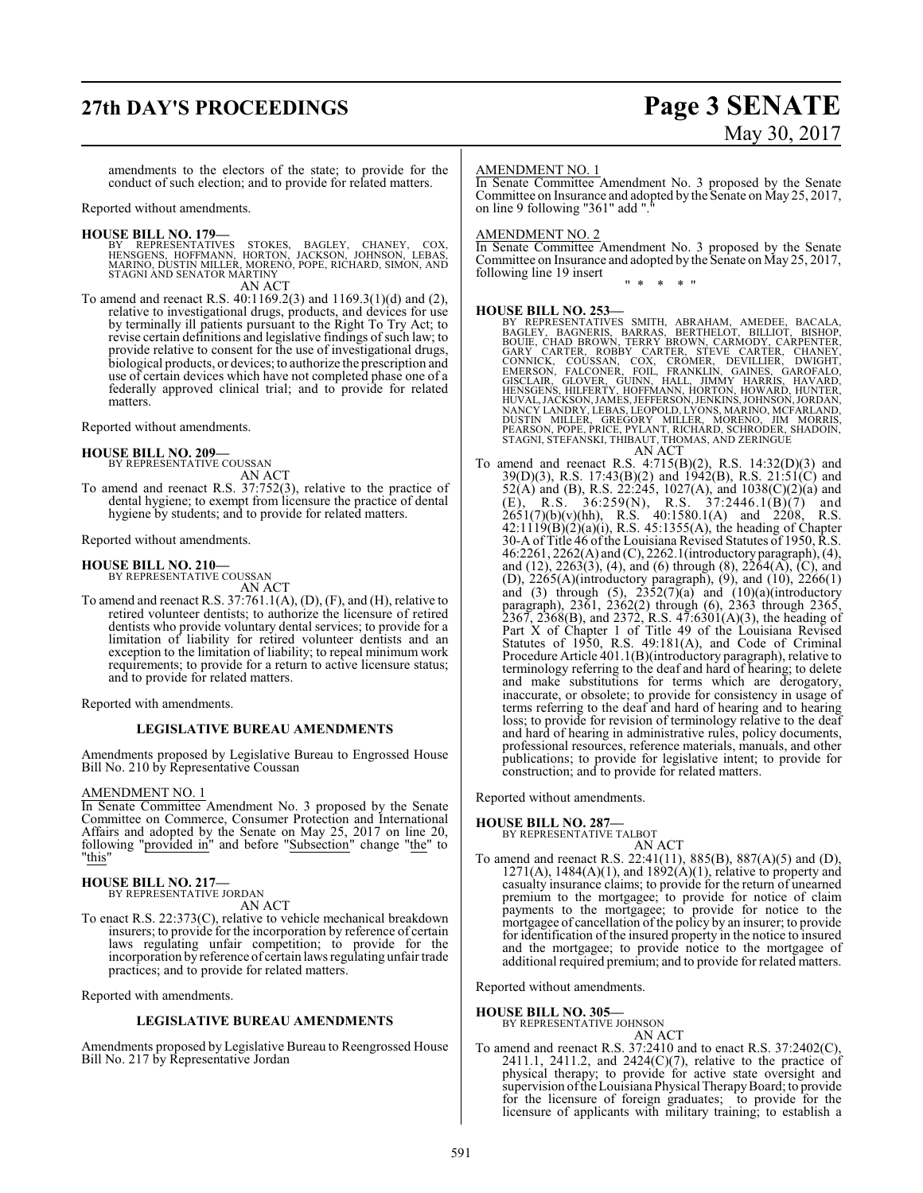## **27th DAY'S PROCEEDINGS Page 3 SENATE**

# May 30, 2017

amendments to the electors of the state; to provide for the conduct of such election; and to provide for related matters.

Reported without amendments.

#### **HOUSE BILL NO. 179—**

BY REPRESENTATIVES STOKES, BAGLEY, CHANEY, COX,<br>HENSGENS, HOFFMANN, HORTON, JACKSON, JOHNSON, LEBAS,<br>MARINO, DUSTIN MILLER, MORENO, POPE, RICHARD, SIMON, AND<br>STAGNI AND SENATOR MARTINY AN ACT

To amend and reenact R.S. 40:1169.2(3) and 1169.3(1)(d) and (2), relative to investigational drugs, products, and devices for use by terminally ill patients pursuant to the Right To Try Act; to revise certain definitions and legislative findings of such law; to provide relative to consent for the use of investigational drugs, biological products, or devices; to authorize the prescription and use of certain devices which have not completed phase one of a federally approved clinical trial; and to provide for related matters.

Reported without amendments.

#### **HOUSE BILL NO. 209—**

BY REPRESENTATIVE COUSSAN AN ACT

To amend and reenact R.S. 37:752(3), relative to the practice of dental hygiene; to exempt from licensure the practice of dental hygiene by students; and to provide for related matters.

Reported without amendments.

#### **HOUSE BILL NO. 210—**

BY REPRESENTATIVE COUSSAN AN ACT

To amend and reenact R.S. 37:761.1(A), (D), (F), and (H), relative to retired volunteer dentists; to authorize the licensure of retired dentists who provide voluntary dental services; to provide for a limitation of liability for retired volunteer dentists and an exception to the limitation of liability; to repeal minimum work requirements; to provide for a return to active licensure status; and to provide for related matters.

Reported with amendments.

### **LEGISLATIVE BUREAU AMENDMENTS**

Amendments proposed by Legislative Bureau to Engrossed House Bill No. 210 by Representative Coussan

#### AMENDMENT NO. 1

In Senate Committee Amendment No. 3 proposed by the Senate Committee on Commerce, Consumer Protection and International Affairs and adopted by the Senate on May 25, 2017 on line 20, following "provided in" and before "Subsection" change "the" to "this"

## **HOUSE BILL NO. 217—** BY REPRESENTATIVE JORDAN

AN ACT

To enact R.S. 22:373(C), relative to vehicle mechanical breakdown insurers; to provide for the incorporation by reference of certain laws regulating unfair competition; to provide for the incorporation by reference of certain laws regulating unfair trade practices; and to provide for related matters.

Reported with amendments.

#### **LEGISLATIVE BUREAU AMENDMENTS**

Amendments proposed by Legislative Bureau to Reengrossed House Bill No. 217 by Representative Jordan

#### AMENDMENT NO. 1

In Senate Committee Amendment No. 3 proposed by the Senate Committee on Insurance and adopted by the Senate on May 25, 2017, on line 9 following "361" add "

#### AMENDMENT NO. 2

In Senate Committee Amendment No. 3 proposed by the Senate Committee on Insurance and adopted by the Senate on May 25, 2017, following line 19 insert " \* \* \* "

- HOUSE BILL NO. 253—<br>
BY REPRESENTATIVES SMITH, ABRAHAM, AMEDEE, BACALA,<br>
BAGLEY, BAGNERIS, BARRAS, BERTHELOT, BILLIOT, BISHOP,<br>
BOUIE, CHAD BROWN, TERRY BROWN, CARMODY, CARPENTER,<br>
GARY CARTER, ROBBY CARTER, STEVE CARTER,
- To amend and reenact R.S. 4:715(B)(2), R.S. 14:32(D)(3) and 39(D)(3), R.S. 17:43(B)(2) and 1942(B), R.S. 21:51(C) and 52(A) and (B), R.S. 22:245, 1027(A), and 1038(C)(2)(a) and (E), R.S. 36:259(N), R.S. 37:2446.1(B)(7) and  $2651(7)(b)(v)(hh)$ , R.S.  $40:1580.1(A)$  and  $2208$ , R.S. 42:1119(B)(2)(a)(i), R.S. 45:1355(A), the heading of Chapter 30-A of Title 46 ofthe Louisiana Revised Statutes of 1950, R.S. 46:2261, 2262(A) and (C), 2262.1(introductory paragraph), (4), and (12), 2263(3), (4), and (6) through (8),  $22\overline{6}4(A)$ , (C), and (D), 2265(A)(introductory paragraph), (9), and (10), 2266(1) and (3) through (5),  $2352(7)(a)$  and  $(10)(a)$ (introductory paragraph), 2361, 2362(2) through (6), 2363 through 2365, 2367, 2368(B), and 2372, R.S. 47:6301(A)(3), the heading of Part X of Chapter 1 of Title 49 of the Louisiana Revised Statutes of 1950, R.S. 49:181(A), and Code of Criminal Procedure Article 401.1(B)(introductory paragraph), relative to terminology referring to the deaf and hard of hearing; to delete and make substitutions for terms which are derogatory, inaccurate, or obsolete; to provide for consistency in usage of terms referring to the deaf and hard of hearing and to hearing loss; to provide for revision of terminology relative to the deaf and hard of hearing in administrative rules, policy documents, professional resources, reference materials, manuals, and other publications; to provide for legislative intent; to provide for construction; and to provide for related matters.

Reported without amendments.

#### **HOUSE BILL NO. 287—**

- BY REPRESENTATIVE TALBOT AN ACT
- To amend and reenact R.S. 22:41(11), 885(B), 887(A)(5) and (D),  $1271(A)$ ,  $1484(A)(1)$ , and  $1892(A)(1)$ , relative to property and casualty insurance claims; to provide for the return of unearned premium to the mortgagee; to provide for notice of claim payments to the mortgagee; to provide for notice to the mortgagee of cancellation of the policy by an insurer; to provide for identification of the insured property in the notice to insured and the mortgagee; to provide notice to the mortgagee of additional required premium; and to provide for related matters.

Reported without amendments.

#### **HOUSE BILL NO. 305—**

BY REPRESENTATIVE JOHNSON AN ACT

To amend and reenact R.S. 37:2410 and to enact R.S. 37:2402(C), 2411.1, 2411.2, and  $2424(C)(7)$ , relative to the practice of physical therapy; to provide for active state oversight and supervision of the Louisiana Physical Therapy Board; to provide for the licensure of foreign graduates; to provide for the licensure of applicants with military training; to establish a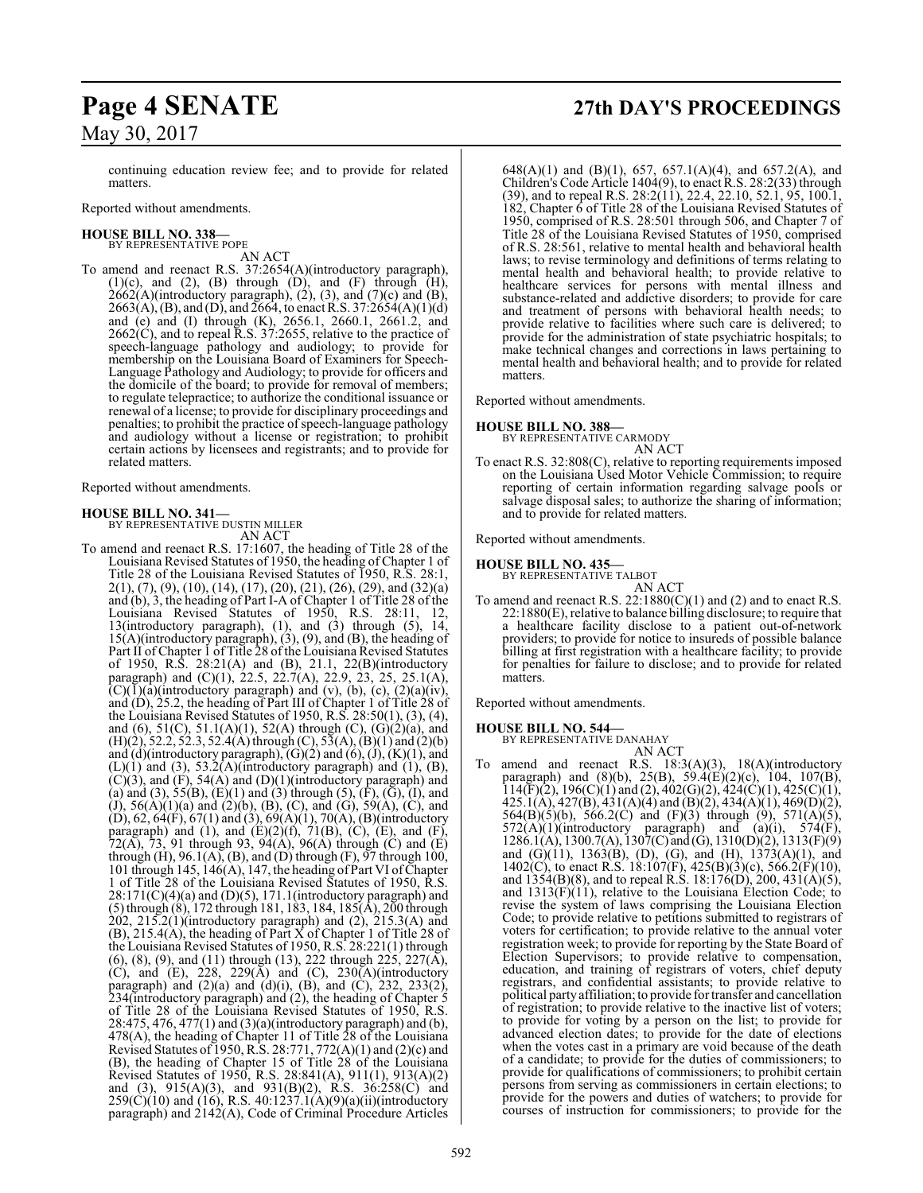continuing education review fee; and to provide for related matters.

Reported without amendments.

#### **HOUSE BILL NO. 338—** BY REPRESENTATIVE POPE

AN ACT

To amend and reenact R.S. 37:2654(A)(introductory paragraph),  $(1)(c)$ , and  $(2)$ ,  $(B)$  through  $(D)$ , and  $(F)$  through  $(H)$ ,  $2662(A)$ (introductory paragraph), (2), (3), and (7)(c) and (B),  $2663(A)$ , (B), and (D), and  $2664$ , to enact R.S. 37:2654(A)(1)(d) and (e) and (I) through (K), 2656.1, 2660.1, 2661.2, and  $2662(\dot{C})$ , and to repeal R.S. 37:2655, relative to the practice of speech-language pathology and audiology; to provide for membership on the Louisiana Board of Examiners for Speech-Language Pathology and Audiology; to provide for officers and the domicile of the board; to provide for removal of members; to regulate telepractice; to authorize the conditional issuance or renewal of a license; to provide for disciplinary proceedings and penalties; to prohibit the practice of speech-language pathology and audiology without a license or registration; to prohibit certain actions by licensees and registrants; and to provide for related matters.

Reported without amendments.

#### **HOUSE BILL NO. 341—**

BY REPRESENTATIVE DUSTIN MILLER AN ACT

To amend and reenact R.S. 17:1607, the heading of Title 28 of the Louisiana Revised Statutes of 1950, the heading of Chapter 1 of Title 28 of the Louisiana Revised Statutes of 1950, R.S. 28:1, 2(1), (7), (9), (10), (14), (17), (20), (21), (26), (29), and (32)(a) and (b), 3, the heading of Part I-A of Chapter 1 of Title 28 of the Louisiana Revised Statutes of 1950, R.S. 28:11, 12, 13(introductory paragraph), (1), and (3) through (5), 14, 15(A)(introductory paragraph), (3), (9), and (B), the heading of Part II of Chapter 1 of Title 28 of the Louisiana Revised Statutes of 1950, R.S. 28:21(A) and (B), 21.1, 22(B)(introductory paragraph) and  $(C)(1)$ , 22.5, 22.7(A), 22.9, 23, 25, 25.1(A),  $(C)(1)(a)$ (introductory paragraph) and (v), (b), (c),  $(2)(a)(iv)$ , and (D), 25.2, the heading of Part III of Chapter 1 of Title 28 of the Louisiana Revised Statutes of 1950, R.S. 28:50(1), (3), (4), and (6),  $51(C)$ ,  $51.1(A)(1)$ ,  $52(A)$  through  $(C)$ ,  $(G)(2)(a)$ , and  $(H)(2)$ , 52.2, 52.3, 52.4(A) through (C), 53(A), (B)(1) and (2)(b) and  $(d)$ (introductory paragraph),  $(G)(2)$  and  $(6)$ ,  $(J)$ ,  $(K)(1)$ , and  $(L)(1)$  and  $(3)$ , 53.2(A)(introductory paragraph) and  $(1)$ ,  $(B)$ ,  $(C)(3)$ , and  $(F)$ , 54 $(A)$  and  $(D)(1)$ (introductory paragraph) and (a) and (3),  $55(B)$ ,  $(E)(1)$  and (3) through (5),  $(F)$ ,  $(\bar{G})$ ,  $(I)$ , and (J), 56(A)(1)(a) and (2)(b), (B), (C), and (G), 59(A), (C), and  $(D)$ , 62, 64(F), 67(1) and (3), 69(A)(1), 70(A), (B)(introductory paragraph) and (1), and  $(E)(2)(f)$ , 71 $(B)$ ,  $(C)$ ,  $(E)$ , and  $(F)$ , 72(A), 73, 91 through 93, 94(A), 96(A) through (C) and (E) through  $(H)$ , 96.1(A),  $(B)$ , and  $(D)$  through  $(F)$ , 97 through 100, 101 through 145, 146(A), 147, the heading of Part VI ofChapter 1 of Title 28 of the Louisiana Revised Statutes of 1950, R.S.  $28:171(C)(4)(a)$  and  $(D)(5)$ , 171.1(introductory paragraph) and (5) through (8), 172 through 181, 183, 184, 185(A), 200 through 202, 215.2(1)(introductory paragraph) and (2), 215.3(A) and (B), 215.4(A), the heading of Part X of Chapter 1 of Title 28 of the Louisiana Revised Statutes of 1950, R.S. 28:221(1) through  $(6)$ ,  $(8)$ ,  $(9)$ , and  $(11)$  through  $(13)$ , 222 through 225, 227 $(\overline{A})$ , (C), and (E),  $228$ ,  $229(A)$  and (C),  $230(A)$ (introductory paragraph) and  $(2)(a)$  and  $(d)(i)$ ,  $(B)$ , and  $(C)$ , 232, 233 $(2)$ , 234(introductory paragraph) and (2), the heading of Chapter 5 of Title 28 of the Louisiana Revised Statutes of 1950, R.S. 28:475, 476, 477(1) and (3)(a)(introductory paragraph) and (b), 478(A), the heading of Chapter 11 of Title 28 of the Louisiana Revised Statutes of 1950, R.S. 28:771, 772(A)(1) and (2)(c) and (B), the heading of Chapter 15 of Title 28 of the Louisiana Revised Statutes of 1950, R.S. 28:841(A), 911(1), 913(A)(2) and (3), 915(A)(3), and 931(B)(2), R.S. 36:258(C) and  $259(C)(10)$  and (16), R.S.  $40:1237.1(A)(9)(a)(ii)(introductory)$ paragraph) and 2142(A), Code of Criminal Procedure Articles

## **Page 4 SENATE 27th DAY'S PROCEEDINGS**

648(A)(1) and (B)(1), 657, 657.1(A)(4), and 657.2(A), and Children's Code Article 1404(9), to enact R.S. 28:2(33) through (39), and to repeal R.S. 28:2(11), 22.4, 22.10, 52.1, 95, 100.1, 182, Chapter 6 of Title 28 of the Louisiana Revised Statutes of 1950, comprised of R.S. 28:501 through 506, and Chapter 7 of Title 28 of the Louisiana Revised Statutes of 1950, comprised of R.S. 28:561, relative to mental health and behavioral health laws; to revise terminology and definitions of terms relating to mental health and behavioral health; to provide relative to healthcare services for persons with mental illness and substance-related and addictive disorders; to provide for care and treatment of persons with behavioral health needs; to provide relative to facilities where such care is delivered; to provide for the administration of state psychiatric hospitals; to make technical changes and corrections in laws pertaining to mental health and behavioral health; and to provide for related matters.

Reported without amendments.

### **HOUSE BILL NO. 388—** BY REPRESENTATIVE CARMODY

AN ACT

To enact R.S. 32:808(C), relative to reporting requirements imposed on the Louisiana Used Motor Vehicle Commission; to require reporting of certain information regarding salvage pools or salvage disposal sales; to authorize the sharing of information; and to provide for related matters.

Reported without amendments.

#### **HOUSE BILL NO. 435—**

BY REPRESENTATIVE TALBOT

AN ACT To amend and reenact R.S.  $22:1880(C)(1)$  and (2) and to enact R.S. 22:1880(E), relative to balance billing disclosure; to require that a healthcare facility disclose to a patient out-of-network providers; to provide for notice to insureds of possible balance billing at first registration with a healthcare facility; to provide for penalties for failure to disclose; and to provide for related matters.

Reported without amendments.

#### **HOUSE BILL NO. 544—**

BY REPRESENTATIVE DANAHAY

AN ACT To amend and reenact R.S. 18:3(A)(3), 18(A)(introductory paragraph) and  $(8)(b)$ ,  $25(B)$ ,  $59.4(E)(2)(c)$ , 104, 107 $(B)$ ,  $114(F)(2)$ ,  $196(C)(1)$  and  $(2)$ ,  $402(G)(2)$ ,  $424(C)(1)$ ,  $425(C)(1)$ , 425.1(A), 427(B), 431(A)(4) and (B)(2), 434(A)(1), 469(D)(2), 564(B)(5)(b), 566.2(C) and (F)(3) through (9), 571(A)(5),  $572(A)(1)(introductory paragraph)$  and  $(a)(i)$ ,  $574(F)$ , 1286.1(A), 1300.7(A), 1307(C) and (G), 1310(D)(2), 1313(F)(9) and (G)(11), 1363(B), (D), (G), and (H), 1373(A)(1), and 1402(C), to enact R.S. 18:107(F), 425(B)(3)(c), 566.2(F)(10), and  $1354(B)(8)$ , and to repeal R.S. 18:176(D), 200, 431(A)(5), and  $1313(F)(11)$ , relative to the Louisiana Election Code; to revise the system of laws comprising the Louisiana Election Code; to provide relative to petitions submitted to registrars of voters for certification; to provide relative to the annual voter registration week; to provide for reporting by the State Board of Election Supervisors; to provide relative to compensation, education, and training of registrars of voters, chief deputy registrars, and confidential assistants; to provide relative to political partyaffiliation;to provide for transfer and cancellation of registration; to provide relative to the inactive list of voters; to provide for voting by a person on the list; to provide for advanced election dates; to provide for the date of elections when the votes cast in a primary are void because of the death of a candidate; to provide for the duties of commissioners; to provide for qualifications of commissioners; to prohibit certain persons from serving as commissioners in certain elections; to provide for the powers and duties of watchers; to provide for courses of instruction for commissioners; to provide for the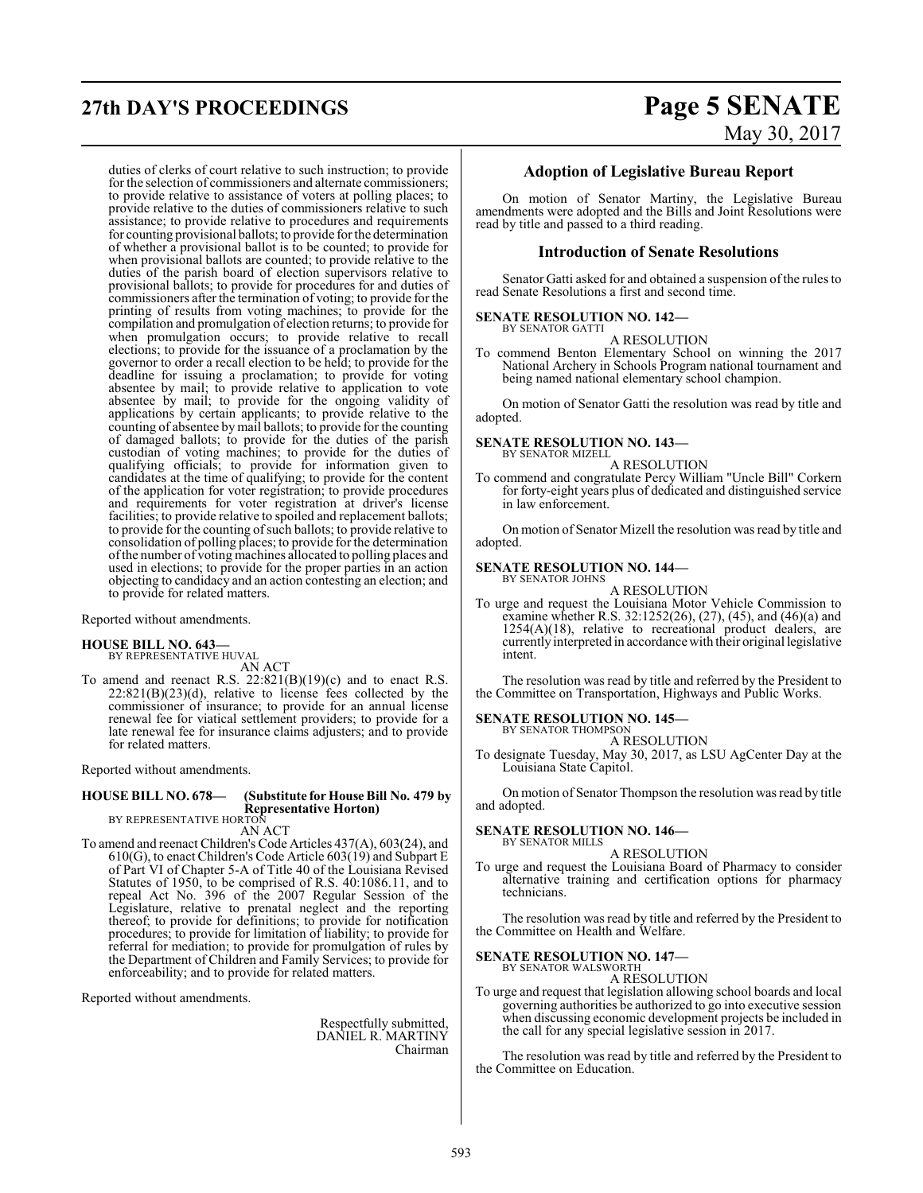## **27th DAY'S PROCEEDINGS Page 5 SENATE**

# May 30, 2017

duties of clerks of court relative to such instruction; to provide for the selection of commissioners and alternate commissioners; to provide relative to assistance of voters at polling places; to provide relative to the duties of commissioners relative to such assistance; to provide relative to procedures and requirements for counting provisional ballots; to provide for the determination of whether a provisional ballot is to be counted; to provide for when provisional ballots are counted; to provide relative to the duties of the parish board of election supervisors relative to provisional ballots; to provide for procedures for and duties of commissioners after the termination of voting; to provide for the printing of results from voting machines; to provide for the compilation and promulgation of election returns; to provide for when promulgation occurs; to provide relative to recall elections; to provide for the issuance of a proclamation by the governor to order a recall election to be held; to provide for the deadline for issuing a proclamation; to provide for voting absentee by mail; to provide relative to application to vote absentee by mail; to provide for the ongoing validity of applications by certain applicants; to provide relative to the counting of absentee by mail ballots; to provide for the counting of damaged ballots; to provide for the duties of the parish custodian of voting machines; to provide for the duties of qualifying officials; to provide for information given to candidates at the time of qualifying; to provide for the content of the application for voter registration; to provide procedures and requirements for voter registration at driver's license facilities; to provide relative to spoiled and replacement ballots; to provide for the counting ofsuch ballots; to provide relative to consolidation of polling places; to provide for the determination ofthe number of voting machines allocated to polling places and used in elections; to provide for the proper parties in an action objecting to candidacy and an action contesting an election; and to provide for related matters.

Reported without amendments.

## **HOUSE BILL NO. 643—** BY REPRESENTATIVE HUVAL

AN ACT

To amend and reenact R.S.  $22:821(B)(19)(c)$  and to enact R.S.  $22:821(B)(23)(d)$ , relative to license fees collected by the commissioner of insurance; to provide for an annual license renewal fee for viatical settlement providers; to provide for a late renewal fee for insurance claims adjusters; and to provide for related matters.

Reported without amendments.

### **HOUSE BILL NO. 678— (Substitute for House Bill No. 479 by Representative Horton)** BY REPRESENTATIVE HORTON

AN ACT

To amend and reenact Children's Code Articles 437(A), 603(24), and 610(G), to enact Children's Code Article 603(19) and Subpart E of Part VI of Chapter 5-A of Title 40 of the Louisiana Revised Statutes of 1950, to be comprised of R.S. 40:1086.11, and to repeal Act No. 396 of the 2007 Regular Session of the Legislature, relative to prenatal neglect and the reporting thereof; to provide for definitions; to provide for notification procedures; to provide for limitation of liability; to provide for referral for mediation; to provide for promulgation of rules by the Department of Children and Family Services; to provide for enforceability; and to provide for related matters.

Reported without amendments.

Respectfully submitted, DANIEL R. MARTINY Chairman

#### **Adoption of Legislative Bureau Report**

On motion of Senator Martiny, the Legislative Bureau amendments were adopted and the Bills and Joint Resolutions were read by title and passed to a third reading.

#### **Introduction of Senate Resolutions**

Senator Gatti asked for and obtained a suspension of the rules to read Senate Resolutions a first and second time.

#### **SENATE RESOLUTION NO. 142—** BY SENATOR GATTI

A RESOLUTION

To commend Benton Elementary School on winning the 2017 National Archery in Schools Program national tournament and being named national elementary school champion.

On motion of Senator Gatti the resolution was read by title and adopted.

### **SENATE RESOLUTION NO. 143—** BY SENATOR MIZELL

A RESOLUTION

To commend and congratulate Percy William "Uncle Bill" Corkern for forty-eight years plus of dedicated and distinguished service in law enforcement.

On motion of Senator Mizell the resolution was read by title and adopted.

#### **SENATE RESOLUTION NO. 144—** BY SENATOR JOHNS

A RESOLUTION

To urge and request the Louisiana Motor Vehicle Commission to examine whether R.S. 32:1252(26), (27), (45), and (46)(a) and 1254(A)(18), relative to recreational product dealers, are currently interpreted in accordance with their original legislative intent.

The resolution was read by title and referred by the President to the Committee on Transportation, Highways and Public Works.

## **SENATE RESOLUTION NO. 145—**<br>BY SENATOR THOMPSON

A RESOLUTION

To designate Tuesday, May 30, 2017, as LSU AgCenter Day at the Louisiana State Capitol.

On motion of Senator Thompson the resolution was read by title and adopted.

#### **SENATE RESOLUTION NO. 146—** BY SENATOR MILLS

A RESOLUTION

To urge and request the Louisiana Board of Pharmacy to consider alternative training and certification options for pharmacy technicians.

The resolution was read by title and referred by the President to the Committee on Health and Welfare.

### **SENATE RESOLUTION NO. 147—** BY SENATOR WALSWORTH

A RESOLUTION

To urge and request that legislation allowing school boards and local governing authorities be authorized to go into executive session when discussing economic development projects be included in the call for any special legislative session in 2017.

The resolution was read by title and referred by the President to the Committee on Education.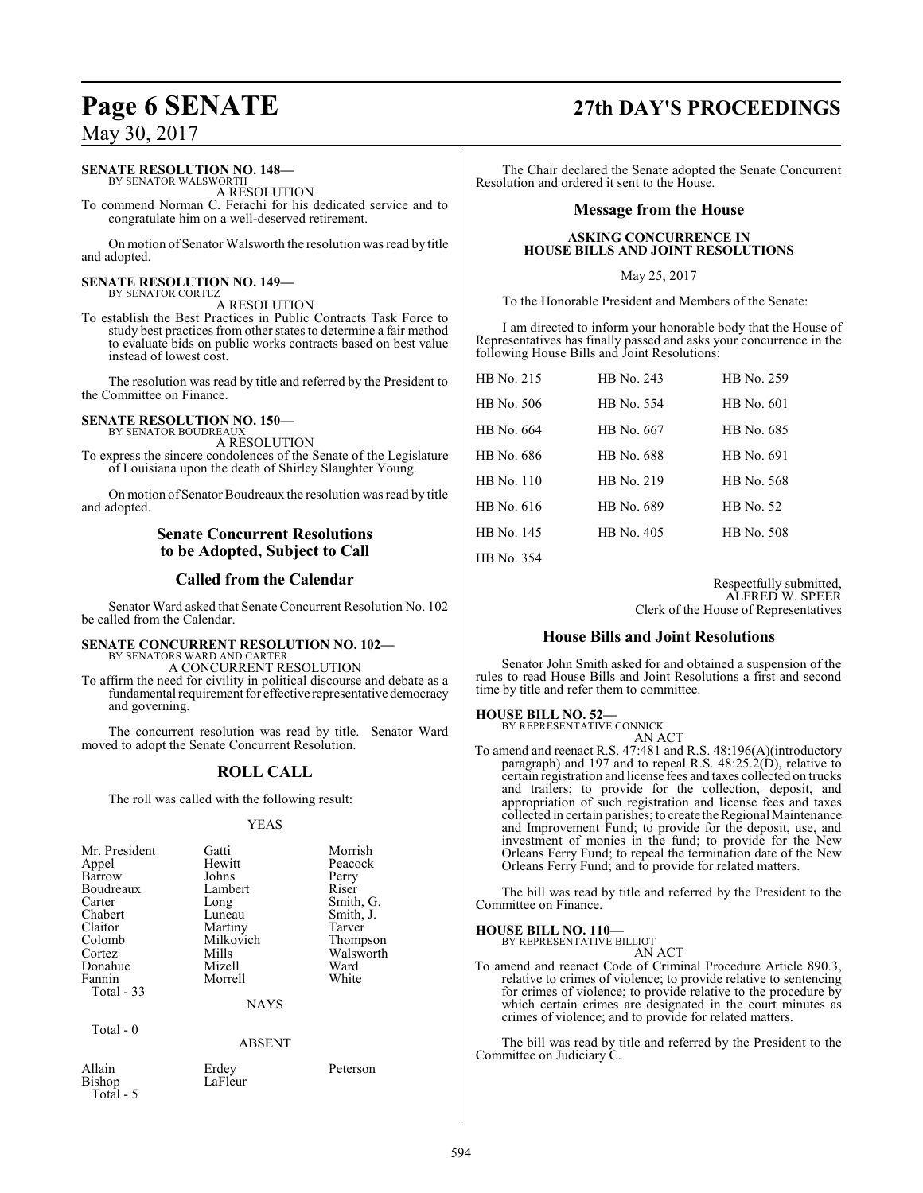#### **SENATE RESOLUTION NO. 148—**

BY SENATOR WALSWORTH A RESOLUTION

To commend Norman C. Ferachi for his dedicated service and to congratulate him on a well-deserved retirement.

On motion of Senator Walsworth the resolution was read by title and adopted.

#### **SENATE RESOLUTION NO. 149—** BY SENATOR CORTEZ

A RESOLUTION

To establish the Best Practices in Public Contracts Task Force to study best practices from other states to determine a fair method to evaluate bids on public works contracts based on best value instead of lowest cost.

The resolution was read by title and referred by the President to the Committee on Finance.

### **SENATE RESOLUTION NO. 150—**

BY SENATOR BOUDREAUX A RESOLUTION

To express the sincere condolences of the Senate of the Legislature of Louisiana upon the death of Shirley Slaughter Young.

On motion of Senator Boudreaux the resolution was read by title and adopted.

### **Senate Concurrent Resolutions to be Adopted, Subject to Call**

#### **Called from the Calendar**

Senator Ward asked that Senate Concurrent Resolution No. 102 be called from the Calendar.

## **SENATE CONCURRENT RESOLUTION NO. 102—** BY SENATORS WARD AND CARTER

A CONCURRENT RESOLUTION

To affirm the need for civility in political discourse and debate as a fundamental requirement for effective representative democracy and governing.

The concurrent resolution was read by title. Senator Ward moved to adopt the Senate Concurrent Resolution.

### **ROLL CALL**

The roll was called with the following result:

#### YEAS

| Mr. President<br>Appel<br>Barrow<br>Boudreaux<br>Carter<br>Chabert<br>Claitor<br>Colomb<br>Cortez<br>Donahue<br>Fannin | Gatti<br>Hewitt<br>Johns<br>Lambert<br>Long<br>Luneau<br>Martiny<br>Milkovich<br>Mills<br>Mizell<br>Morrell | Morrish<br>Peacock<br>Perry<br>Riser<br>Smith, G.<br>Smith, J.<br>Tarver<br>Thompson<br>Walsworth<br>Ward<br>White |
|------------------------------------------------------------------------------------------------------------------------|-------------------------------------------------------------------------------------------------------------|--------------------------------------------------------------------------------------------------------------------|
|                                                                                                                        |                                                                                                             |                                                                                                                    |
| Total - 33                                                                                                             | <b>NAYS</b>                                                                                                 |                                                                                                                    |

Total - 0

ABSENT

LaFleur

Allain Erdey Peterson Total - 5

## **Page 6 SENATE 27th DAY'S PROCEEDINGS**

The Chair declared the Senate adopted the Senate Concurrent Resolution and ordered it sent to the House.

#### **Message from the House**

#### **ASKING CONCURRENCE IN HOUSE BILLS AND JOINT RESOLUTIONS**

May 25, 2017

To the Honorable President and Members of the Senate:

I am directed to inform your honorable body that the House of Representatives has finally passed and asks your concurrence in the following House Bills and Joint Resolutions:

| HB No. 215 | HB No. 243 | HB No. 259 |
|------------|------------|------------|
| HB No. 506 | HB No. 554 | HB No. 601 |
| HB No. 664 | HB No. 667 | HB No. 685 |
| HB No. 686 | HB No. 688 | HB No. 691 |
| HB No. 110 | HB No. 219 | HB No. 568 |
| HB No. 616 | HB No. 689 | HB No. 52  |
| HB No. 145 | HB No. 405 | HB No. 508 |
| HB No. 354 |            |            |

### Respectfully submitted,

ALFRED W. SPEER

Clerk of the House of Representatives

### **House Bills and Joint Resolutions**

Senator John Smith asked for and obtained a suspension of the rules to read House Bills and Joint Resolutions a first and second time by title and refer them to committee.

#### **HOUSE BILL NO. 52—**

BY REPRESENTATIVE CONNICK AN ACT

To amend and reenact R.S. 47:481 and R.S. 48:196(A)(introductory paragraph) and 197 and to repeal R.S.  $48:25.2(D)$ , relative to certain registration and license fees and taxes collected on trucks and trailers; to provide for the collection, deposit, and appropriation of such registration and license fees and taxes collected in certain parishes; to create the Regional Maintenance and Improvement Fund; to provide for the deposit, use, and investment of monies in the fund; to provide for the New Orleans Ferry Fund; to repeal the termination date of the New Orleans Ferry Fund; and to provide for related matters.

The bill was read by title and referred by the President to the Committee on Finance.

#### **HOUSE BILL NO. 110—**

BY REPRESENTATIVE BILLIOT AN ACT

To amend and reenact Code of Criminal Procedure Article 890.3, relative to crimes of violence; to provide relative to sentencing for crimes of violence; to provide relative to the procedure by which certain crimes are designated in the court minutes as crimes of violence; and to provide for related matters.

The bill was read by title and referred by the President to the Committee on Judiciary C.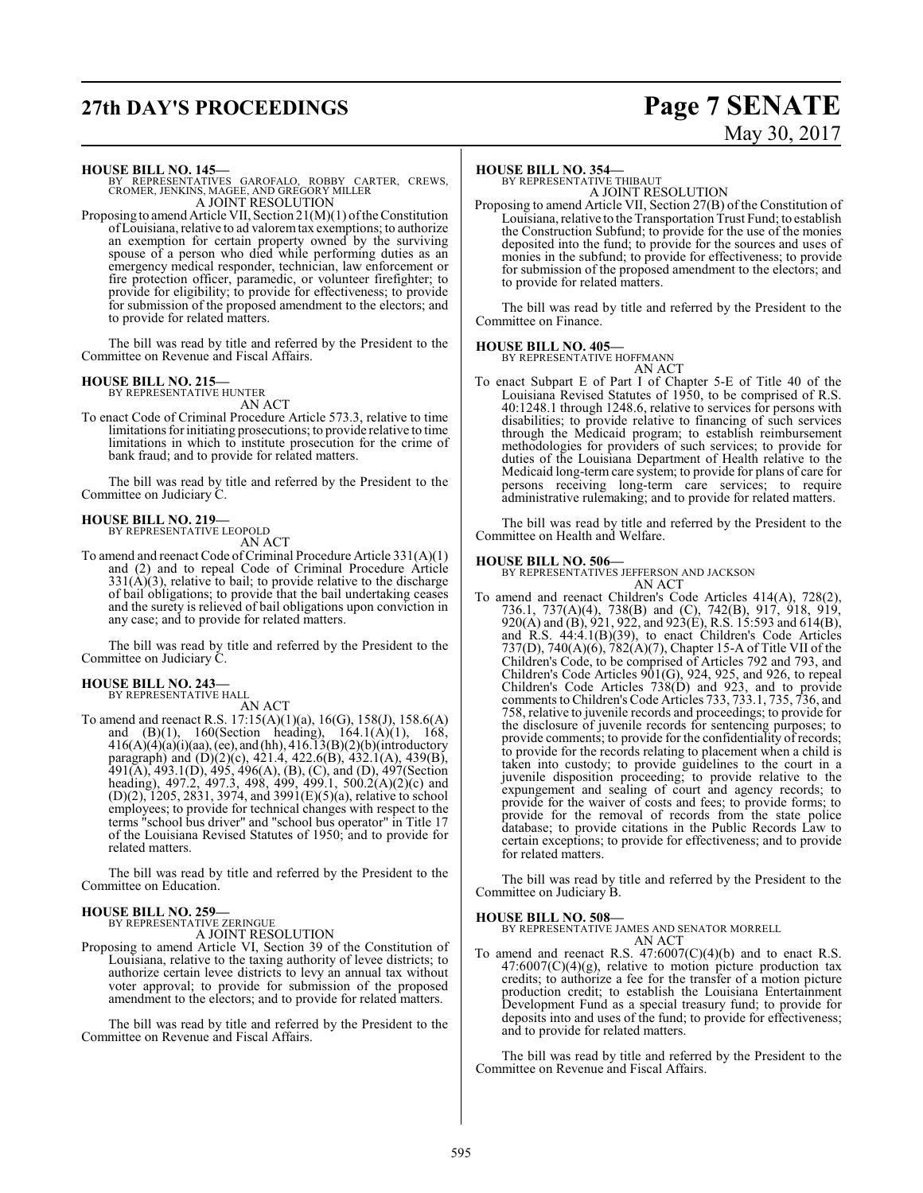## **27th DAY'S PROCEEDINGS Page 7 SENATE**

# May 30, 2017

#### **HOUSE BILL NO. 145—**

BY REPRESENTATIVES GAROFALO, ROBBY CARTER, CREWS, CROMER, JENKINS, MAGEE, AND GREGORY MILLER A JOINT RESOLUTION

Proposing to amend Article VII, Section 21(M)(1) ofthe Constitution ofLouisiana, relative to ad valoremtax exemptions; to authorize an exemption for certain property owned by the surviving spouse of a person who died while performing duties as an emergency medical responder, technician, law enforcement or fire protection officer, paramedic, or volunteer firefighter; to provide for eligibility; to provide for effectiveness; to provide for submission of the proposed amendment to the electors; and to provide for related matters.

The bill was read by title and referred by the President to the Committee on Revenue and Fiscal Affairs.

#### **HOUSE BILL NO. 215—**

BY REPRESENTATIVE HUNTER AN ACT

To enact Code of Criminal Procedure Article 573.3, relative to time limitations for initiating prosecutions; to provide relative to time limitations in which to institute prosecution for the crime of bank fraud; and to provide for related matters.

The bill was read by title and referred by the President to the Committee on Judiciary C.

#### **HOUSE BILL NO. 219—** BY REPRESENTATIVE LEOPOLD

AN ACT

To amend and reenact Code of Criminal Procedure Article 331(A)(1) and (2) and to repeal Code of Criminal Procedure Article  $331(\text{\AA})(3)$ , relative to bail; to provide relative to the discharge of bail obligations; to provide that the bail undertaking ceases and the surety is relieved of bail obligations upon conviction in any case; and to provide for related matters.

The bill was read by title and referred by the President to the Committee on Judiciary C.

#### **HOUSE BILL NO. 243—** BY REPRESENTATIVE HALL

AN ACT

To amend and reenact R.S. 17:15(A)(1)(a), 16(G), 158(J), 158.6(A) and (B)(1), 160(Section heading), 164.1(A)(1), 168, 416(A)(4)(a)(i)(aa),(ee), and (hh), 416.13(B)(2)(b)(introductory paragraph) and (D)(2)(c), 421.4, 422.6(B), 432.1(A), 439(B), 491(A), 493.1(D), 495, 496(A), (B), (C), and (D), 497(Section heading), 497.2, 497.3, 498, 499, 499.1, 500.2(A)(2)(c) and  $(D)(2), 1205, 2831, 3974, and 3991(E)(5)(a),$  relative to school employees; to provide for technical changes with respect to the terms "school bus driver" and "school bus operator" in Title 17 of the Louisiana Revised Statutes of 1950; and to provide for related matters.

The bill was read by title and referred by the President to the Committee on Education.

#### **HOUSE BILL NO. 259—** BY REPRESENTATIVE ZERINGUE

A JOINT RESOLUTION

Proposing to amend Article VI, Section 39 of the Constitution of Louisiana, relative to the taxing authority of levee districts; to authorize certain levee districts to levy an annual tax without voter approval; to provide for submission of the proposed amendment to the electors; and to provide for related matters.

The bill was read by title and referred by the President to the Committee on Revenue and Fiscal Affairs.

#### **HOUSE BILL NO. 354—**

BY REPRESENTATIVE THIBAUT A JOINT RESOLUTION

Proposing to amend Article VII, Section 27(B) of the Constitution of Louisiana, relative to the Transportation Trust Fund; to establish the Construction Subfund; to provide for the use of the monies deposited into the fund; to provide for the sources and uses of monies in the subfund; to provide for effectiveness; to provide for submission of the proposed amendment to the electors; and to provide for related matters.

The bill was read by title and referred by the President to the Committee on Finance.

#### **HOUSE BILL NO. 405—**

BY REPRESENTATIVE HOFFMANN

- AN ACT
- To enact Subpart E of Part I of Chapter 5-E of Title 40 of the Louisiana Revised Statutes of 1950, to be comprised of R.S. 40:1248.1 through 1248.6, relative to services for persons with disabilities; to provide relative to financing of such services through the Medicaid program; to establish reimbursement methodologies for providers of such services; to provide for duties of the Louisiana Department of Health relative to the Medicaid long-term care system; to provide for plans of care for persons receiving long-term care services; to require administrative rulemaking; and to provide for related matters.

The bill was read by title and referred by the President to the Committee on Health and Welfare.

#### **HOUSE BILL NO. 506—**

BY REPRESENTATIVES JEFFERSON AND JACKSON AN ACT

To amend and reenact Children's Code Articles 414(A), 728(2), 736.1, 737(A)(4), 738(B) and (C), 742(B), 917, 918, 919, 920(A) and (B), 921, 922, and 923(E), R.S. 15:593 and 614(B), and R.S. 44:4.1(B)(39), to enact Children's Code Articles 737(D), 740(A)(6), 782(A)(7), Chapter 15-A of Title VII of the Children's Code, to be comprised of Articles 792 and 793, and Children's Code Articles  $901(G)$ , 924, 925, and 926, to repeal Children's Code Articles 738(D) and 923, and to provide comments to Children's Code Articles 733, 733.1, 735, 736, and 758, relative to juvenile records and proceedings; to provide for the disclosure of juvenile records for sentencing purposes; to provide comments; to provide for the confidentiality of records; to provide for the records relating to placement when a child is taken into custody; to provide guidelines to the court in a juvenile disposition proceeding; to provide relative to the expungement and sealing of court and agency records; to provide for the waiver of costs and fees; to provide forms; to provide for the removal of records from the state police database; to provide citations in the Public Records Law to certain exceptions; to provide for effectiveness; and to provide for related matters.

The bill was read by title and referred by the President to the Committee on Judiciary B.

#### **HOUSE BILL NO. 508—**

BY REPRESENTATIVE JAMES AND SENATOR MORRELL AN ACT

To amend and reenact R.S.  $47:6007(C)(4)(b)$  and to enact R.S.  $47:6007(C)(4)(g)$ , relative to motion picture production tax credits; to authorize a fee for the transfer of a motion picture production credit; to establish the Louisiana Entertainment Development Fund as a special treasury fund; to provide for deposits into and uses of the fund; to provide for effectiveness; and to provide for related matters.

The bill was read by title and referred by the President to the Committee on Revenue and Fiscal Affairs.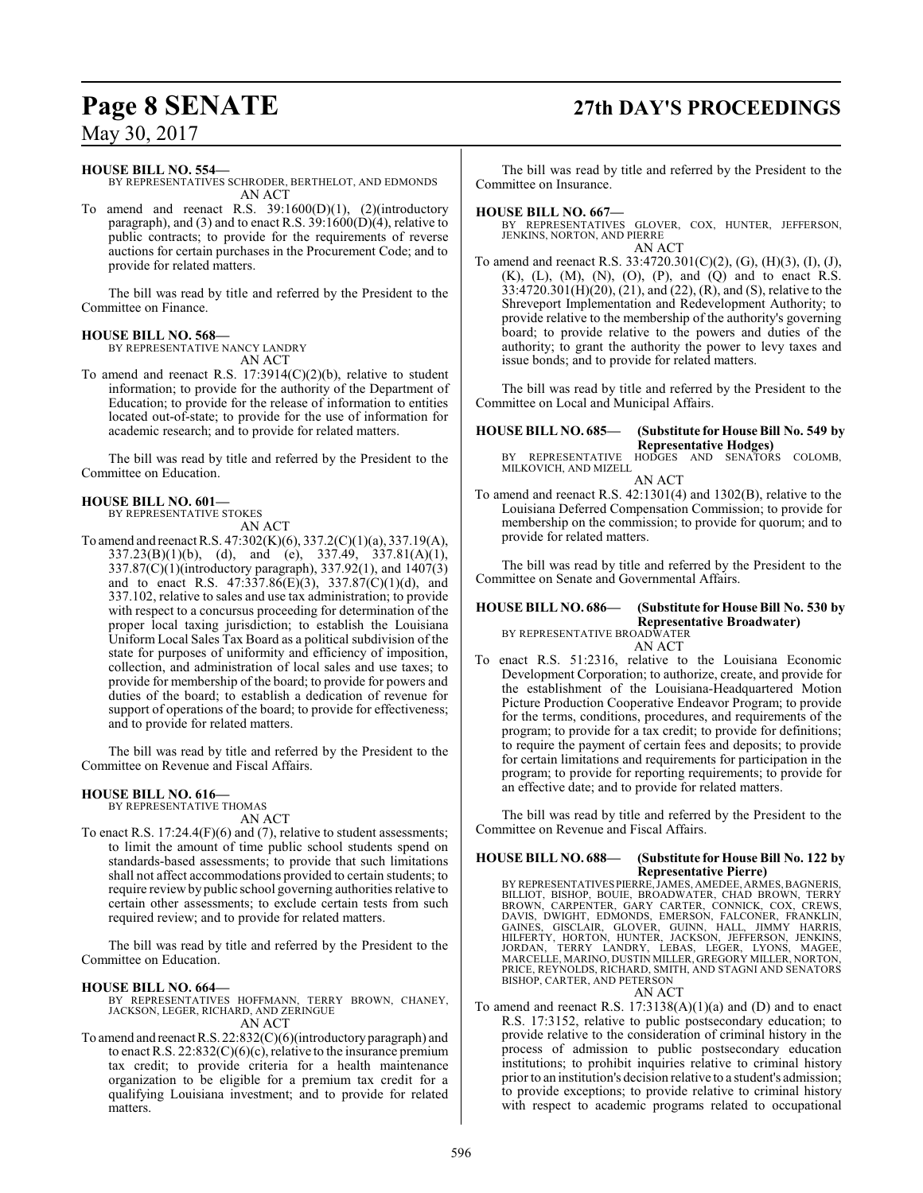## **Page 8 SENATE 27th DAY'S PROCEEDINGS**

May 30, 2017

#### **HOUSE BILL NO. 554—**

BY REPRESENTATIVES SCHRODER, BERTHELOT, AND EDMONDS AN ACT

To amend and reenact R.S. 39:1600(D)(1), (2)(introductory paragraph), and (3) and to enact R.S.  $39:1600(D)(4)$ , relative to public contracts; to provide for the requirements of reverse auctions for certain purchases in the Procurement Code; and to provide for related matters.

The bill was read by title and referred by the President to the Committee on Finance.

#### **HOUSE BILL NO. 568—**

BY REPRESENTATIVE NANCY LANDRY

AN ACT To amend and reenact R.S. 17:3914(C)(2)(b), relative to student information; to provide for the authority of the Department of Education; to provide for the release of information to entities located out-of-state; to provide for the use of information for academic research; and to provide for related matters.

The bill was read by title and referred by the President to the Committee on Education.

#### **HOUSE BILL NO. 601—**

BY REPRESENTATIVE STOKES AN ACT

To amend and reenact R.S. 47:302(K)(6), 337.2(C)(1)(a), 337.19(A), 337.23(B)(1)(b), (d), and (e), 337.49, 337.81(A)(1), 337.87(C)(1)(introductory paragraph), 337.92(1), and 1407(3) and to enact R.S.  $47:337.86(E)(3)$ ,  $337.87(C)(1)(d)$ , and 337.102, relative to sales and use tax administration; to provide with respect to a concursus proceeding for determination of the proper local taxing jurisdiction; to establish the Louisiana Uniform Local Sales Tax Board as a political subdivision of the state for purposes of uniformity and efficiency of imposition, collection, and administration of local sales and use taxes; to provide for membership of the board; to provide for powers and duties of the board; to establish a dedication of revenue for support of operations of the board; to provide for effectiveness; and to provide for related matters.

The bill was read by title and referred by the President to the Committee on Revenue and Fiscal Affairs.

#### **HOUSE BILL NO. 616—**

BY REPRESENTATIVE THOMAS AN ACT

To enact R.S. 17:24.4(F)(6) and (7), relative to student assessments; to limit the amount of time public school students spend on standards-based assessments; to provide that such limitations shall not affect accommodations provided to certain students; to require reviewby public school governing authorities relative to certain other assessments; to exclude certain tests from such required review; and to provide for related matters.

The bill was read by title and referred by the President to the Committee on Education.

#### **HOUSE BILL NO. 664—**

BY REPRESENTATIVES HOFFMANN, TERRY BROWN, CHANEY, JACKSON, LEGER, RICHARD, AND ZERINGUE AN ACT

To amend and reenactR.S. 22:832(C)(6)(introductory paragraph) and to enact R.S. 22:832(C)(6)(c), relative to the insurance premium tax credit; to provide criteria for a health maintenance organization to be eligible for a premium tax credit for a qualifying Louisiana investment; and to provide for related matters.

The bill was read by title and referred by the President to the Committee on Insurance.

#### **HOUSE BILL NO. 667—**

BY REPRESENTATIVES GLOVER, COX, HUNTER, JEFFERSON, JENKINS, NORTON, AND PIERRE AN ACT

To amend and reenact R.S. 33:4720.301(C)(2), (G), (H)(3), (I), (J),  $(K), (L), (M), (N), (O), (P), and (Q) and to enact R.S.$ 33:4720.301(H)(20), (21), and (22), (R), and (S), relative to the Shreveport Implementation and Redevelopment Authority; to provide relative to the membership of the authority's governing board; to provide relative to the powers and duties of the authority; to grant the authority the power to levy taxes and issue bonds; and to provide for related matters.

The bill was read by title and referred by the President to the Committee on Local and Municipal Affairs.

**HOUSE BILL NO. 685— (Substitute for House Bill No. 549 by**

**Representative Hodges)** BY REPRESENTATIVE HODGES AND SENATORS COLOMB, MILKOVICH, AND MIZELL AN ACT

To amend and reenact R.S. 42:1301(4) and 1302(B), relative to the Louisiana Deferred Compensation Commission; to provide for membership on the commission; to provide for quorum; and to provide for related matters.

The bill was read by title and referred by the President to the Committee on Senate and Governmental Affairs.

#### **HOUSE BILL NO. 686— (Substitute for House Bill No. 530 by Representative Broadwater)** BY REPRESENTATIVE BROADWATER

AN ACT

To enact R.S. 51:2316, relative to the Louisiana Economic Development Corporation; to authorize, create, and provide for the establishment of the Louisiana-Headquartered Motion Picture Production Cooperative Endeavor Program; to provide for the terms, conditions, procedures, and requirements of the program; to provide for a tax credit; to provide for definitions; to require the payment of certain fees and deposits; to provide for certain limitations and requirements for participation in the program; to provide for reporting requirements; to provide for an effective date; and to provide for related matters.

The bill was read by title and referred by the President to the Committee on Revenue and Fiscal Affairs.

#### **HOUSE BILL NO. 688— (Substitute for House Bill No. 122 by Representative Pierre)**

BY REPRESENTATIVES PIERRE,JAMES, AMEDEE, ARMES,BAGNERIS, BILLIOT, BISHOP, BOUIE, BROADWATER, CHAD BROWN, TERRY BROWN, CARPENTER, GARY CARTER, CONNICK, COX, CREWS,<br>DAVIS, DWIGHT, EDMONDS, EMERSON, FALCONER, FRANKLIN,<br>GAINES, GISCLAIR, GLOVER, GUINN, HALL, JIMMY HARRIS,<br>HILFERTY, HORTON, HUNTER, JACKSON, JEFFERSON, JENKINS,<br>JORDAN, T PRICE, REYNOLDS, RICHARD, SMITH, AND STAGNI AND SENATORS BISHOP, CARTER, AND PETERSON

AN ACT

To amend and reenact R.S. 17:3138(A)(1)(a) and (D) and to enact R.S. 17:3152, relative to public postsecondary education; to provide relative to the consideration of criminal history in the process of admission to public postsecondary education institutions; to prohibit inquiries relative to criminal history prior to an institution's decision relative to a student's admission; to provide exceptions; to provide relative to criminal history with respect to academic programs related to occupational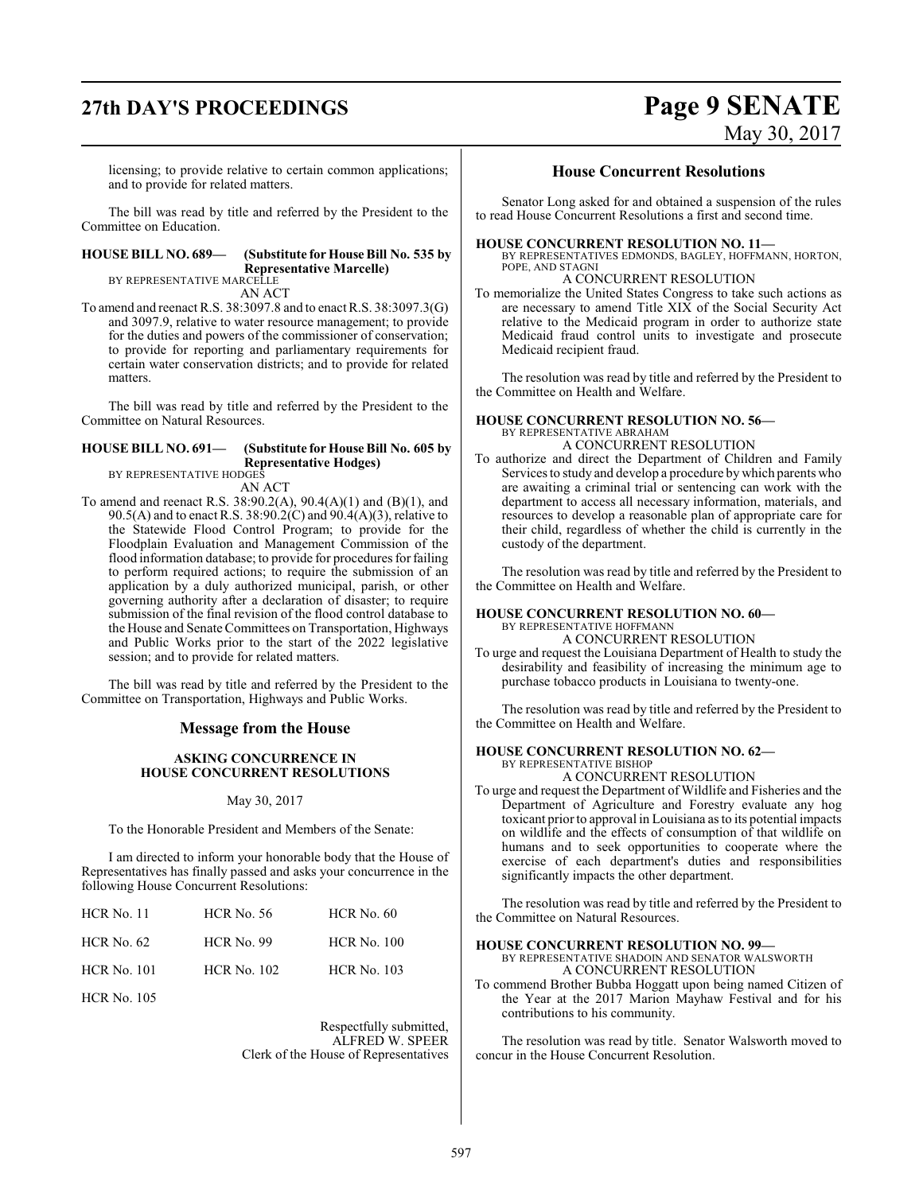## **27th DAY'S PROCEEDINGS Page 9 SENATE**

# May 30, 2017

licensing; to provide relative to certain common applications; and to provide for related matters.

The bill was read by title and referred by the President to the Committee on Education.

#### **HOUSE BILL NO. 689— (Substitute for House Bill No. 535 by Representative Marcelle)** BY REPRESENTATIVE MARCELLE

AN ACT

To amend and reenact R.S. 38:3097.8 and to enact R.S. 38:3097.3(G) and 3097.9, relative to water resource management; to provide for the duties and powers of the commissioner of conservation; to provide for reporting and parliamentary requirements for certain water conservation districts; and to provide for related matters.

The bill was read by title and referred by the President to the Committee on Natural Resources.

#### **HOUSE BILL NO. 691— (Substitute for House Bill No. 605 by Representative Hodges)** BY REPRESENTATIVE HODGES

AN ACT

To amend and reenact R.S. 38:90.2(A), 90.4(A)(1) and (B)(1), and 90.5(A) and to enact R.S. 38:90.2(C) and 90.4(A)(3), relative to the Statewide Flood Control Program; to provide for the Floodplain Evaluation and Management Commission of the flood information database; to provide for procedures for failing to perform required actions; to require the submission of an application by a duly authorized municipal, parish, or other governing authority after a declaration of disaster; to require submission of the final revision of the flood control database to the House and Senate Committees on Transportation, Highways and Public Works prior to the start of the 2022 legislative session; and to provide for related matters.

The bill was read by title and referred by the President to the Committee on Transportation, Highways and Public Works.

### **Message from the House**

#### **ASKING CONCURRENCE IN HOUSE CONCURRENT RESOLUTIONS**

#### May 30, 2017

To the Honorable President and Members of the Senate:

I am directed to inform your honorable body that the House of Representatives has finally passed and asks your concurrence in the following House Concurrent Resolutions:

| <b>HCR No. 11</b>  | <b>HCR No. 56</b>  | $HCR$ No. 60       |
|--------------------|--------------------|--------------------|
| $HCR$ No. 62       | <b>HCR No. 99</b>  | <b>HCR No. 100</b> |
| <b>HCR No. 101</b> | <b>HCR No. 102</b> | <b>HCR No. 103</b> |
| <b>HCR No. 105</b> |                    |                    |

Respectfully submitted, ALFRED W. SPEER Clerk of the House of Representatives

#### **House Concurrent Resolutions**

Senator Long asked for and obtained a suspension of the rules to read House Concurrent Resolutions a first and second time.

#### **HOUSE CONCURRENT RESOLUTION NO. 11—**

BY REPRESENTATIVES EDMONDS, BAGLEY, HOFFMANN, HORTON, POPE, AND STAGNI

### A CONCURRENT RESOLUTION

To memorialize the United States Congress to take such actions as are necessary to amend Title XIX of the Social Security Act relative to the Medicaid program in order to authorize state Medicaid fraud control units to investigate and prosecute Medicaid recipient fraud.

The resolution was read by title and referred by the President to the Committee on Health and Welfare.

#### **HOUSE CONCURRENT RESOLUTION NO. 56—** BY REPRESENTATIVE ABRAHAM

A CONCURRENT RESOLUTION

To authorize and direct the Department of Children and Family Services to study and develop a procedure by which parents who are awaiting a criminal trial or sentencing can work with the department to access all necessary information, materials, and resources to develop a reasonable plan of appropriate care for their child, regardless of whether the child is currently in the custody of the department.

The resolution was read by title and referred by the President to the Committee on Health and Welfare.

#### **HOUSE CONCURRENT RESOLUTION NO. 60—** BY REPRESENTATIVE HOFFMANN

A CONCURRENT RESOLUTION

To urge and request the Louisiana Department of Health to study the desirability and feasibility of increasing the minimum age to purchase tobacco products in Louisiana to twenty-one.

The resolution was read by title and referred by the President to the Committee on Health and Welfare.

#### **HOUSE CONCURRENT RESOLUTION NO. 62—**

BY REPRESENTATIVE BISHOP A CONCURRENT RESOLUTION

To urge and request the Department of Wildlife and Fisheries and the Department of Agriculture and Forestry evaluate any hog toxicant prior to approval in Louisiana as to its potential impacts on wildlife and the effects of consumption of that wildlife on humans and to seek opportunities to cooperate where the exercise of each department's duties and responsibilities significantly impacts the other department.

The resolution was read by title and referred by the President to the Committee on Natural Resources.

#### **HOUSE CONCURRENT RESOLUTION NO. 99—**

BY REPRESENTATIVE SHADOIN AND SENATOR WALSWORTH A CONCURRENT RESOLUTION

To commend Brother Bubba Hoggatt upon being named Citizen of the Year at the 2017 Marion Mayhaw Festival and for his contributions to his community.

The resolution was read by title. Senator Walsworth moved to concur in the House Concurrent Resolution.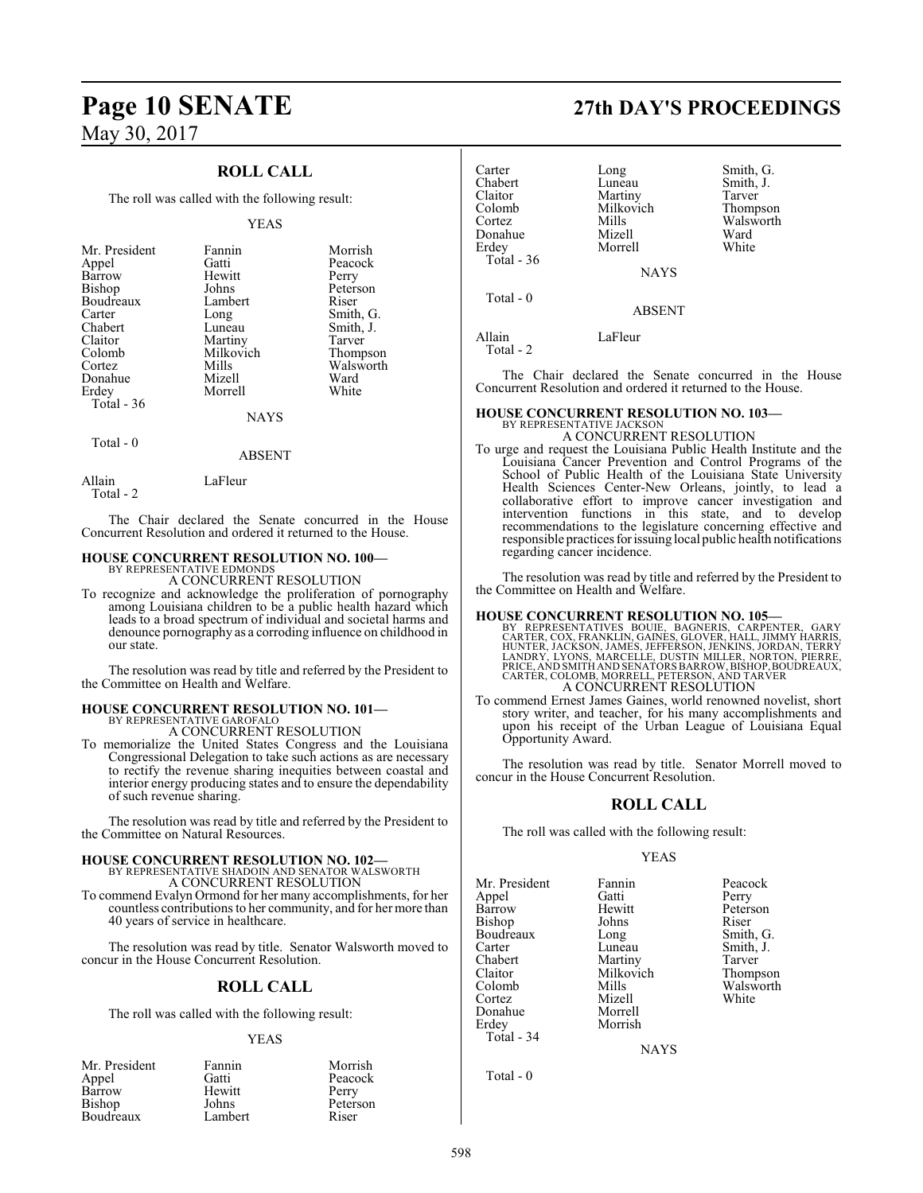### **ROLL CALL**

The roll was called with the following result:

#### YEAS

| Mr. President | Fannin    | Morrish   |
|---------------|-----------|-----------|
| Appel         | Gatti     | Peacock   |
| Barrow        | Hewitt    | Perry     |
| Bishop        | Johns     | Peterson  |
| Boudreaux     | Lambert   | Riser     |
| Carter        | Long      | Smith, G. |
| Chabert       | Luneau    | Smith, J. |
| Claitor       | Martiny   | Tarver    |
| Colomb        | Milkovich | Thompson  |
| Cortez        | Mills     | Walsworth |
| Donahue       | Mizell    | Ward      |
| Erdey         | Morrell   | White     |
| Total - 36    |           |           |
|               | NAYS      |           |

Total - 0

#### ABSENT

Allain LaFleur

Total - 2

The Chair declared the Senate concurred in the House Concurrent Resolution and ordered it returned to the House.

## **HOUSE CONCURRENT RESOLUTION NO. 100—** BY REPRESENTATIVE EDMONDS

A CONCURRENT RESOLUTION

To recognize and acknowledge the proliferation of pornography among Louisiana children to be a public health hazard which leads to a broad spectrum of individual and societal harms and denounce pornography as a corroding influence on childhood in our state.

The resolution was read by title and referred by the President to the Committee on Health and Welfare.

## **HOUSE CONCURRENT RESOLUTION NO. 101—** BY REPRESENTATIVE GAROFALO

A CONCURRENT RESOLUTION

To memorialize the United States Congress and the Louisiana Congressional Delegation to take such actions as are necessary to rectify the revenue sharing inequities between coastal and interior energy producing states and to ensure the dependability of such revenue sharing.

The resolution was read by title and referred by the President to the Committee on Natural Resources.

### **HOUSE CONCURRENT RESOLUTION NO. 102—** BY REPRESENTATIVE SHADOIN AND SENATOR WALSWORTH A CONCURRENT RESOLUTION

To commend Evalyn Ormond for her many accomplishments, for her countless contributions to her community, and for her more than 40 years of service in healthcare.

The resolution was read by title. Senator Walsworth moved to concur in the House Concurrent Resolution.

### **ROLL CALL**

The roll was called with the following result:

#### YEAS

| Mr. President | Fannin  | Morrish  |
|---------------|---------|----------|
| Appel         | Gatti   | Peacock  |
| Barrow        | Hewitt  | Perry    |
| Bishop        | Johns   | Peterson |
| Boudreaux     | Lambert | Riser    |

## **Page 10 SENATE 27th DAY'S PROCEEDINGS**

| Carter     | Long        | Smith, G. |
|------------|-------------|-----------|
| Chabert    | Luneau      | Smith, J. |
| Claitor    | Martiny     | Tarver    |
| Colomb     | Milkovich   | Thompson  |
| Cortez     | Mills       | Walsworth |
| Donahue    | Mizell      | Ward      |
| Erdey      | Morrell     | White     |
| Total - 36 |             |           |
|            | <b>NAYS</b> |           |
| Total $-0$ |             |           |
|            | ABSENT      |           |

Allain LaFleur

Total - 2

The Chair declared the Senate concurred in the House Concurrent Resolution and ordered it returned to the House.

#### **HOUSE CONCURRENT RESOLUTION NO. 103—** BY REPRESENTATIVE JACKSON

A CONCURRENT RESOLUTION

To urge and request the Louisiana Public Health Institute and the Louisiana Cancer Prevention and Control Programs of the School of Public Health of the Louisiana State University Health Sciences Center-New Orleans, jointly, to lead a collaborative effort to improve cancer investigation and intervention functions in this state, and to develop recommendations to the legislature concerning effective and responsible practices forissuing local public health notifications regarding cancer incidence.

The resolution was read by title and referred by the President to the Committee on Health and Welfare.

#### **HOUSE CONCURRENT RESOLUTION NO. 105—**

BY REPRESENTATIVES BOUIE, BAGNERIS, CARPENTER, GARY CARTER, COX, FRANKLIN, GAINES, GLOVER, HALL, JIMMY HARRIS, HUNTER, JACKSON, JAMES, JEFFERSON, JENKINS, JORDAN, TERRY<br>LANDRY, LYONS, MARCELLE, DUSTIN MILLER, NORTON, PIERRE,<br>PRICE, AND SMITH AND SENATORS BARROW, BISHOP, BOUDREAUX,<br>CARTER, COLOMB, MORRELL, PETERSON, AND TARVER<br>A CON

To commend Ernest James Gaines, world renowned novelist, short story writer, and teacher, for his many accomplishments and upon his receipt of the Urban League of Louisiana Equal Opportunity Award.

The resolution was read by title. Senator Morrell moved to concur in the House Concurrent Resolution.

#### **ROLL CALL**

The roll was called with the following result:

#### YEAS

| Mr. President | Fannin    | Peacock   |
|---------------|-----------|-----------|
| Appel         | Gatti     | Perry     |
| Barrow        | Hewitt    | Peterson  |
| <b>Bishop</b> | Johns     | Riser     |
| Boudreaux     | Long      | Smith, G. |
| Carter        | Luneau    | Smith, J. |
| Chabert       | Martiny   | Tarver    |
| Claitor       | Milkovich | Thompson  |
| Colomb        | Mills     | Walswort  |
| Cortez        | Mizell    | White     |
| Donahue       | Morrell   |           |
| Erdey         | Morrish   |           |
| Total - 34    |           |           |

Total - 0

**NAYS**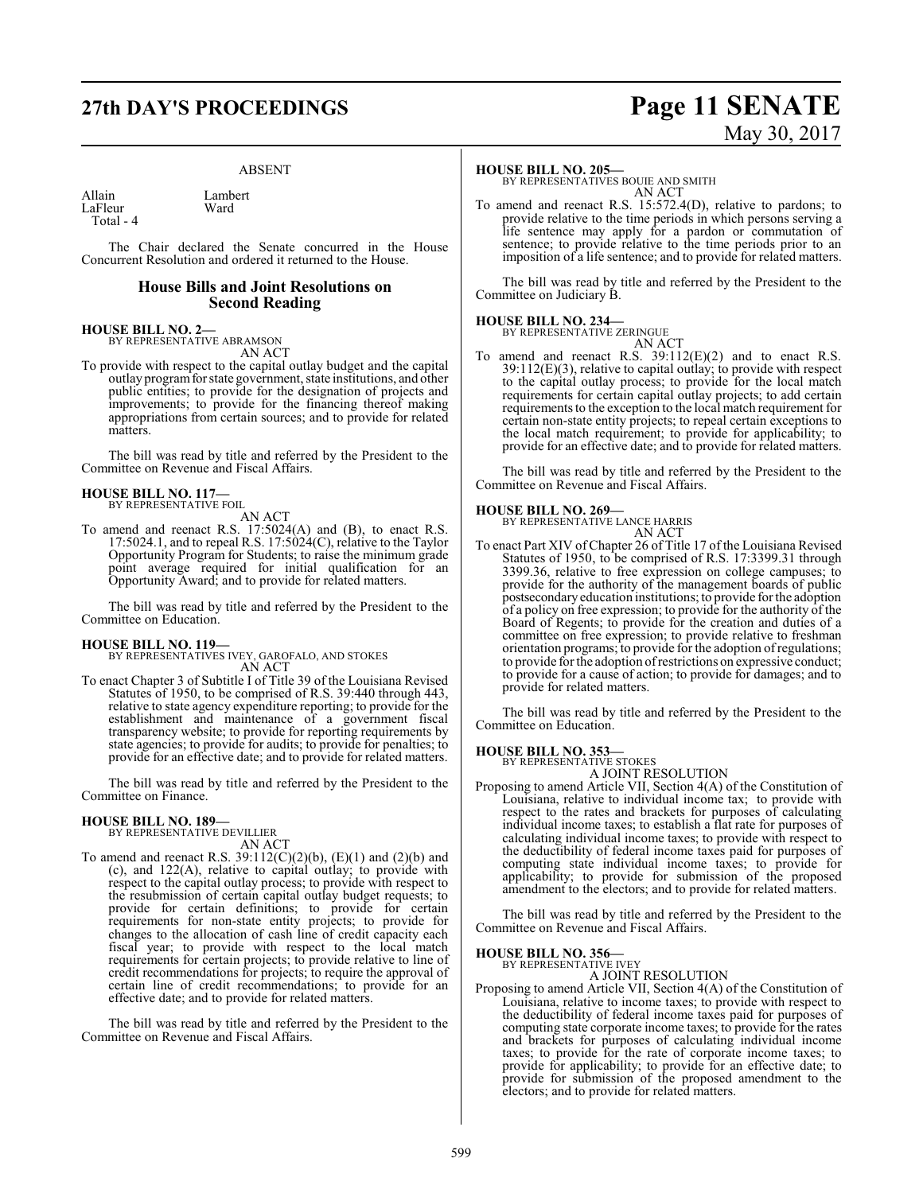#### ABSENT

Allain Lambert<br>LaFleur Ward LaFleur

Total - 4

The Chair declared the Senate concurred in the House Concurrent Resolution and ordered it returned to the House.

#### **House Bills and Joint Resolutions on Second Reading**

#### **HOUSE BILL NO. 2—**

BY REPRESENTATIVE ABRAMSON AN ACT

To provide with respect to the capital outlay budget and the capital outlay programfor state government, state institutions, and other public entities; to provide for the designation of projects and improvements; to provide for the financing thereof making appropriations from certain sources; and to provide for related matters.

The bill was read by title and referred by the President to the Committee on Revenue and Fiscal Affairs.

#### **HOUSE BILL NO. 117—** BY REPRESENTATIVE FOIL

AN ACT

To amend and reenact R.S. 17:5024(A) and (B), to enact R.S. 17:5024.1, and to repeal R.S. 17:5024(C), relative to the Taylor Opportunity Program for Students; to raise the minimum grade point average required for initial qualification for an Opportunity Award; and to provide for related matters.

The bill was read by title and referred by the President to the Committee on Education.

**HOUSE BILL NO. 119—** BY REPRESENTATIVES IVEY, GAROFALO, AND STOKES AN ACT

To enact Chapter 3 of Subtitle I of Title 39 of the Louisiana Revised Statutes of 1950, to be comprised of R.S. 39:440 through 443, relative to state agency expenditure reporting; to provide for the establishment and maintenance of a government fiscal transparency website; to provide for reporting requirements by state agencies; to provide for audits; to provide for penalties; to provide for an effective date; and to provide for related matters.

The bill was read by title and referred by the President to the Committee on Finance.

**HOUSE BILL NO. 189—** BY REPRESENTATIVE DEVILLIER AN ACT

To amend and reenact R.S.  $39:112(C)(2)(b)$ ,  $(E)(1)$  and  $(2)(b)$  and (c), and 122(A), relative to capital outlay; to provide with respect to the capital outlay process; to provide with respect to the resubmission of certain capital outlay budget requests; to provide for certain definitions; to provide for certain requirements for non-state entity projects; to provide for changes to the allocation of cash line of credit capacity each fiscal year; to provide with respect to the local match requirements for certain projects; to provide relative to line of credit recommendations for projects; to require the approval of certain line of credit recommendations; to provide for an effective date; and to provide for related matters.

The bill was read by title and referred by the President to the Committee on Revenue and Fiscal Affairs.

#### **HOUSE BILL NO. 205—**

BY REPRESENTATIVES BOUIE AND SMITH AN ACT

To amend and reenact R.S. 15:572.4(D), relative to pardons; to provide relative to the time periods in which persons serving a life sentence may apply for a pardon or commutation of sentence; to provide relative to the time periods prior to an imposition of a life sentence; and to provide for related matters.

The bill was read by title and referred by the President to the Committee on Judiciary B.

#### **HOUSE BILL NO. 234—**

BY REPRESENTATIVE ZERINGUE

AN ACT To amend and reenact R.S.  $39:112(E)(2)$  and to enact R.S. 39:112(E)(3), relative to capital outlay; to provide with respect to the capital outlay process; to provide for the local match requirements for certain capital outlay projects; to add certain requirements to the exception to the local match requirement for certain non-state entity projects; to repeal certain exceptions to the local match requirement; to provide for applicability; to provide for an effective date; and to provide for related matters.

The bill was read by title and referred by the President to the Committee on Revenue and Fiscal Affairs.

## **HOUSE BILL NO. 269—** BY REPRESENTATIVE LANCE HARRIS

AN ACT

To enact Part XIV of Chapter 26 of Title 17 of the Louisiana Revised Statutes of 1950, to be comprised of R.S. 17:3399.31 through 3399.36, relative to free expression on college campuses; to provide for the authority of the management boards of public postsecondary education institutions; to provide for the adoption of a policy on free expression; to provide for the authority of the Board of Regents; to provide for the creation and duties of a committee on free expression; to provide relative to freshman orientation programs; to provide for the adoption ofregulations; to provide for the adoption ofrestrictions on expressive conduct; to provide for a cause of action; to provide for damages; and to provide for related matters.

The bill was read by title and referred by the President to the Committee on Education.

**HOUSE BILL NO. 353—**

BY REPRESENTATIVE STOKES A JOINT RESOLUTION

Proposing to amend Article VII, Section 4(A) of the Constitution of Louisiana, relative to individual income tax; to provide with respect to the rates and brackets for purposes of calculating individual income taxes; to establish a flat rate for purposes of calculating individual income taxes; to provide with respect to the deductibility of federal income taxes paid for purposes of computing state individual income taxes; to provide for applicability; to provide for submission of the proposed amendment to the electors; and to provide for related matters.

The bill was read by title and referred by the President to the Committee on Revenue and Fiscal Affairs.

**HOUSE BILL NO. 356—**

BY REPRESENTATIVE IVEY A JOINT RESOLUTION

Proposing to amend Article VII, Section 4(A) of the Constitution of Louisiana, relative to income taxes; to provide with respect to the deductibility of federal income taxes paid for purposes of computing state corporate income taxes; to provide for the rates and brackets for purposes of calculating individual income taxes; to provide for the rate of corporate income taxes; to provide for applicability; to provide for an effective date; to provide for submission of the proposed amendment to the electors; and to provide for related matters.

## **27th DAY'S PROCEEDINGS Page 11 SENATE** May 30, 2017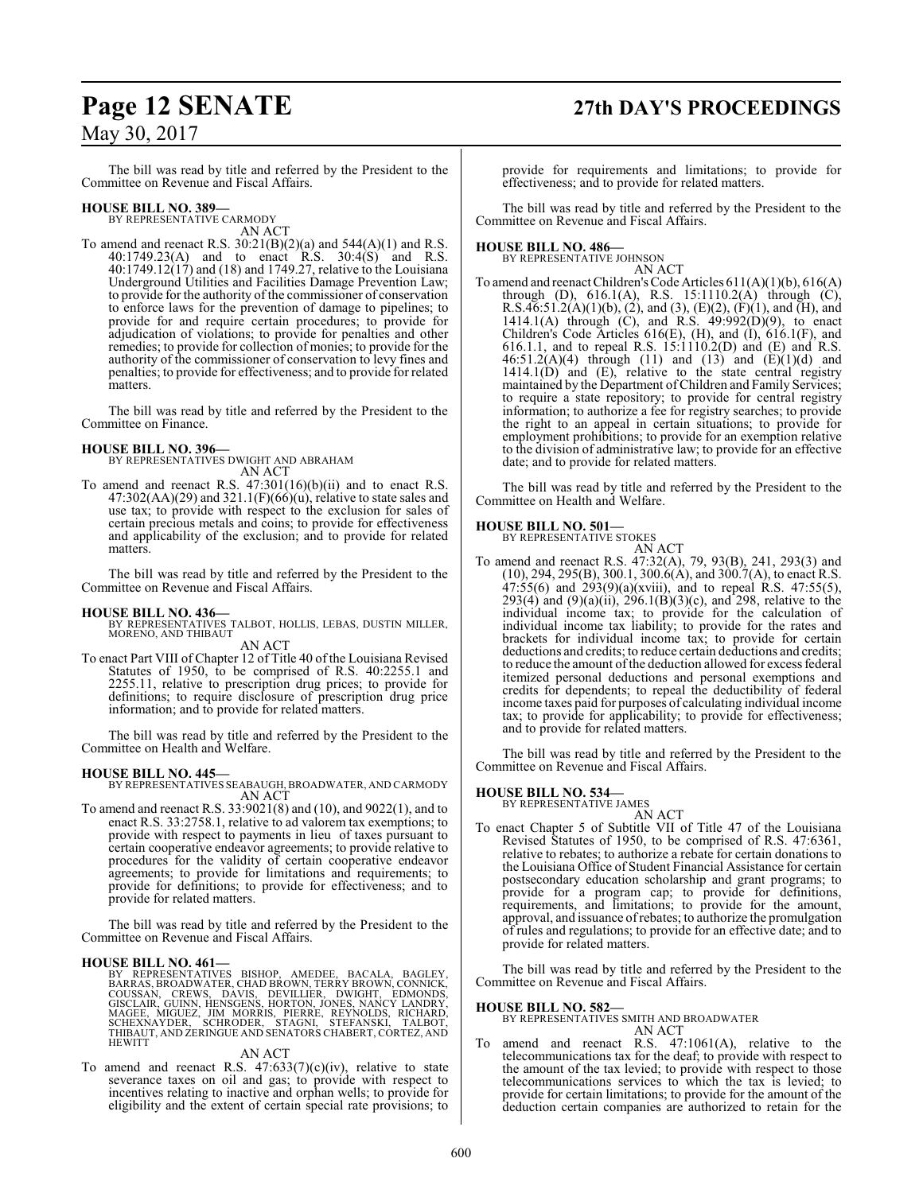## **Page 12 SENATE 27th DAY'S PROCEEDINGS**

The bill was read by title and referred by the President to the Committee on Revenue and Fiscal Affairs.

#### **HOUSE BILL NO. 389—**

BY REPRESENTATIVE CARMODY AN ACT

To amend and reenact R.S.  $30:21(B)(2)(a)$  and  $544(A)(1)$  and R.S. 40:1749.23(A) and to enact R.S. 30:4(S) and R.S. 40:1749.12(17) and (18) and 1749.27, relative to the Louisiana Underground Utilities and Facilities Damage Prevention Law; to provide for the authority of the commissioner of conservation to enforce laws for the prevention of damage to pipelines; to provide for and require certain procedures; to provide for adjudication of violations; to provide for penalties and other remedies; to provide for collection of monies; to provide for the authority of the commissioner of conservation to levy fines and penalties; to provide for effectiveness; and to provide for related matters.

The bill was read by title and referred by the President to the Committee on Finance.

#### **HOUSE BILL NO. 396—**

BY REPRESENTATIVES DWIGHT AND ABRAHAM AN ACT

To amend and reenact R.S.  $47:301(16)(b)(ii)$  and to enact R.S. 47:302(AA)(29) and 321.1(F)( $66$ )(u), relative to state sales and use tax; to provide with respect to the exclusion for sales of certain precious metals and coins; to provide for effectiveness and applicability of the exclusion; and to provide for related matters.

The bill was read by title and referred by the President to the Committee on Revenue and Fiscal Affairs.

**HOUSE BILL NO. 436—** BY REPRESENTATIVES TALBOT, HOLLIS, LEBAS, DUSTIN MILLER, MORENO, AND THIBAUT AN ACT

To enact Part VIII of Chapter 12 of Title 40 ofthe Louisiana Revised Statutes of 1950, to be comprised of R.S. 40:2255.1 and 2255.11, relative to prescription drug prices; to provide for definitions; to require disclosure of prescription drug price information; and to provide for related matters.

The bill was read by title and referred by the President to the Committee on Health and Welfare.

#### **HOUSE BILL NO. 445—**

BY REPRESENTATIVES SEABAUGH, BROADWATER, AND CARMODY AN ACT

To amend and reenact R.S. 33:9021(8) and (10), and 9022(1), and to enact R.S. 33:2758.1, relative to ad valorem tax exemptions; to provide with respect to payments in lieu of taxes pursuant to certain cooperative endeavor agreements; to provide relative to procedures for the validity of certain cooperative endeavor agreements; to provide for limitations and requirements; to provide for definitions; to provide for effectiveness; and to provide for related matters.

The bill was read by title and referred by the President to the Committee on Revenue and Fiscal Affairs.

#### **HOUSE BILL NO. 461—**

BY REPRESENTATIVES BISHOP, AMEDEE, BACALA, BAGLEY,<br>BARRAS,BROADWATER,CHADBROWN,TERRYBROWN,CONNICK,<br>COUSSAN, CREWS, DAVIS, DEVILLIER, DWIGHT, EDMONDS,<br>GISCLAIR,GUINN,HENSGENS,HORTON,JONES,NANCY LANDRY,<br>MAGEE, MIGUEZ, JIM MO **HEWITT** 

#### AN ACT

To amend and reenact R.S.  $47:633(7)(c)(iv)$ , relative to state severance taxes on oil and gas; to provide with respect to incentives relating to inactive and orphan wells; to provide for eligibility and the extent of certain special rate provisions; to

provide for requirements and limitations; to provide for effectiveness; and to provide for related matters.

The bill was read by title and referred by the President to the Committee on Revenue and Fiscal Affairs.

## **HOUSE BILL NO. 486—** BY REPRESENTATIVE JOHNSON

AN ACT

To amend and reenact Children's Code Articles 611(A)(1)(b), 616(A) through (D), 616.1(A), R.S. 15:1110.2(A) through (C), R.S.46:51.2(A)(1)(b), (2), and (3), (E)(2), (F)(1), and (H), and 1414.1(A) through (C), and R.S. 49:992(D)(9), to enact Children's Code Articles 616(E), (H), and (I), 616.1(F), and 616.1.1, and to repeal R.S.  $15:1110.2(D)$  and (E) and R.S. 46:51.2(A)(4) through (11) and (13) and (E)(1)(d) and 1414.1(D) and (E), relative to the state central registry maintained by the Department of Children and Family Services; to require a state repository; to provide for central registry information; to authorize a fee for registry searches; to provide the right to an appeal in certain situations; to provide for employment prohibitions; to provide for an exemption relative to the division of administrative law; to provide for an effective date; and to provide for related matters.

The bill was read by title and referred by the President to the Committee on Health and Welfare.

### **HOUSE BILL NO. 501—** BY REPRESENTATIVE STOKES

AN ACT

To amend and reenact R.S. 47:32(A), 79, 93(B), 241, 293(3) and  $(10)$ , 294, 295(B), 300.1, 300.6(A), and 300.7(A), to enact R.S.  $47:55(6)$  and  $293(9)(a)(xviii)$ , and to repeal R.S. 47:55(5), 293(4) and (9)(a)(ii), 296.1(B)(3)(c), and 298, relative to the individual income tax; to provide for the calculation of individual income tax liability; to provide for the rates and brackets for individual income tax; to provide for certain deductions and credits; to reduce certain deductions and credits; to reduce the amount of the deduction allowed for excess federal itemized personal deductions and personal exemptions and credits for dependents; to repeal the deductibility of federal income taxes paid for purposes of calculating individual income tax; to provide for applicability; to provide for effectiveness; and to provide for related matters.

The bill was read by title and referred by the President to the Committee on Revenue and Fiscal Affairs.

#### **HOUSE BILL NO. 534—**

BY REPRESENTATIVE JAMES AN ACT

To enact Chapter 5 of Subtitle VII of Title 47 of the Louisiana Revised Statutes of 1950, to be comprised of R.S. 47:6361, relative to rebates; to authorize a rebate for certain donations to the Louisiana Office of Student Financial Assistance for certain postsecondary education scholarship and grant programs; to provide for a program cap; to provide for definitions, requirements, and limitations; to provide for the amount, approval, and issuance ofrebates; to authorize the promulgation of rules and regulations; to provide for an effective date; and to provide for related matters.

The bill was read by title and referred by the President to the Committee on Revenue and Fiscal Affairs.

**HOUSE BILL NO. 582—** BY REPRESENTATIVES SMITH AND BROADWATER AN ACT

To amend and reenact R.S. 47:1061(A), relative to the telecommunications tax for the deaf; to provide with respect to the amount of the tax levied; to provide with respect to those telecommunications services to which the tax is levied; to provide for certain limitations; to provide for the amount of the deduction certain companies are authorized to retain for the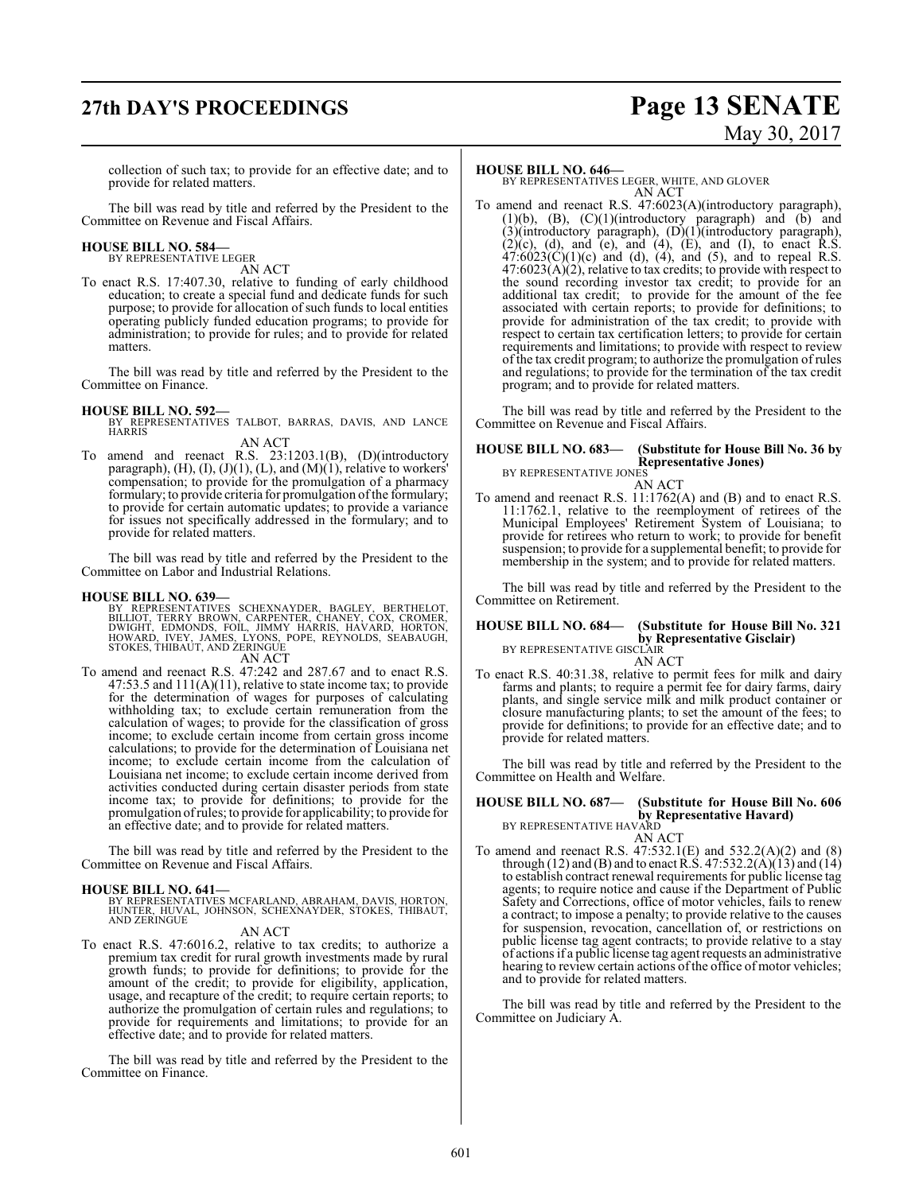## **27th DAY'S PROCEEDINGS Page 13 SENATE** May 30, 2017

collection of such tax; to provide for an effective date; and to provide for related matters.

The bill was read by title and referred by the President to the Committee on Revenue and Fiscal Affairs.

#### **HOUSE BILL NO. 584—** BY REPRESENTATIVE LEGER

AN ACT

To enact R.S. 17:407.30, relative to funding of early childhood education; to create a special fund and dedicate funds for such purpose; to provide for allocation of such funds to local entities operating publicly funded education programs; to provide for administration; to provide for rules; and to provide for related matters.

The bill was read by title and referred by the President to the Committee on Finance.

**HOUSE BILL NO. 592—** BY REPRESENTATIVES TALBOT, BARRAS, DAVIS, AND LANCE HARRIS AN ACT

To amend and reenact R.S. 23:1203.1(B), (D)(introductory paragraph),  $(H)$ ,  $(I)$ ,  $(J)(1)$ ,  $(L)$ , and  $(M)(1)$ , relative to workers' compensation; to provide for the promulgation of a pharmacy formulary; to provide criteria for promulgation of the formulary; to provide for certain automatic updates; to provide a variance for issues not specifically addressed in the formulary; and to provide for related matters.

The bill was read by title and referred by the President to the Committee on Labor and Industrial Relations.

#### **HOUSE BILL NO. 639—**

BY REPRESENTATIVES SCHEXNAYDER, BAGLEY, BERTHELOT,<br>BILLIOT, TERRY BROWN, CARPENTER, CHANEY, COX, CROMER,<br>DWIGHT, EDMONDS, FOIL, JIMMY HARRIS, HAVARD, HORTON,<br>HOWARD, IVEY, JAMES, LYONS, POPE, REYNOLDS, SEABAUGH,<br>STOKES,THI AN ACT

To amend and reenact R.S. 47:242 and 287.67 and to enact R.S. 47:53.5 and 111(A)(11), relative to state income tax; to provide for the determination of wages for purposes of calculating withholding tax; to exclude certain remuneration from the calculation of wages; to provide for the classification of gross income; to exclude certain income from certain gross income calculations; to provide for the determination of Louisiana net income; to exclude certain income from the calculation of Louisiana net income; to exclude certain income derived from activities conducted during certain disaster periods from state income tax; to provide for definitions; to provide for the promulgation ofrules; to provide for applicability; to provide for an effective date; and to provide for related matters.

The bill was read by title and referred by the President to the Committee on Revenue and Fiscal Affairs.

#### **HOUSE BILL NO. 641—**

BY REPRESENTATIVES MCFARLAND, ABRAHAM, DAVIS, HORTON, HUNTER, HUVAL, JOHNSON, SCHEXNAYDER, STOKES, THIBAUT, AND ZERINGUE AN ACT

To enact R.S. 47:6016.2, relative to tax credits; to authorize a premium tax credit for rural growth investments made by rural growth funds; to provide for definitions; to provide for the amount of the credit; to provide for eligibility, application, usage, and recapture of the credit; to require certain reports; to authorize the promulgation of certain rules and regulations; to provide for requirements and limitations; to provide for an effective date; and to provide for related matters.

The bill was read by title and referred by the President to the Committee on Finance.

#### **HOUSE BILL NO. 646—**

BY REPRESENTATIVES LEGER, WHITE, AND GLOVER AN ACT

To amend and reenact R.S. 47:6023(A)(introductory paragraph),  $(1)(b)$ ,  $(B)$ ,  $(C)(1)(introducing) paragraph$  and  $(b)$  and (3)(introductory paragraph), (D)(1)(introductory paragraph),  $(2)(c)$ ,  $(d)$ , and  $(e)$ , and  $(4)$ ,  $(E)$ , and  $(I)$ , to enact R.S.  $47:6023(C)(1)(c)$  and (d), (4), and (5), and to repeal R.S.  $47:6023(A)(2)$ , relative to tax credits; to provide with respect to the sound recording investor tax credit; to provide for an additional tax credit; to provide for the amount of the fee associated with certain reports; to provide for definitions; to provide for administration of the tax credit; to provide with respect to certain tax certification letters; to provide for certain requirements and limitations; to provide with respect to review of the tax credit program; to authorize the promulgation of rules and regulations; to provide for the termination of the tax credit program; and to provide for related matters.

The bill was read by title and referred by the President to the Committee on Revenue and Fiscal Affairs.

#### **HOUSE BILL NO. 683— (Substitute for House Bill No. 36 by Representative Jones)** BY REPRESENTATIVE JONES

AN ACT

To amend and reenact R.S. 11:1762(A) and (B) and to enact R.S. 11:1762.1, relative to the reemployment of retirees of the Municipal Employees' Retirement System of Louisiana; to provide for retirees who return to work; to provide for benefit suspension; to provide for a supplemental benefit; to provide for membership in the system; and to provide for related matters.

The bill was read by title and referred by the President to the Committee on Retirement.

#### **HOUSE BILL NO. 684— (Substitute for House Bill No. 321 by Representative Gisclair)**<br>BY REPRESENTATIVE GISCLAIR AN ACT

To enact R.S. 40:31.38, relative to permit fees for milk and dairy farms and plants; to require a permit fee for dairy farms, dairy plants, and single service milk and milk product container or closure manufacturing plants; to set the amount of the fees; to provide for definitions; to provide for an effective date; and to provide for related matters.

The bill was read by title and referred by the President to the Committee on Health and Welfare.

#### **HOUSE BILL NO. 687— (Substitute for House Bill No. 606 by Representative Havard)** BY REPRESENTATIVE HAVARD

AN ACT To amend and reenact R.S. 47:532.1(E) and 532.2(A)(2) and (8) through (12) and (B) and to enact R.S. 47:532.2(A)(13) and (14) to establish contract renewal requirements for public license tag agents; to require notice and cause if the Department of Public Safety and Corrections, office of motor vehicles, fails to renew a contract; to impose a penalty; to provide relative to the causes for suspension, revocation, cancellation of, or restrictions on public license tag agent contracts; to provide relative to a stay of actions if a public license tag agent requests an administrative hearing to review certain actions of the office of motor vehicles; and to provide for related matters.

The bill was read by title and referred by the President to the Committee on Judiciary A.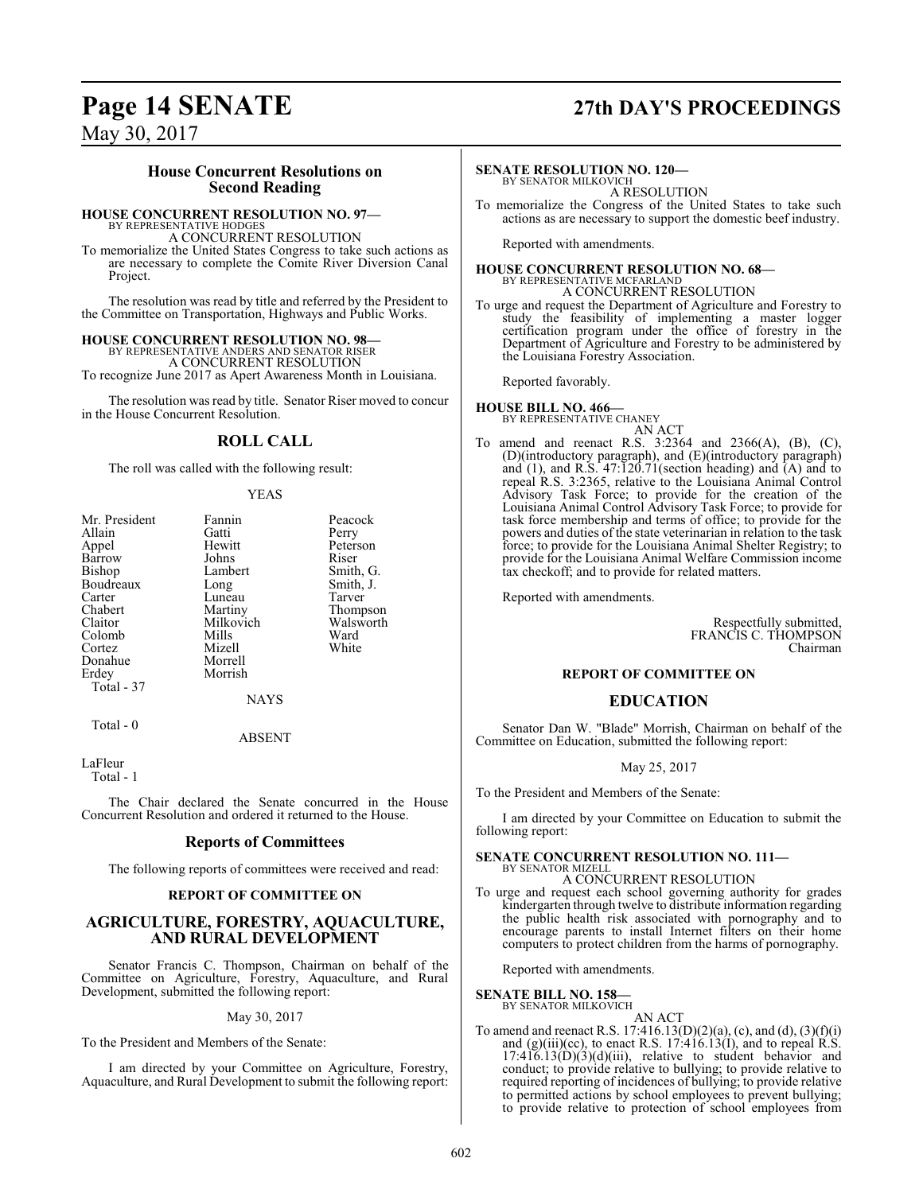### **Page 14 SENATE 27th DAY'S PROCEEDINGS**

May 30, 2017

#### **House Concurrent Resolutions on Second Reading**

#### **HOUSE CONCURRENT RESOLUTION NO. 97—**

BY REPRESENTATIVE HODGES A CONCURRENT RESOLUTION

To memorialize the United States Congress to take such actions as are necessary to complete the Comite River Diversion Canal Project.

The resolution was read by title and referred by the President to the Committee on Transportation, Highways and Public Works.

#### **HOUSE CONCURRENT RESOLUTION NO. 98—**

BY REPRESENTATIVE ANDERS AND SENATOR RISER A CONCURRENT RESOLUTION To recognize June 2017 as Apert Awareness Month in Louisiana.

The resolution was read by title. Senator Riser moved to concur in the House Concurrent Resolution.

#### **ROLL CALL**

The roll was called with the following result:

#### YEAS

| Mr. President | Fannin      | Peacock   |
|---------------|-------------|-----------|
| Allain        | Gatti       | Perry     |
| Appel         | Hewitt      | Peterson  |
| Barrow        | Johns       | Riser     |
| <b>Bishop</b> | Lambert     | Smith, G. |
| Boudreaux     | Long        | Smith, J. |
| Carter        | Luneau      | Tarver    |
| Chabert       | Martiny     | Thompson  |
| Claitor       | Milkovich   | Walsworth |
| Colomb        | Mills       | Ward      |
| Cortez        | Mizell      | White     |
| Donahue       | Morrell     |           |
| Erdey         | Morrish     |           |
| Total - 37    |             |           |
|               | <b>NAYS</b> |           |
| Total - 0     |             |           |

ABSENT

LaFleur

Total - 1

The Chair declared the Senate concurred in the House Concurrent Resolution and ordered it returned to the House.

#### **Reports of Committees**

The following reports of committees were received and read:

#### **REPORT OF COMMITTEE ON**

#### **AGRICULTURE, FORESTRY, AQUACULTURE, AND RURAL DEVELOPMENT**

Senator Francis C. Thompson, Chairman on behalf of the Committee on Agriculture, Forestry, Aquaculture, and Rural Development, submitted the following report:

May 30, 2017

To the President and Members of the Senate:

I am directed by your Committee on Agriculture, Forestry, Aquaculture, and Rural Development to submit the following report:

#### **SENATE RESOLUTION NO. 120—**

BY SENATOR MILKOVICH A RESOLUTION

To memorialize the Congress of the United States to take such actions as are necessary to support the domestic beef industry.

Reported with amendments.

## **HOUSE CONCURRENT RESOLUTION NO. 68—**<br>BY REPRESENTATIVE MCFARLAND<br>A CONCURRENT RESOLUTION

To urge and request the Department of Agriculture and Forestry to study the feasibility of implementing a master logger certification program under the office of forestry in the Department of Agriculture and Forestry to be administered by the Louisiana Forestry Association.

Reported favorably.

## **HOUSE BILL NO. 466—** BY REPRESENTATIVE CHANEY

AN ACT To amend and reenact R.S. 3:2364 and 2366(A), (B), (C), (D)(introductory paragraph), and (E)(introductory paragraph) and (1), and R.S. 47:120.71(section heading) and (A) and to repeal R.S. 3:2365, relative to the Louisiana Animal Control Advisory Task Force; to provide for the creation of the Louisiana Animal Control Advisory Task Force; to provide for task force membership and terms of office; to provide for the powers and duties of the state veterinarian in relation to the task force; to provide for the Louisiana Animal Shelter Registry; to provide for the Louisiana Animal Welfare Commission income tax checkoff; and to provide for related matters.

Reported with amendments.

Respectfully submitted, FRANCIS C. THOMPSON Chairman

#### **REPORT OF COMMITTEE ON**

#### **EDUCATION**

Senator Dan W. "Blade" Morrish, Chairman on behalf of the Committee on Education, submitted the following report:

May 25, 2017

To the President and Members of the Senate:

I am directed by your Committee on Education to submit the following report:

### **SENATE CONCURRENT RESOLUTION NO. 111—**

BY SENATOR MIZELL A CONCURRENT RESOLUTION

To urge and request each school governing authority for grades kindergarten through twelve to distribute information regarding the public health risk associated with pornography and to encourage parents to install Internet filters on their home computers to protect children from the harms of pornography.

Reported with amendments.

**SENATE BILL NO. 158—** BY SENATOR MILKOVICH

AN ACT

To amend and reenact R.S. 17:416.13(D)(2)(a), (c), and (d), (3)(f)(i) and  $(g)(iii)(cc)$ , to enact R.S. 17:416.13(I), and to repeal R.S.  $17:416.13(D)(3)(d)(iii)$ , relative to student behavior and conduct; to provide relative to bullying; to provide relative to required reporting of incidences of bullying; to provide relative to permitted actions by school employees to prevent bullying; to provide relative to protection of school employees from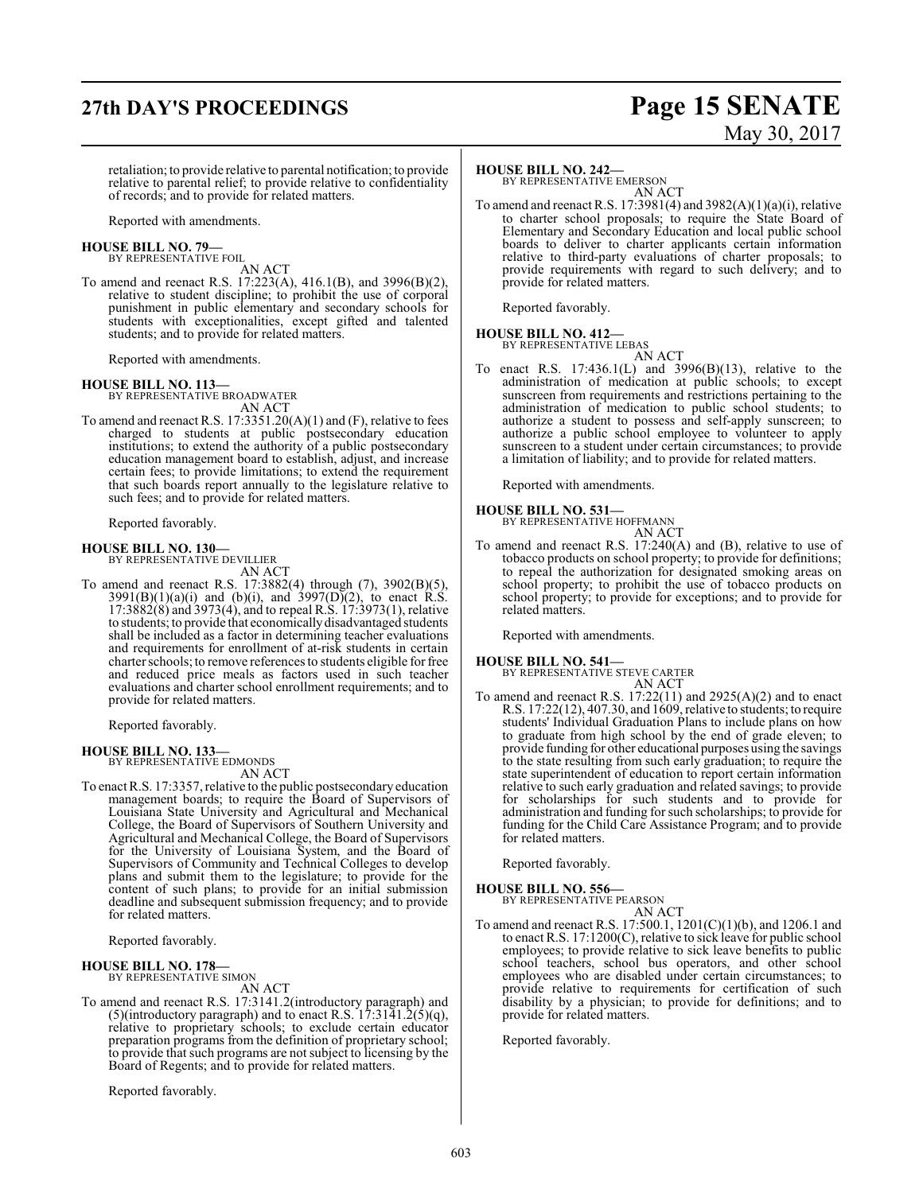## **27th DAY'S PROCEEDINGS Page 15 SENATE**

# May 30, 2017

retaliation; to provide relative to parental notification; to provide relative to parental relief; to provide relative to confidentiality of records; and to provide for related matters.

Reported with amendments.

### **HOUSE BILL NO. 79—** BY REPRESENTATIVE FOIL

AN ACT

To amend and reenact R.S. 17:223(A), 416.1(B), and 3996(B)(2), relative to student discipline; to prohibit the use of corporal punishment in public elementary and secondary schools for students with exceptionalities, except gifted and talented students; and to provide for related matters.

Reported with amendments.

#### **HOUSE BILL NO. 113—**

BY REPRESENTATIVE BROADWATER AN ACT

To amend and reenact R.S. 17:3351.20(A)(1) and (F), relative to fees charged to students at public postsecondary education institutions; to extend the authority of a public postsecondary education management board to establish, adjust, and increase certain fees; to provide limitations; to extend the requirement that such boards report annually to the legislature relative to such fees; and to provide for related matters.

Reported favorably.

#### **HOUSE BILL NO. 130—**

BY REPRESENTATIVE DEVILLIER AN ACT

To amend and reenact R.S. 17:3882(4) through (7), 3902(B)(5),  $3991(B)(1)(a)(i)$  and (b)(i), and  $3997(D)(2)$ , to enact R.S. 17:3882(8) and 3973(4), and to repeal R.S. 17:3973(1), relative to students; to provide that economicallydisadvantaged students shall be included as a factor in determining teacher evaluations and requirements for enrollment of at-risk students in certain charter schools; to remove references to students eligible forfree and reduced price meals as factors used in such teacher evaluations and charter school enrollment requirements; and to provide for related matters.

Reported favorably.

#### **HOUSE BILL NO. 133—**

BY REPRESENTATIVE EDMONDS AN ACT

To enact R.S. 17:3357, relative to the public postsecondary education management boards; to require the Board of Supervisors of Louisiana State University and Agricultural and Mechanical College, the Board of Supervisors of Southern University and Agricultural and Mechanical College, the Board of Supervisors for the University of Louisiana System, and the Board of Supervisors of Community and Technical Colleges to develop plans and submit them to the legislature; to provide for the content of such plans; to provide for an initial submission deadline and subsequent submission frequency; and to provide for related matters.

Reported favorably.

## **HOUSE BILL NO. 178—** BY REPRESENTATIVE SIMON

AN ACT

To amend and reenact R.S. 17:3141.2(introductory paragraph) and  $(5)$ (introductory paragraph) and to enact R.S. 17:3141.2(5)(q), relative to proprietary schools; to exclude certain educator preparation programs from the definition of proprietary school; to provide that such programs are not subject to licensing by the Board of Regents; and to provide for related matters.

Reported favorably.

#### **HOUSE BILL NO. 242—**

BY REPRESENTATIVE EMERSON AN ACT

To amend and reenact R.S. 17:3981(4) and  $3982(A)(1)(a)(i)$ , relative to charter school proposals; to require the State Board of Elementary and Secondary Education and local public school boards to deliver to charter applicants certain information relative to third-party evaluations of charter proposals; to provide requirements with regard to such delivery; and to provide for related matters.

Reported favorably.

#### **HOUSE BILL NO. 412—** BY REPRESENTATIVE LEBAS

AN ACT

To enact R.S. 17:436.1(L) and 3996(B)(13), relative to the administration of medication at public schools; to except sunscreen from requirements and restrictions pertaining to the administration of medication to public school students; to authorize a student to possess and self-apply sunscreen; to authorize a public school employee to volunteer to apply sunscreen to a student under certain circumstances; to provide a limitation of liability; and to provide for related matters.

Reported with amendments.

## **HOUSE BILL NO. 531—** BY REPRESENTATIVE HOFFMANN

AN ACT To amend and reenact R.S. 17:240(A) and (B), relative to use of tobacco products on school property; to provide for definitions; to repeal the authorization for designated smoking areas on school property; to prohibit the use of tobacco products on school property; to provide for exceptions; and to provide for related matters.

Reported with amendments.

**HOUSE BILL NO. 541—** BY REPRESENTATIVE STEVE CARTER AN ACT

To amend and reenact R.S. 17:22(11) and 2925(A)(2) and to enact R.S. 17:22(12), 407.30, and 1609, relative to students; to require students' Individual Graduation Plans to include plans on how to graduate from high school by the end of grade eleven; to provide funding for other educational purposes using the savings to the state resulting from such early graduation; to require the state superintendent of education to report certain information relative to such early graduation and related savings; to provide for scholarships for such students and to provide for administration and funding for such scholarships; to provide for funding for the Child Care Assistance Program; and to provide for related matters.

Reported favorably.

#### **HOUSE BILL NO. 556—**

BY REPRESENTATIVE PEARSON AN ACT

To amend and reenact R.S. 17:500.1, 1201(C)(1)(b), and 1206.1 and to enact R.S. 17:1200(C), relative to sick leave for public school employees; to provide relative to sick leave benefits to public school teachers, school bus operators, and other school employees who are disabled under certain circumstances; to provide relative to requirements for certification of such disability by a physician; to provide for definitions; and to provide for related matters.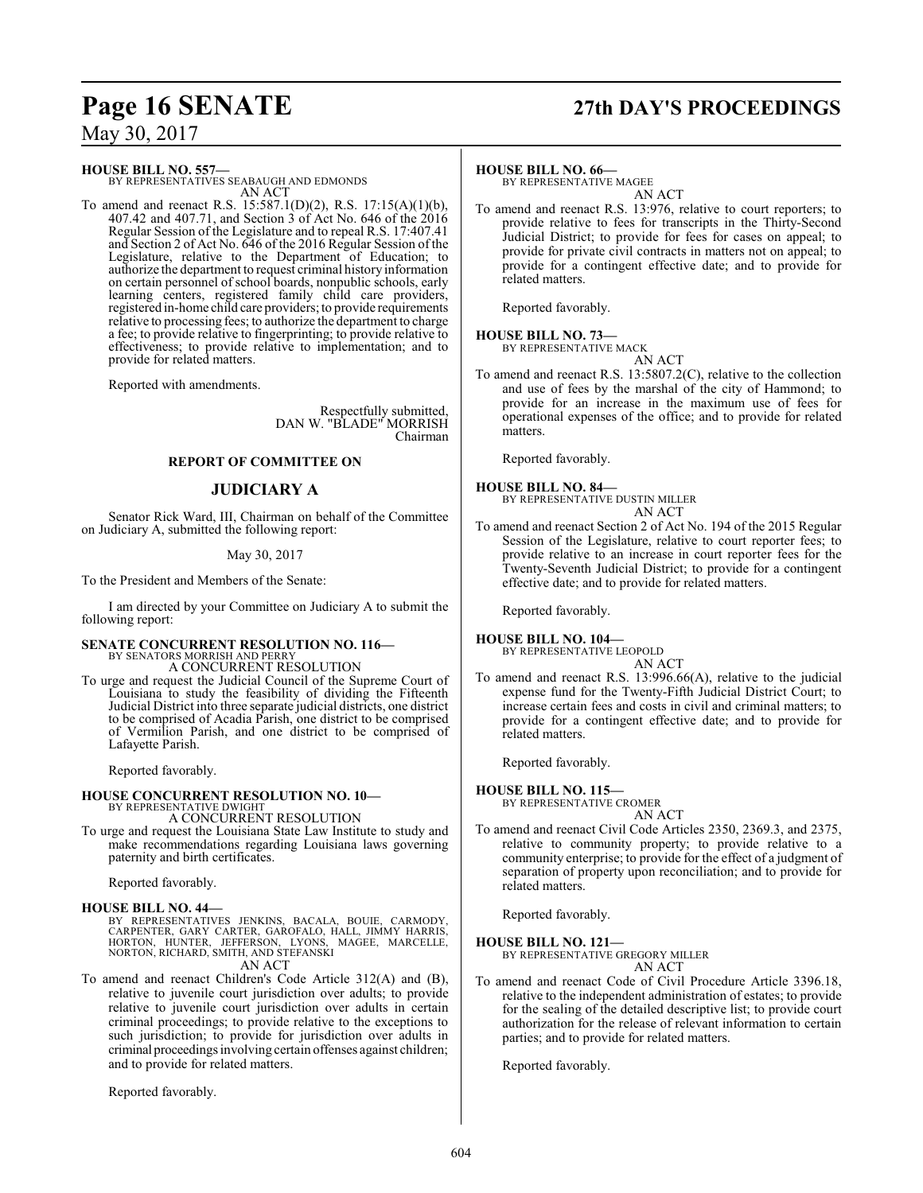## **Page 16 SENATE 27th DAY'S PROCEEDINGS**

May 30, 2017

**HOUSE BILL NO. 557—**

BY REPRESENTATIVES SEABAUGH AND EDMONDS AN ACT

To amend and reenact R.S. 15:587.1(D)(2), R.S. 17:15(A)(1)(b), 407.42 and 407.71, and Section 3 of Act No. 646 of the 2016 Regular Session of the Legislature and to repeal R.S. 17:407.41 and Section 2 of Act No. 646 of the 2016 Regular Session of the Legislature, relative to the Department of Education; to authorize the department to request criminal history information on certain personnel of school boards, nonpublic schools, early learning centers, registered family child care providers, registered in-home child care providers; to provide requirements relative to processing fees; to authorize the department to charge a fee; to provide relative to fingerprinting; to provide relative to effectiveness; to provide relative to implementation; and to provide for related matters.

Reported with amendments.

Respectfully submitted, DAN W. "BLADE" MORRISH Chairman

#### **REPORT OF COMMITTEE ON**

#### **JUDICIARY A**

Senator Rick Ward, III, Chairman on behalf of the Committee on Judiciary A, submitted the following report:

#### May 30, 2017

To the President and Members of the Senate:

I am directed by your Committee on Judiciary A to submit the following report:

## **SENATE CONCURRENT RESOLUTION NO. 116—** BY SENATORS MORRISH AND PERRY

A CONCURRENT RESOLUTION

To urge and request the Judicial Council of the Supreme Court of Louisiana to study the feasibility of dividing the Fifteenth Judicial District into three separate judicial districts, one district to be comprised of Acadia Parish, one district to be comprised of Vermilion Parish, and one district to be comprised of Lafayette Parish.

Reported favorably.

#### **HOUSE CONCURRENT RESOLUTION NO. 10—**

BY REPRESENTATIVE DWIGHT A CONCURRENT RESOLUTION

To urge and request the Louisiana State Law Institute to study and make recommendations regarding Louisiana laws governing paternity and birth certificates.

Reported favorably.

#### **HOUSE BILL NO. 44—**

BY REPRESENTATIVES JENKINS, BACALA, BOUIE, CARMODY, CARPENTER, GARY CARTER, GAROFALO, HALL, JIMMY HARRIS, HORTON, HUNTER, JEFFERSON, LYONS, MAGEE, MARCELLE, NORTON, RICHARD, SMITH, AND STEFANSKI AN ACT

To amend and reenact Children's Code Article 312(A) and (B), relative to juvenile court jurisdiction over adults; to provide relative to juvenile court jurisdiction over adults in certain criminal proceedings; to provide relative to the exceptions to such jurisdiction; to provide for jurisdiction over adults in criminal proceedings involving certain offenses against children; and to provide for related matters.

Reported favorably.

#### **HOUSE BILL NO. 66—**

BY REPRESENTATIVE MAGEE AN ACT

To amend and reenact R.S. 13:976, relative to court reporters; to provide relative to fees for transcripts in the Thirty-Second Judicial District; to provide for fees for cases on appeal; to provide for private civil contracts in matters not on appeal; to provide for a contingent effective date; and to provide for related matters.

Reported favorably.

#### **HOUSE BILL NO. 73—**

BY REPRESENTATIVE MACK

- AN ACT
- To amend and reenact R.S. 13:5807.2(C), relative to the collection and use of fees by the marshal of the city of Hammond; to provide for an increase in the maximum use of fees for operational expenses of the office; and to provide for related matters.

Reported favorably.

#### **HOUSE BILL NO. 84—**

BY REPRESENTATIVE DUSTIN MILLER AN ACT

To amend and reenact Section 2 of Act No. 194 of the 2015 Regular Session of the Legislature, relative to court reporter fees; to provide relative to an increase in court reporter fees for the Twenty-Seventh Judicial District; to provide for a contingent effective date; and to provide for related matters.

Reported favorably.

#### **HOUSE BILL NO. 104—**

BY REPRESENTATIVE LEOPOLD AN ACT

To amend and reenact R.S. 13:996.66(A), relative to the judicial expense fund for the Twenty-Fifth Judicial District Court; to increase certain fees and costs in civil and criminal matters; to provide for a contingent effective date; and to provide for related matters.

Reported favorably.

### **HOUSE BILL NO. 115—**

BY REPRESENTATIVE CROMER AN ACT

To amend and reenact Civil Code Articles 2350, 2369.3, and 2375, relative to community property; to provide relative to a community enterprise; to provide for the effect of a judgment of separation of property upon reconciliation; and to provide for

Reported favorably.

related matters.

**HOUSE BILL NO. 121—**

BY REPRESENTATIVE GREGORY MILLER AN ACT

To amend and reenact Code of Civil Procedure Article 3396.18, relative to the independent administration of estates; to provide for the sealing of the detailed descriptive list; to provide court authorization for the release of relevant information to certain parties; and to provide for related matters.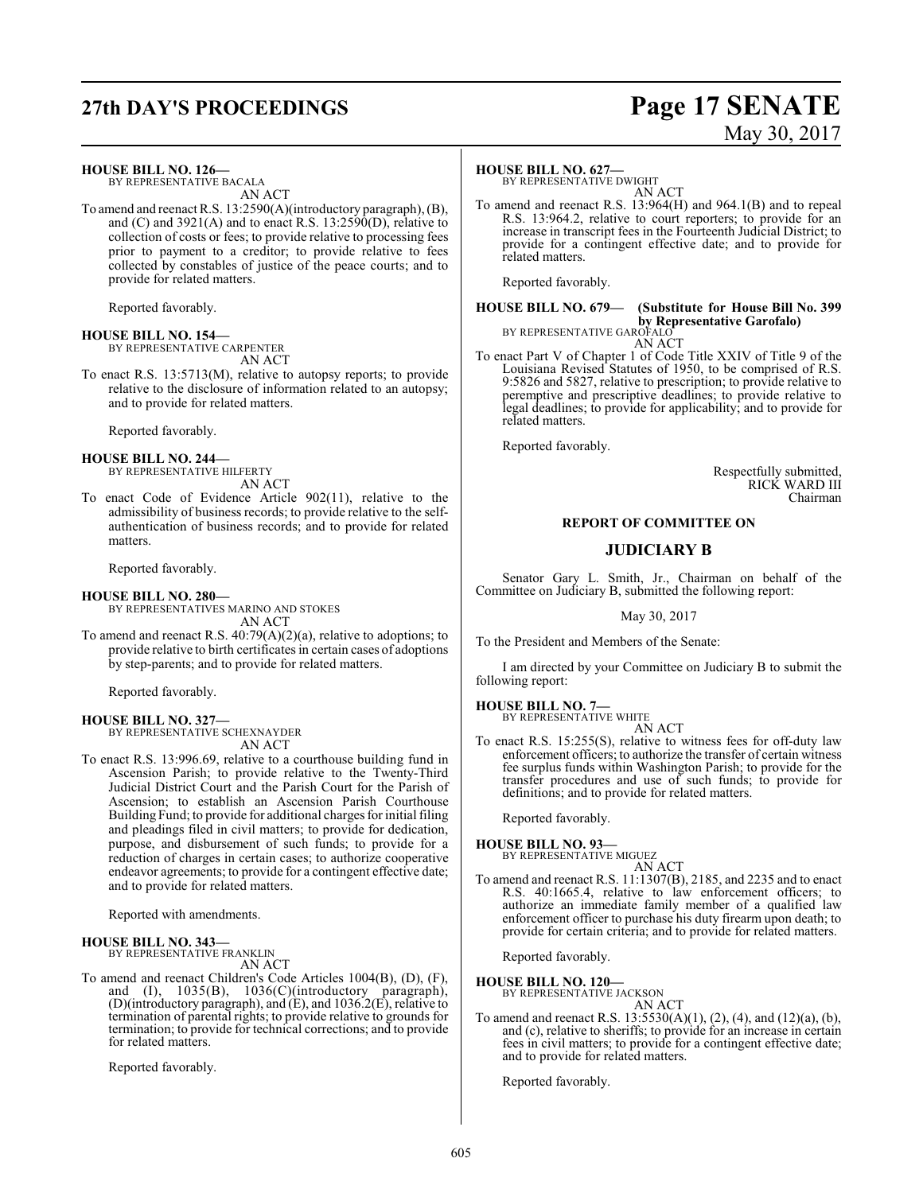## **27th DAY'S PROCEEDINGS Page 17 SENATE**

# May 30, 2017

#### **HOUSE BILL NO. 126—**

BY REPRESENTATIVE BACALA AN ACT

To amend and reenact R.S. 13:2590(A)(introductory paragraph), (B), and (C) and  $3921(A)$  and to enact R.S.  $13:2590(D)$ , relative to collection of costs or fees; to provide relative to processing fees prior to payment to a creditor; to provide relative to fees collected by constables of justice of the peace courts; and to provide for related matters.

Reported favorably.

#### **HOUSE BILL NO. 154—**

BY REPRESENTATIVE CARPENTER AN ACT

To enact R.S. 13:5713(M), relative to autopsy reports; to provide relative to the disclosure of information related to an autopsy; and to provide for related matters.

Reported favorably.

#### **HOUSE BILL NO. 244—**

BY REPRESENTATIVE HILFERTY AN ACT

To enact Code of Evidence Article 902(11), relative to the admissibility of business records; to provide relative to the selfauthentication of business records; and to provide for related matters.

Reported favorably.

#### **HOUSE BILL NO. 280—**

BY REPRESENTATIVES MARINO AND STOKES AN ACT

To amend and reenact R.S. 40:79(A)(2)(a), relative to adoptions; to provide relative to birth certificates in certain cases of adoptions by step-parents; and to provide for related matters.

Reported favorably.

#### **HOUSE BILL NO. 327—**

BY REPRESENTATIVE SCHEXNAYDER AN ACT

To enact R.S. 13:996.69, relative to a courthouse building fund in Ascension Parish; to provide relative to the Twenty-Third Judicial District Court and the Parish Court for the Parish of Ascension; to establish an Ascension Parish Courthouse Building Fund; to provide for additional charges for initial filing and pleadings filed in civil matters; to provide for dedication, purpose, and disbursement of such funds; to provide for a reduction of charges in certain cases; to authorize cooperative endeavor agreements; to provide for a contingent effective date; and to provide for related matters.

Reported with amendments.

#### **HOUSE BILL NO. 343—**

BY REPRESENTATIVE FRANKLIN AN ACT

To amend and reenact Children's Code Articles 1004(B), (D), (F), and (I), 1035(B), 1036(C)(introductory paragraph), (D)(introductory paragraph), and (E), and 1036.2(E), relative to termination of parental rights; to provide relative to grounds for termination; to provide for technical corrections; and to provide for related matters.

Reported favorably.

#### **HOUSE BILL NO. 627—**

BY REPRESENTATIVE DWIGHT AN ACT

To amend and reenact R.S. 13:964(H) and 964.1(B) and to repeal R.S. 13:964.2, relative to court reporters; to provide for an increase in transcript fees in the Fourteenth Judicial District; to provide for a contingent effective date; and to provide for related matters.

Reported favorably.

#### **HOUSE BILL NO. 679— (Substitute for House Bill No. 399 by Representative Garofalo)** BY REPRESENTATIVE GAROFALO

AN ACT To enact Part V of Chapter 1 of Code Title XXIV of Title 9 of the Louisiana Revised Statutes of 1950, to be comprised of R.S. 9:5826 and 5827, relative to prescription; to provide relative to peremptive and prescriptive deadlines; to provide relative to legal deadlines; to provide for applicability; and to provide for related matters.

Reported favorably.

Respectfully submitted, RICK WARD III Chairman

#### **REPORT OF COMMITTEE ON**

#### **JUDICIARY B**

Senator Gary L. Smith, Jr., Chairman on behalf of the Committee on Judiciary B, submitted the following report:

May 30, 2017

To the President and Members of the Senate:

I am directed by your Committee on Judiciary B to submit the following report:

**HOUSE BILL NO. 7—** BY REPRESENTATIVE WHITE

AN ACT

To enact R.S. 15:255(S), relative to witness fees for off-duty law enforcement officers; to authorize the transfer of certain witness fee surplus funds within Washington Parish; to provide for the transfer procedures and use of such funds; to provide for definitions; and to provide for related matters.

Reported favorably.

#### **HOUSE BILL NO. 93—** BY REPRESENTATIVE MIGUEZ

AN ACT

To amend and reenact R.S. 11:1307(B), 2185, and 2235 and to enact R.S. 40:1665.4, relative to law enforcement officers; to authorize an immediate family member of a qualified law enforcement officer to purchase his duty firearm upon death; to provide for certain criteria; and to provide for related matters.

Reported favorably.

#### **HOUSE BILL NO. 120—**

BY REPRESENTATIVE JACKSON AN ACT

To amend and reenact R.S. 13:5530(A)(1), (2), (4), and (12)(a), (b), and (c), relative to sheriffs; to provide for an increase in certain fees in civil matters; to provide for a contingent effective date; and to provide for related matters.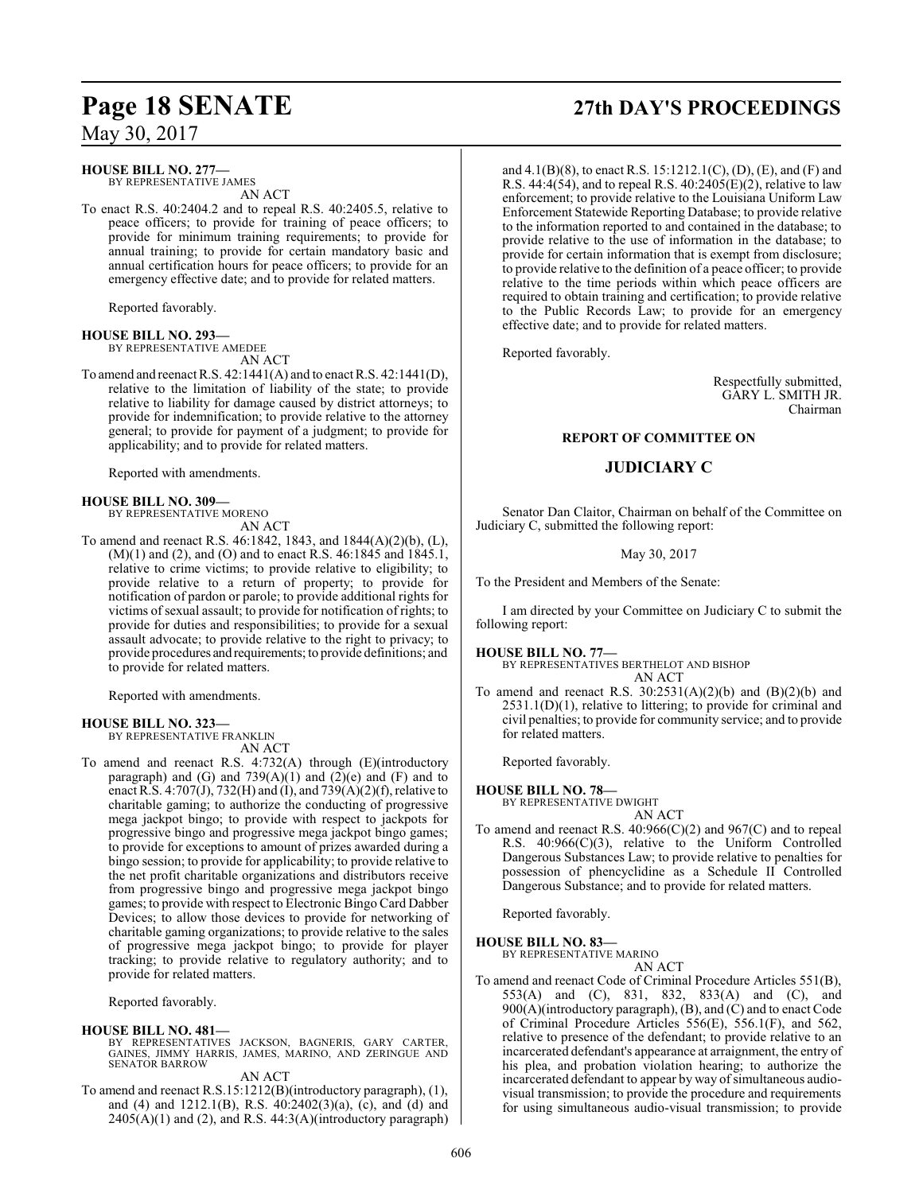**HOUSE BILL NO. 277—**

BY REPRESENTATIVE JAMES AN ACT

To enact R.S. 40:2404.2 and to repeal R.S. 40:2405.5, relative to peace officers; to provide for training of peace officers; to provide for minimum training requirements; to provide for annual training; to provide for certain mandatory basic and annual certification hours for peace officers; to provide for an emergency effective date; and to provide for related matters.

Reported favorably.

#### **HOUSE BILL NO. 293—**

BY REPRESENTATIVE AMEDEE

AN ACT

To amend and reenact R.S. 42:1441(A) and to enact R.S. 42:1441(D), relative to the limitation of liability of the state; to provide relative to liability for damage caused by district attorneys; to provide for indemnification; to provide relative to the attorney general; to provide for payment of a judgment; to provide for applicability; and to provide for related matters.

Reported with amendments.

#### **HOUSE BILL NO. 309—**

BY REPRESENTATIVE MORENO AN ACT

To amend and reenact R.S. 46:1842, 1843, and 1844(A)(2)(b), (L), (M)(1) and (2), and (O) and to enact R.S. 46:1845 and 1845.1, relative to crime victims; to provide relative to eligibility; to provide relative to a return of property; to provide for notification of pardon or parole; to provide additional rights for victims of sexual assault; to provide for notification of rights; to provide for duties and responsibilities; to provide for a sexual assault advocate; to provide relative to the right to privacy; to provide procedures and requirements; to provide definitions; and to provide for related matters.

Reported with amendments.

#### **HOUSE BILL NO. 323—**

BY REPRESENTATIVE FRANKLIN AN ACT

To amend and reenact R.S. 4:732(A) through (E)(introductory paragraph) and (G) and 739(A)(1) and (2)(e) and (F) and to enact R.S. 4:707(J), 732(H) and (I), and 739(A)(2)(f), relative to charitable gaming; to authorize the conducting of progressive mega jackpot bingo; to provide with respect to jackpots for progressive bingo and progressive mega jackpot bingo games; to provide for exceptions to amount of prizes awarded during a bingo session; to provide for applicability; to provide relative to the net profit charitable organizations and distributors receive from progressive bingo and progressive mega jackpot bingo games; to provide with respect to Electronic Bingo Card Dabber Devices; to allow those devices to provide for networking of charitable gaming organizations; to provide relative to the sales of progressive mega jackpot bingo; to provide for player tracking; to provide relative to regulatory authority; and to provide for related matters.

Reported favorably.

#### **HOUSE BILL NO. 481—**

BY REPRESENTATIVES JACKSON, BAGNERIS, GARY CARTER, GAINES, JIMMY HARRIS, JAMES, MARINO, AND ZERINGUE AND SENATOR BARROW

#### AN ACT

To amend and reenact R.S.15:1212(B)(introductory paragraph), (1), and (4) and 1212.1(B), R.S. 40:2402(3)(a), (c), and (d) and  $2405(A)(1)$  and (2), and R.S.  $44:3(A)(introducing paragraph)$ 

## **Page 18 SENATE 27th DAY'S PROCEEDINGS**

and 4.1(B)(8), to enact R.S. 15:1212.1(C), (D), (E), and (F) and R.S. 44:4(54), and to repeal R.S.  $40:2405(E)(2)$ , relative to law enforcement; to provide relative to the Louisiana Uniform Law Enforcement Statewide Reporting Database; to provide relative to the information reported to and contained in the database; to provide relative to the use of information in the database; to provide for certain information that is exempt from disclosure; to provide relative to the definition of a peace officer; to provide relative to the time periods within which peace officers are required to obtain training and certification; to provide relative to the Public Records Law; to provide for an emergency effective date; and to provide for related matters.

Reported favorably.

Respectfully submitted, GARY L. SMITH JR. Chairman

#### **REPORT OF COMMITTEE ON**

### **JUDICIARY C**

Senator Dan Claitor, Chairman on behalf of the Committee on Judiciary C, submitted the following report:

#### May 30, 2017

To the President and Members of the Senate:

I am directed by your Committee on Judiciary C to submit the following report:

**HOUSE BILL NO. 77—**

BY REPRESENTATIVES BERTHELOT AND BISHOP AN ACT

To amend and reenact R.S.  $30:2531(A)(2)(b)$  and  $(B)(2)(b)$  and  $2531.1(D)(1)$ , relative to littering; to provide for criminal and civil penalties; to provide for community service; and to provide for related matters.

Reported favorably.

**HOUSE BILL NO. 78—**

BY REPRESENTATIVE DWIGHT AN ACT

To amend and reenact R.S.  $40:966(C)(2)$  and  $967(C)$  and to repeal R.S.  $40:966(C)(3)$ , relative to the Uniform Controlled Dangerous Substances Law; to provide relative to penalties for possession of phencyclidine as a Schedule II Controlled Dangerous Substance; and to provide for related matters.

Reported favorably.

**HOUSE BILL NO. 83—**

BY REPRESENTATIVE MARINO AN ACT

To amend and reenact Code of Criminal Procedure Articles 551(B), 553(A) and (C), 831, 832, 833(A) and (C), and 900(A)(introductory paragraph), (B), and (C) and to enact Code of Criminal Procedure Articles 556(E), 556.1(F), and 562, relative to presence of the defendant; to provide relative to an incarcerated defendant's appearance at arraignment, the entry of his plea, and probation violation hearing; to authorize the incarcerated defendant to appear by way of simultaneous audiovisual transmission; to provide the procedure and requirements for using simultaneous audio-visual transmission; to provide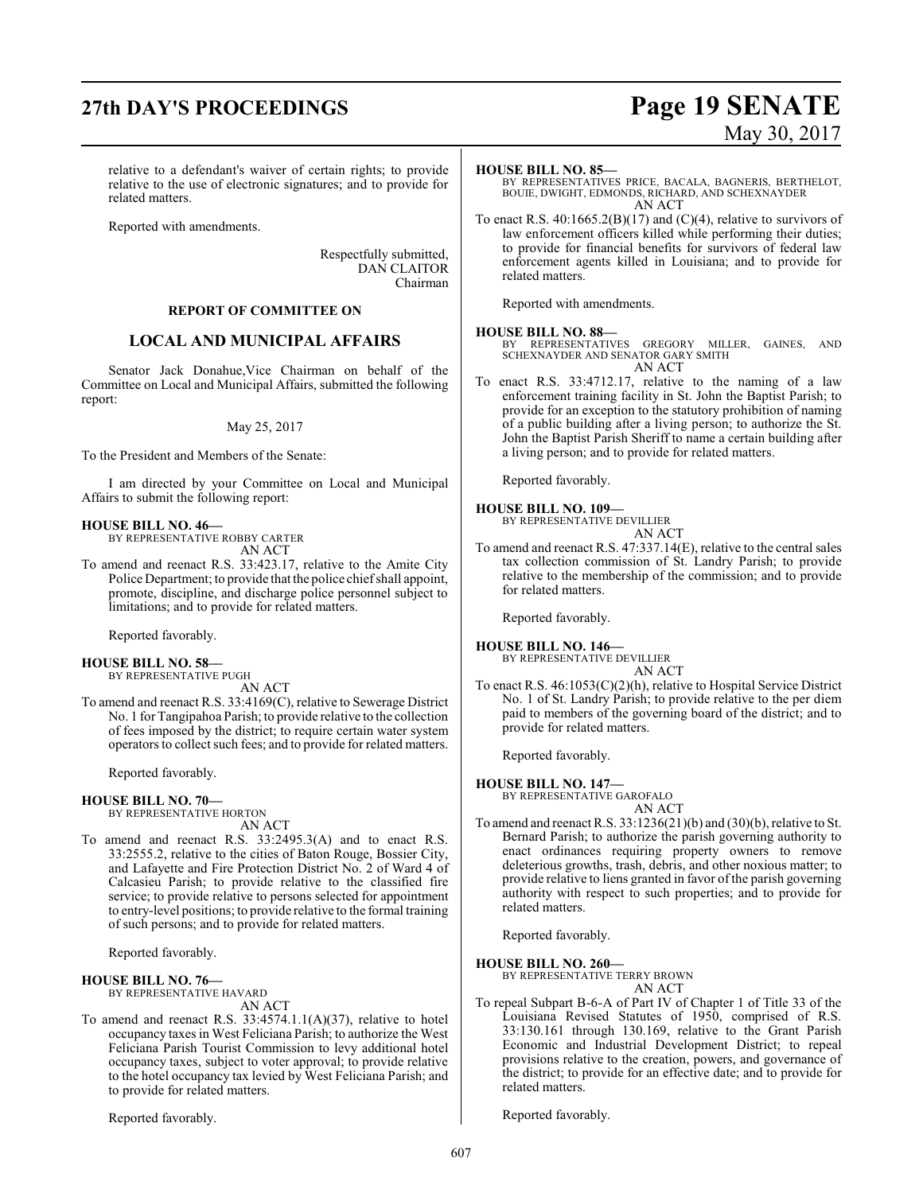## **27th DAY'S PROCEEDINGS Page 19 SENATE** May 30, 2017

relative to a defendant's waiver of certain rights; to provide relative to the use of electronic signatures; and to provide for related matters.

Reported with amendments.

Respectfully submitted, DAN CLAITOR Chairman

#### **REPORT OF COMMITTEE ON**

### **LOCAL AND MUNICIPAL AFFAIRS**

Senator Jack Donahue,Vice Chairman on behalf of the Committee on Local and Municipal Affairs, submitted the following report:

#### May 25, 2017

To the President and Members of the Senate:

I am directed by your Committee on Local and Municipal Affairs to submit the following report:

#### **HOUSE BILL NO. 46—**

BY REPRESENTATIVE ROBBY CARTER AN ACT

To amend and reenact R.S. 33:423.17, relative to the Amite City Police Department; to provide that the police chiefshall appoint, promote, discipline, and discharge police personnel subject to limitations; and to provide for related matters.

Reported favorably.

#### **HOUSE BILL NO. 58—**

BY REPRESENTATIVE PUGH AN ACT

To amend and reenact R.S. 33:4169(C), relative to Sewerage District No. 1 for Tangipahoa Parish; to provide relative to the collection of fees imposed by the district; to require certain water system operators to collect such fees; and to provide for related matters.

Reported favorably.

#### **HOUSE BILL NO. 70—**

BY REPRESENTATIVE HORTON AN ACT

To amend and reenact R.S. 33:2495.3(A) and to enact R.S. 33:2555.2, relative to the cities of Baton Rouge, Bossier City, and Lafayette and Fire Protection District No. 2 of Ward 4 of Calcasieu Parish; to provide relative to the classified fire service; to provide relative to persons selected for appointment to entry-level positions; to provide relative to the formal training of such persons; and to provide for related matters.

Reported favorably.

#### **HOUSE BILL NO. 76—**

BY REPRESENTATIVE HAVARD AN ACT

To amend and reenact R.S. 33:4574.1.1(A)(37), relative to hotel occupancy taxes in West Feliciana Parish; to authorize the West Feliciana Parish Tourist Commission to levy additional hotel occupancy taxes, subject to voter approval; to provide relative to the hotel occupancy tax levied by West Feliciana Parish; and to provide for related matters.

Reported favorably.

#### **HOUSE BILL NO. 85—**

BY REPRESENTATIVES PRICE, BACALA, BAGNERIS, BERTHELOT, BOUIE, DWIGHT, EDMONDS, RICHARD, AND SCHEXNAYDER AN ACT

To enact R.S.  $40:1665.2(B)(17)$  and  $(C)(4)$ , relative to survivors of law enforcement officers killed while performing their duties; to provide for financial benefits for survivors of federal law enforcement agents killed in Louisiana; and to provide for related matters.

Reported with amendments.

#### **HOUSE BILL NO. 88—**

BY REPRESENTATIVES GREGORY MILLER, GAINES, AND SCHEXNAYDER AND SENATOR GARY SMITH AN ACT

To enact R.S. 33:4712.17, relative to the naming of a law enforcement training facility in St. John the Baptist Parish; to provide for an exception to the statutory prohibition of naming of a public building after a living person; to authorize the St. John the Baptist Parish Sheriff to name a certain building after a living person; and to provide for related matters.

Reported favorably.

#### **HOUSE BILL NO. 109—**

BY REPRESENTATIVE DEVILLIER AN ACT

To amend and reenact R.S. 47:337.14(E), relative to the central sales tax collection commission of St. Landry Parish; to provide relative to the membership of the commission; and to provide for related matters.

Reported favorably.

### **HOUSE BILL NO. 146—**

BY REPRESENTATIVE DEVILLIER AN ACT

#### To enact R.S. 46:1053(C)(2)(h), relative to Hospital Service District No. 1 of St. Landry Parish; to provide relative to the per diem paid to members of the governing board of the district; and to provide for related matters.

Reported favorably.

**HOUSE BILL NO. 147—**

BY REPRESENTATIVE GAROFALO AN ACT

To amend and reenact R.S. 33:1236(21)(b) and (30)(b), relative to St. Bernard Parish; to authorize the parish governing authority to enact ordinances requiring property owners to remove deleterious growths, trash, debris, and other noxious matter; to provide relative to liens granted in favor of the parish governing authority with respect to such properties; and to provide for related matters.

Reported favorably.

#### **HOUSE BILL NO. 260—**

BY REPRESENTATIVE TERRY BROWN AN ACT

To repeal Subpart B-6-A of Part IV of Chapter 1 of Title 33 of the Louisiana Revised Statutes of 1950, comprised of R.S. 33:130.161 through 130.169, relative to the Grant Parish Economic and Industrial Development District; to repeal provisions relative to the creation, powers, and governance of the district; to provide for an effective date; and to provide for related matters.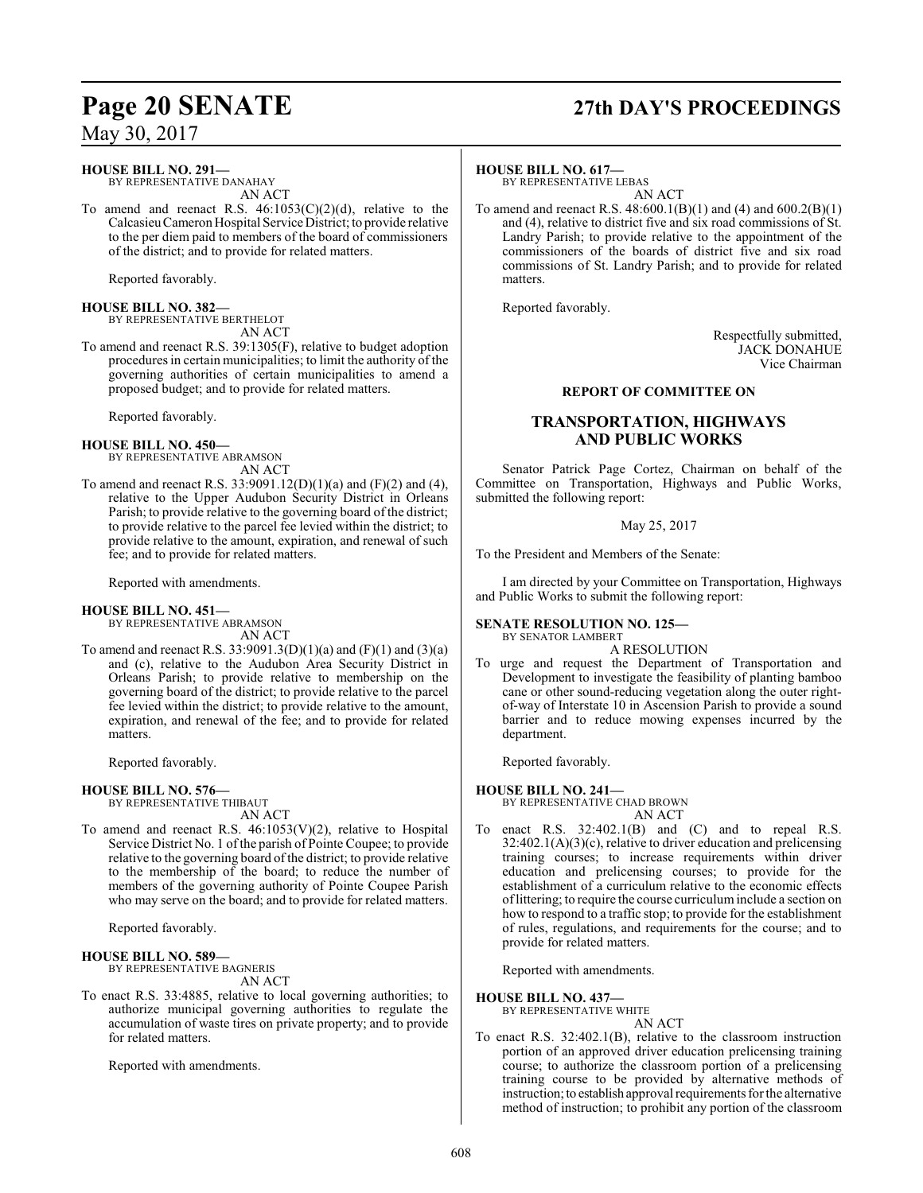## **Page 20 SENATE 27th DAY'S PROCEEDINGS**

### **HOUSE BILL NO. 291—**

BY REPRESENTATIVE DANAHAY AN ACT

To amend and reenact R.S.  $46:1053(C)(2)(d)$ , relative to the CalcasieuCameron Hospital Service District; to provide relative to the per diem paid to members of the board of commissioners of the district; and to provide for related matters.

Reported favorably.

#### **HOUSE BILL NO. 382—**

BY REPRESENTATIVE BERTHELOT AN ACT

To amend and reenact R.S. 39:1305(F), relative to budget adoption procedures in certain municipalities; to limit the authority of the governing authorities of certain municipalities to amend a proposed budget; and to provide for related matters.

Reported favorably.

**HOUSE BILL NO. 450—** BY REPRESENTATIVE ABRAMSON

AN ACT

To amend and reenact R.S. 33:9091.12(D)(1)(a) and (F)(2) and (4), relative to the Upper Audubon Security District in Orleans Parish; to provide relative to the governing board of the district; to provide relative to the parcel fee levied within the district; to provide relative to the amount, expiration, and renewal of such fee; and to provide for related matters.

Reported with amendments.

#### **HOUSE BILL NO. 451—**

BY REPRESENTATIVE ABRAMSON AN ACT

To amend and reenact R.S. 33:9091.3(D)(1)(a) and (F)(1) and (3)(a) and (c), relative to the Audubon Area Security District in Orleans Parish; to provide relative to membership on the governing board of the district; to provide relative to the parcel fee levied within the district; to provide relative to the amount, expiration, and renewal of the fee; and to provide for related matters.

Reported favorably.

#### **HOUSE BILL NO. 576—**

BY REPRESENTATIVE THIBAUT AN ACT

To amend and reenact R.S. 46:1053(V)(2), relative to Hospital Service District No. 1 ofthe parish of Pointe Coupee; to provide relative to the governing board ofthe district; to provide relative to the membership of the board; to reduce the number of members of the governing authority of Pointe Coupee Parish who may serve on the board; and to provide for related matters.

Reported favorably.

#### **HOUSE BILL NO. 589—**

BY REPRESENTATIVE BAGNERIS AN ACT

To enact R.S. 33:4885, relative to local governing authorities; to authorize municipal governing authorities to regulate the accumulation of waste tires on private property; and to provide for related matters.

Reported with amendments.

#### **HOUSE BILL NO. 617—**

BY REPRESENTATIVE LEBAS AN ACT

To amend and reenact R.S. 48:600.1(B)(1) and (4) and 600.2(B)(1) and (4), relative to district five and six road commissions of St. Landry Parish; to provide relative to the appointment of the commissioners of the boards of district five and six road commissions of St. Landry Parish; and to provide for related matters.

Reported favorably.

Respectfully submitted, JACK DONAHUE Vice Chairman

#### **REPORT OF COMMITTEE ON**

### **TRANSPORTATION, HIGHWAYS AND PUBLIC WORKS**

Senator Patrick Page Cortez, Chairman on behalf of the Committee on Transportation, Highways and Public Works, submitted the following report:

#### May 25, 2017

To the President and Members of the Senate:

I am directed by your Committee on Transportation, Highways and Public Works to submit the following report:

#### **SENATE RESOLUTION NO. 125—** BY SENATOR LAMBERT

A RESOLUTION

To urge and request the Department of Transportation and Development to investigate the feasibility of planting bamboo cane or other sound-reducing vegetation along the outer rightof-way of Interstate 10 in Ascension Parish to provide a sound barrier and to reduce mowing expenses incurred by the department.

Reported favorably.

#### **HOUSE BILL NO. 241—**

BY REPRESENTATIVE CHAD BROWN AN ACT

To enact R.S. 32:402.1(B) and (C) and to repeal R.S. 32:402.1(A)(3)(c), relative to driver education and prelicensing training courses; to increase requirements within driver education and prelicensing courses; to provide for the establishment of a curriculum relative to the economic effects oflittering; to require the course curriculuminclude a section on how to respond to a traffic stop; to provide for the establishment of rules, regulations, and requirements for the course; and to provide for related matters.

Reported with amendments.

**HOUSE BILL NO. 437—**

BY REPRESENTATIVE WHITE AN ACT

To enact R.S. 32:402.1(B), relative to the classroom instruction portion of an approved driver education prelicensing training course; to authorize the classroom portion of a prelicensing training course to be provided by alternative methods of instruction;to establish approval requirements for the alternative method of instruction; to prohibit any portion of the classroom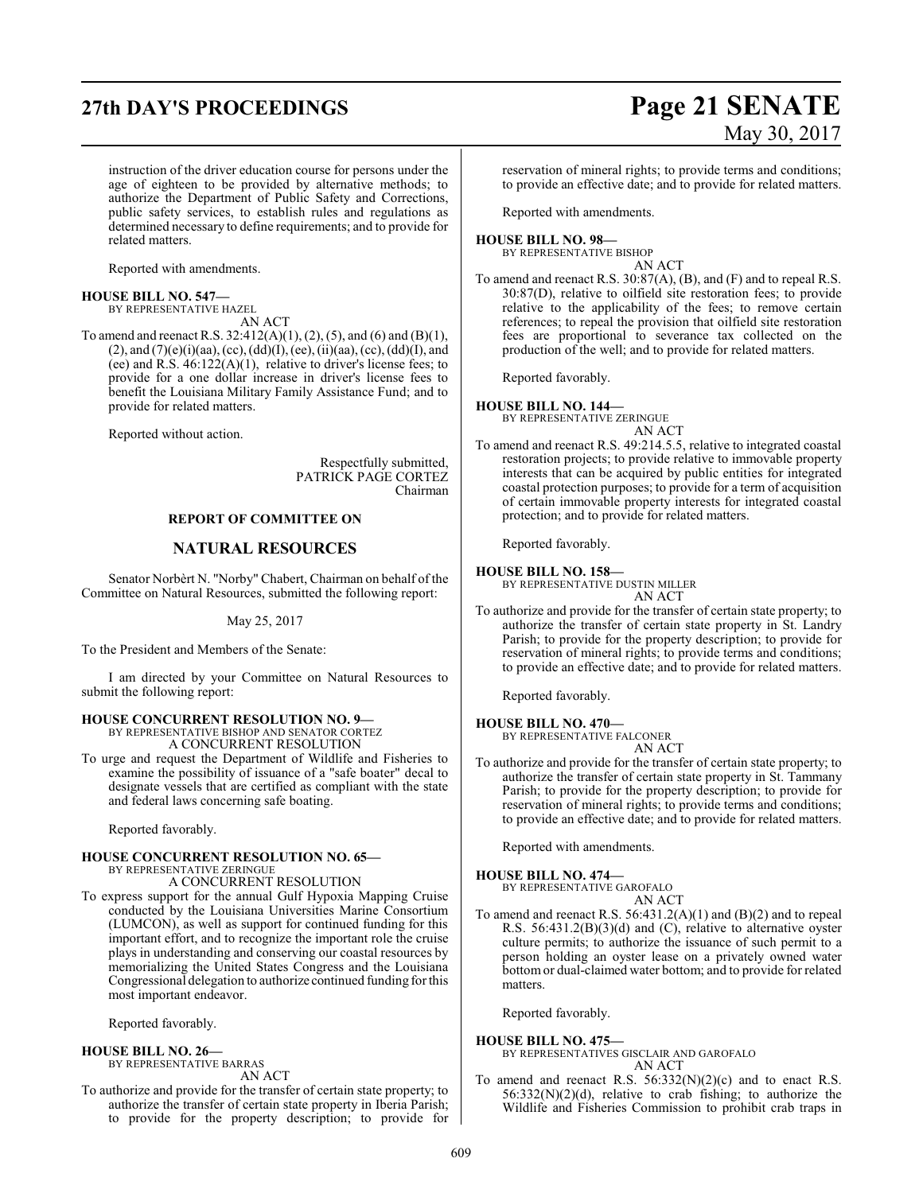## **27th DAY'S PROCEEDINGS Page 21 SENATE**

instruction of the driver education course for persons under the age of eighteen to be provided by alternative methods; to authorize the Department of Public Safety and Corrections, public safety services, to establish rules and regulations as determined necessary to define requirements; and to provide for related matters.

Reported with amendments.

#### **HOUSE BILL NO. 547—** BY REPRESENTATIVE HAZEL

AN ACT

To amend and reenact R.S. 32:412(A)(1), (2), (5), and (6) and (B)(1), (2), and  $(7)(e)(i)(aa)$ ,  $(cc)$ ,  $(dd)(I)$ ,  $(ee)$ ,  $(ii)(aa)$ ,  $(cc)$ ,  $(dd)(I)$ , and (ee) and R.S.  $46:122(A)(1)$ , relative to driver's license fees; to provide for a one dollar increase in driver's license fees to benefit the Louisiana Military Family Assistance Fund; and to provide for related matters.

Reported without action.

Respectfully submitted, PATRICK PAGE CORTEZ Chairman

### **REPORT OF COMMITTEE ON**

### **NATURAL RESOURCES**

Senator Norbèrt N. "Norby" Chabert, Chairman on behalf of the Committee on Natural Resources, submitted the following report:

May 25, 2017

To the President and Members of the Senate:

I am directed by your Committee on Natural Resources to submit the following report:

#### **HOUSE CONCURRENT RESOLUTION NO. 9—**

BY REPRESENTATIVE BISHOP AND SENATOR CORTEZ A CONCURRENT RESOLUTION

To urge and request the Department of Wildlife and Fisheries to examine the possibility of issuance of a "safe boater" decal to designate vessels that are certified as compliant with the state and federal laws concerning safe boating.

Reported favorably.

#### **HOUSE CONCURRENT RESOLUTION NO. 65—** BY REPRESENTATIVE ZERINGUE

A CONCURRENT RESOLUTION

To express support for the annual Gulf Hypoxia Mapping Cruise conducted by the Louisiana Universities Marine Consortium (LUMCON), as well as support for continued funding for this important effort, and to recognize the important role the cruise plays in understanding and conserving our coastal resources by memorializing the United States Congress and the Louisiana Congressional delegation to authorize continued funding for this most important endeavor.

Reported favorably.

#### **HOUSE BILL NO. 26—**

BY REPRESENTATIVE BARRAS AN ACT

To authorize and provide for the transfer of certain state property; to authorize the transfer of certain state property in Iberia Parish; to provide for the property description; to provide for

# May 30, 2017

reservation of mineral rights; to provide terms and conditions; to provide an effective date; and to provide for related matters.

Reported with amendments.

#### **HOUSE BILL NO. 98—**

BY REPRESENTATIVE BISHOP AN ACT

To amend and reenact R.S. 30:87(A), (B), and (F) and to repeal R.S. 30:87(D), relative to oilfield site restoration fees; to provide relative to the applicability of the fees; to remove certain references; to repeal the provision that oilfield site restoration fees are proportional to severance tax collected on the production of the well; and to provide for related matters.

Reported favorably.

### **HOUSE BILL NO. 144—**

BY REPRESENTATIVE ZERINGUE AN ACT

To amend and reenact R.S. 49:214.5.5, relative to integrated coastal restoration projects; to provide relative to immovable property interests that can be acquired by public entities for integrated coastal protection purposes; to provide for a term of acquisition of certain immovable property interests for integrated coastal protection; and to provide for related matters.

Reported favorably.

### **HOUSE BILL NO. 158—**

BY REPRESENTATIVE DUSTIN MILLER

AN ACT

To authorize and provide for the transfer of certain state property; to authorize the transfer of certain state property in St. Landry Parish; to provide for the property description; to provide for reservation of mineral rights; to provide terms and conditions; to provide an effective date; and to provide for related matters.

Reported favorably.

**HOUSE BILL NO. 470—**

#### BY REPRESENTATIVE FALCONER

AN ACT

To authorize and provide for the transfer of certain state property; to authorize the transfer of certain state property in St. Tammany Parish; to provide for the property description; to provide for reservation of mineral rights; to provide terms and conditions; to provide an effective date; and to provide for related matters.

Reported with amendments.

#### **HOUSE BILL NO. 474—**

BY REPRESENTATIVE GAROFALO AN ACT

To amend and reenact R.S.  $56:431.2(A)(1)$  and  $(B)(2)$  and to repeal R.S. 56:431.2(B)(3)(d) and (C), relative to alternative oyster culture permits; to authorize the issuance of such permit to a person holding an oyster lease on a privately owned water bottomor dual-claimed water bottom; and to provide for related matters.

Reported favorably.

#### **HOUSE BILL NO. 475—**

BY REPRESENTATIVES GISCLAIR AND GAROFALO AN ACT

To amend and reenact R.S. 56:332(N)(2)(c) and to enact R.S.  $56:332(N)(2)(d)$ , relative to crab fishing; to authorize the Wildlife and Fisheries Commission to prohibit crab traps in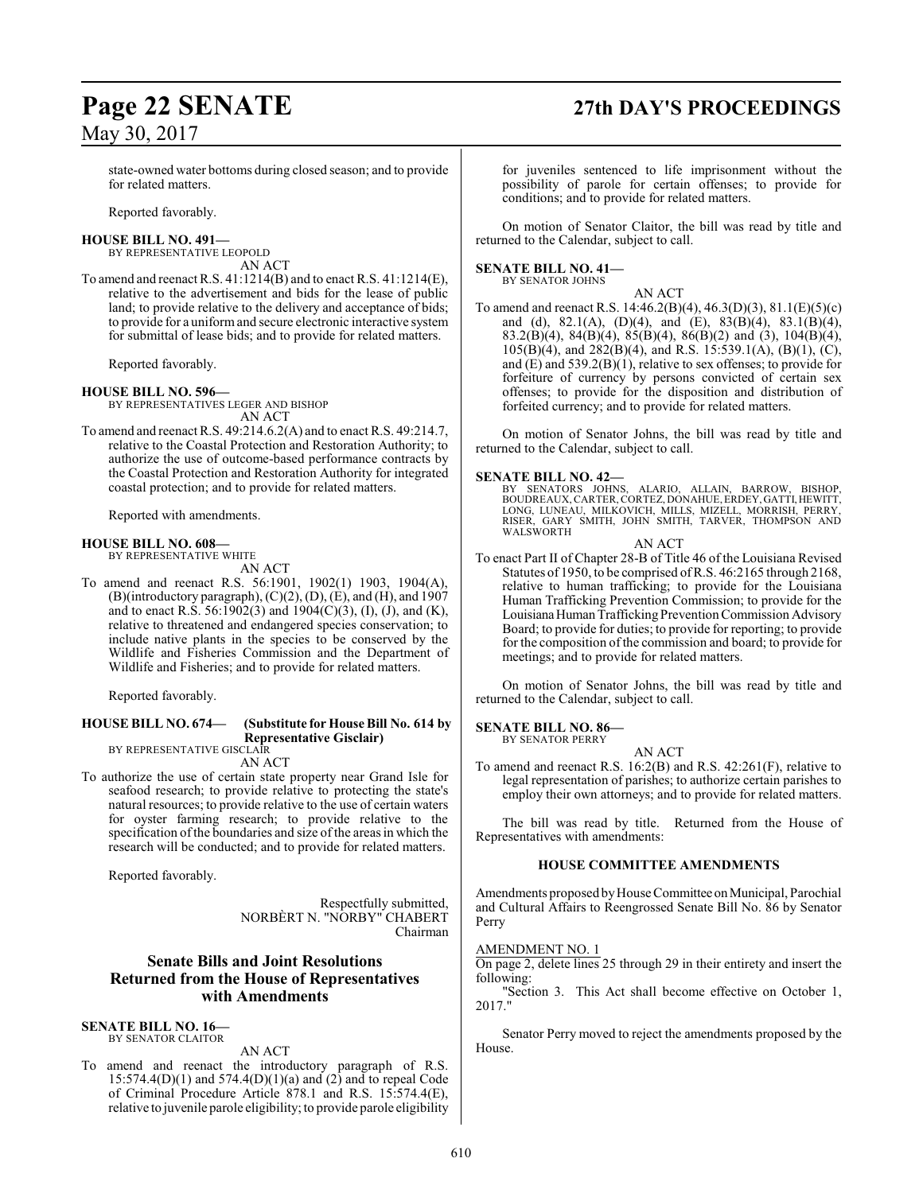## **Page 22 SENATE 27th DAY'S PROCEEDINGS**

state-owned water bottoms during closed season; and to provide for related matters.

Reported favorably.

#### **HOUSE BILL NO. 491—**

BY REPRESENTATIVE LEOPOLD AN ACT

To amend and reenact R.S. 41:1214(B) and to enact R.S. 41:1214(E), relative to the advertisement and bids for the lease of public land; to provide relative to the delivery and acceptance of bids; to provide for a uniform and secure electronic interactive system for submittal of lease bids; and to provide for related matters.

Reported favorably.

**HOUSE BILL NO. 596—** BY REPRESENTATIVES LEGER AND BISHOP

AN ACT

To amend and reenact R.S. 49:214.6.2(A) and to enact R.S. 49:214.7, relative to the Coastal Protection and Restoration Authority; to authorize the use of outcome-based performance contracts by the Coastal Protection and Restoration Authority for integrated coastal protection; and to provide for related matters.

Reported with amendments.

#### **HOUSE BILL NO. 608—**

BY REPRESENTATIVE WHITE AN ACT

To amend and reenact R.S. 56:1901, 1902(1) 1903, 1904(A), (B)(introductory paragraph), (C)(2), (D), (E), and (H), and 1907 and to enact R.S. 56:1902(3) and 1904(C)(3), (I), (J), and (K), relative to threatened and endangered species conservation; to include native plants in the species to be conserved by the Wildlife and Fisheries Commission and the Department of Wildlife and Fisheries; and to provide for related matters.

Reported favorably.

#### **HOUSE BILL NO. 674— (Substitute for House Bill No. 614 by Representative Gisclair)**

BY REPRESENTATIVE GISCLAIR

AN ACT

To authorize the use of certain state property near Grand Isle for seafood research; to provide relative to protecting the state's natural resources; to provide relative to the use of certain waters for oyster farming research; to provide relative to the specification of the boundaries and size of the areas in which the research will be conducted; and to provide for related matters.

Reported favorably.

Respectfully submitted, NORBÈRT N. "NORBY" CHABERT Chairman

### **Senate Bills and Joint Resolutions Returned from the House of Representatives with Amendments**

**SENATE BILL NO. 16—** BY SENATOR CLAITOR

#### AN ACT

To amend and reenact the introductory paragraph of R.S. 15:574.4(D)(1) and 574.4(D)(1)(a) and (2) and to repeal Code of Criminal Procedure Article 878.1 and R.S. 15:574.4(E), relative to juvenile parole eligibility; to provide parole eligibility

for juveniles sentenced to life imprisonment without the possibility of parole for certain offenses; to provide for conditions; and to provide for related matters.

On motion of Senator Claitor, the bill was read by title and returned to the Calendar, subject to call.

#### **SENATE BILL NO. 41—**

BY SENATOR JOHNS

AN ACT To amend and reenact R.S. 14:46.2(B)(4), 46.3(D)(3), 81.1(E)(5)(c) and (d), 82.1(A), (D)(4), and (E), 83(B)(4), 83.1(B)(4), 83.2(B)(4), 84(B)(4), 85(B)(4), 86(B)(2) and (3), 104(B)(4), 105(B)(4), and 282(B)(4), and R.S. 15:539.1(A), (B)(1), (C), and (E) and 539.2(B)(1), relative to sex offenses; to provide for forfeiture of currency by persons convicted of certain sex offenses; to provide for the disposition and distribution of forfeited currency; and to provide for related matters.

On motion of Senator Johns, the bill was read by title and returned to the Calendar, subject to call.

## **SENATE BILL NO. 42—**<br>BY SENATORS JOHNS,

ALARIO, ALLAIN, BARROW, BISHOP, BOUDREAUX, CARTER, CORTEZ, DONAHUE, ERDEY, GATTI, HEWITT,<br>LONG, LUNEAU, MILKOVICH, MILLS, MIZELL, MORRISH, PERRY,<br>RISER, GARY SMITH, JOHN SMITH, TARVER, THOMPSON AND WALSWORTH

AN ACT

To enact Part II of Chapter 28-B of Title 46 of the Louisiana Revised Statutes of 1950, to be comprised ofR.S. 46:2165 through 2168, relative to human trafficking; to provide for the Louisiana Human Trafficking Prevention Commission; to provide for the Louisiana Human Trafficking Prevention Commission Advisory Board; to provide for duties; to provide for reporting; to provide for the composition of the commission and board; to provide for meetings; and to provide for related matters.

On motion of Senator Johns, the bill was read by title and returned to the Calendar, subject to call.

#### **SENATE BILL NO. 86—** BY SENATOR PERRY

AN ACT

To amend and reenact R.S. 16:2(B) and R.S. 42:261(F), relative to legal representation of parishes; to authorize certain parishes to employ their own attorneys; and to provide for related matters.

The bill was read by title. Returned from the House of Representatives with amendments:

#### **HOUSE COMMITTEE AMENDMENTS**

Amendments proposed by House Committee on Municipal, Parochial and Cultural Affairs to Reengrossed Senate Bill No. 86 by Senator Perry

#### AMENDMENT NO. 1

On page 2, delete lines 25 through 29 in their entirety and insert the following:

"Section 3. This Act shall become effective on October 1, 2017."

Senator Perry moved to reject the amendments proposed by the House.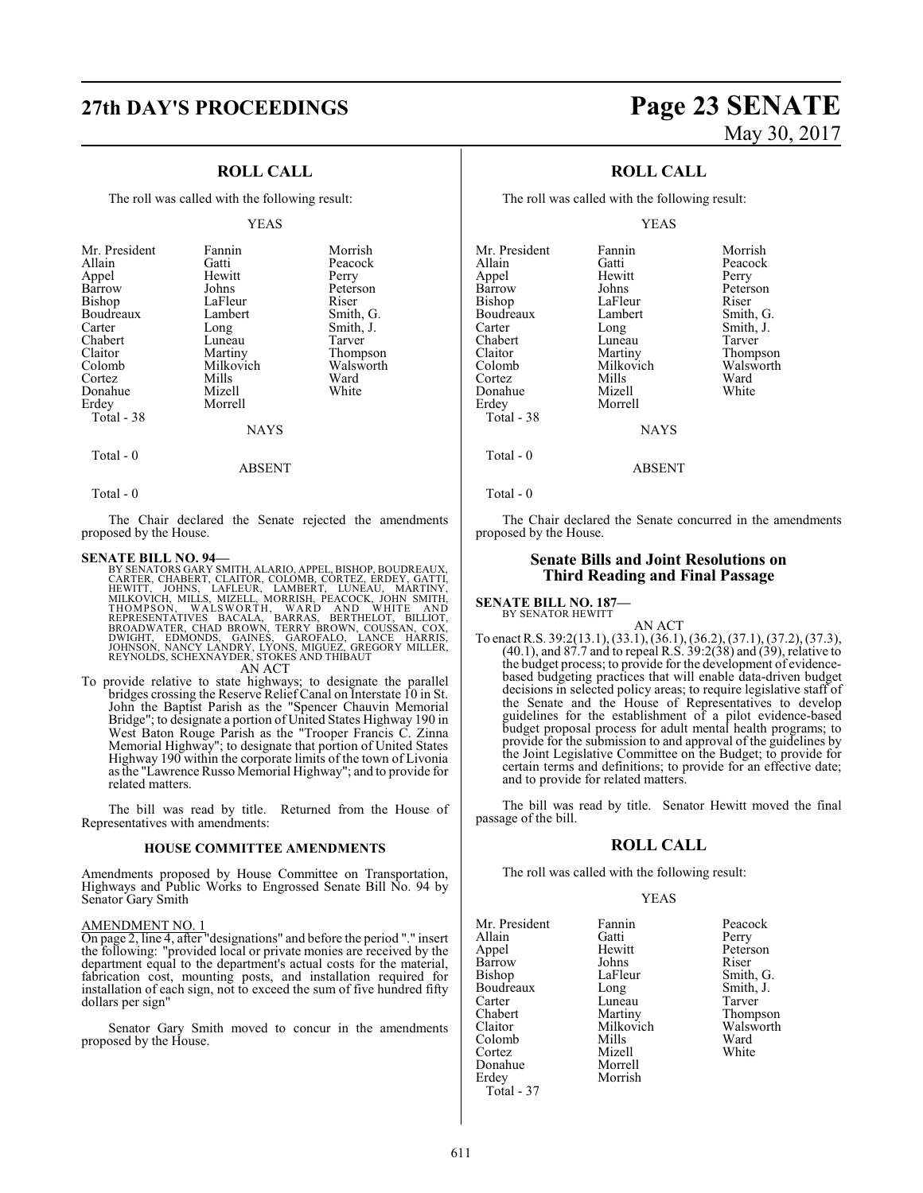### **27th DAY'S PROCEEDINGS Page 23 SENATE**

### **ROLL CALL**

The roll was called with the following result:

#### YEAS

| Mr. President<br>Allain<br>Appel<br>Barrow<br>Bishop<br>Boudreaux<br>Carter | Fannin<br>Gatti<br>Hewitt<br>Johns<br>LaFleur<br>Lambert<br>Long | Morrish<br>Peacock<br>Perry<br>Peterson<br>Riser<br>Smith, G.<br>Smith, J. |
|-----------------------------------------------------------------------------|------------------------------------------------------------------|----------------------------------------------------------------------------|
| Chabert                                                                     | Luneau                                                           | Tarver                                                                     |
| Claitor                                                                     | Martiny                                                          | Thompson                                                                   |
| Colomb                                                                      | Milkovich                                                        | Walsworth                                                                  |
| Cortez                                                                      | Mills                                                            | Ward                                                                       |
| Donahue                                                                     | Mizell                                                           | White                                                                      |
| Erdey                                                                       | Morrell                                                          |                                                                            |
| Total - 38                                                                  |                                                                  |                                                                            |
|                                                                             | <b>NAYS</b>                                                      |                                                                            |

### $Total - 0$

Total - 0

The Chair declared the Senate rejected the amendments proposed by the House.

ABSENT

**SENATE BILL NO. 94—** BY SENATORS GARY SMITH, ALARIO, APPEL, BISHOP, BOUDREAUX, CARTER, CHABERT, CLAITOR, COLOMB, CORTEZ, ERDEY, GATTH, HEWITT, JOHNS, LAFLEUR, LAMBERT, LUNEAU, MARTINY,<br>HEWITT, JOHNS, LAFLEUR, LAMBERT, LUNEAU, MARTINY,<br>MILKOVIC AN ACT

To provide relative to state highways; to designate the parallel bridges crossing the Reserve Relief Canal on Interstate 10 in St. John the Baptist Parish as the "Spencer Chauvin Memorial Bridge"; to designate a portion of United States Highway 190 in West Baton Rouge Parish as the "Trooper Francis C. Zinna Memorial Highway"; to designate that portion of United States Highway 190 within the corporate limits of the town of Livonia as the "Lawrence Russo Memorial Highway"; and to provide for related matters.

The bill was read by title. Returned from the House of Representatives with amendments:

#### **HOUSE COMMITTEE AMENDMENTS**

Amendments proposed by House Committee on Transportation, Highways and Public Works to Engrossed Senate Bill No. 94 by Senator Gary Smith

#### AMENDMENT NO. 1

On page 2, line 4, after "designations" and before the period "." insert the following: "provided local or private monies are received by the department equal to the department's actual costs for the material, fabrication cost, mounting posts, and installation required for installation of each sign, not to exceed the sum of five hundred fifty dollars per sign"

Senator Gary Smith moved to concur in the amendments proposed by the House.

# May 30, 2017

### **ROLL CALL**

The roll was called with the following result:

#### YEAS

| Mr. President | Fannin      | Morrish   |
|---------------|-------------|-----------|
| Allain        | Gatti       | Peacock   |
| Appel         | Hewitt      | Perry     |
| Barrow        | Johns       | Peterson  |
| <b>Bishop</b> | LaFleur     | Riser     |
| Boudreaux     | Lambert     | Smith, G. |
| Carter        | Long        | Smith, J. |
| Chabert       | Luneau      | Tarver    |
| Claitor       | Martiny     | Thompson  |
| Colomb        | Milkovich   | Walsworth |
| Cortez        | Mills       | Ward      |
| Donahue       | Mizell      | White     |
| Erdey         | Morrell     |           |
| Total - 38    |             |           |
|               | <b>NAYS</b> |           |

Total - 0

Total - 0

The Chair declared the Senate concurred in the amendments proposed by the House.

ABSENT

#### **Senate Bills and Joint Resolutions on Third Reading and Final Passage**

**SENATE BILL NO. 187—** BY SENATOR HEWITT

AN ACT To enact R.S. 39:2(13.1), (33.1), (36.1), (36.2), (37.1), (37.2), (37.3), (40.1), and 87.7 and to repeal R.S. 39:2(38) and (39), relative to the budget process; to provide for the development of evidencebased budgeting practices that will enable data-driven budget decisions in selected policy areas; to require legislative staff of the Senate and the House of Representatives to develop guidelines for the establishment of a pilot evidence-based budget proposal process for adult mental health programs; to provide for the submission to and approval of the guidelines by the Joint Legislative Committee on the Budget; to provide for certain terms and definitions; to provide for an effective date; and to provide for related matters.

The bill was read by title. Senator Hewitt moved the final passage of the bill.

#### **ROLL CALL**

The roll was called with the following result:

Mizell<br>Morrell

Morrish

#### YEAS

Mr. President Fannin Peacock<br>Allain Catti Perry Allain Gatti Perry Barrow Johns<br>Bishop LaFleur Boudreaux Long Smith,<br>Carter Luneau Tarver Carter Luneau<br>
Chabert Martiny Chabert Martiny Thompson<br>Claitor Milkovich Walsworth Colomb Mills Ward<br>Cortez Mizell White Donahue<br>Erdev Total - 37

Hewitt Peterson<br>Johns Riser LaFleur Smith, G.<br>Long Smith, J. Milkovich Walsworth<br>
Mills Ward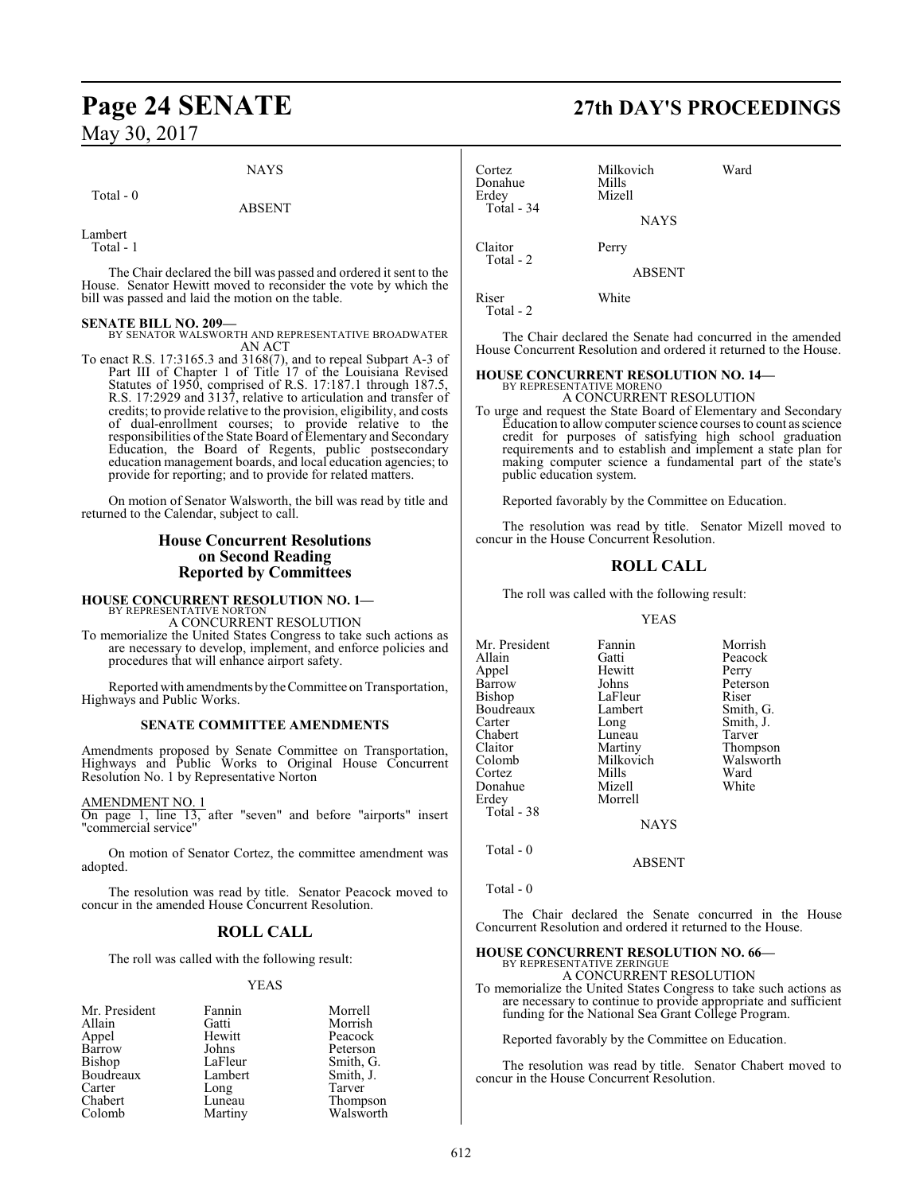#### **NAYS**

#### Total - 0

ABSENT

Lambert

Total - 1

The Chair declared the bill was passed and ordered it sent to the House. Senator Hewitt moved to reconsider the vote by which the bill was passed and laid the motion on the table.

**SENATE BILL NO. 209—** BY SENATOR WALSWORTH AND REPRESENTATIVE BROADWATER AN ACT

To enact R.S. 17:3165.3 and 3168(7), and to repeal Subpart A-3 of Part III of Chapter 1 of Title 17 of the Louisiana Revised Statutes of 1950, comprised of R.S. 17:187.1 through 187.5, R.S. 17:2929 and 3137, relative to articulation and transfer of credits; to provide relative to the provision, eligibility, and costs of dual-enrollment courses; to provide relative to the responsibilities ofthe State Board of Elementary and Secondary Education, the Board of Regents, public postsecondary education management boards, and local education agencies; to provide for reporting; and to provide for related matters.

On motion of Senator Walsworth, the bill was read by title and returned to the Calendar, subject to call.

#### **House Concurrent Resolutions on Second Reading Reported by Committees**

**HOUSE CONCURRENT RESOLUTION NO. 1—**

BY REPRESENTATIVE NORTON A CONCURRENT RESOLUTION

To memorialize the United States Congress to take such actions as are necessary to develop, implement, and enforce policies and procedures that will enhance airport safety.

Reported with amendments bytheCommittee on Transportation, Highways and Public Works.

#### **SENATE COMMITTEE AMENDMENTS**

Amendments proposed by Senate Committee on Transportation, Highways and Public Works to Original House Concurrent Resolution No. 1 by Representative Norton

AMENDMENT NO. 1

On page 1, line 13, after "seven" and before "airports" insert "commercial service"

On motion of Senator Cortez, the committee amendment was adopted.

The resolution was read by title. Senator Peacock moved to concur in the amended House Concurrent Resolution.

### **ROLL CALL**

The roll was called with the following result:

#### YEAS

| Mr. President | Fannin  | Morrell   |
|---------------|---------|-----------|
| Allain        | Gatti   | Morrish   |
| Appel         | Hewitt  | Peacock   |
| Barrow        | Johns   | Peterson  |
| <b>Bishop</b> | LaFleur | Smith, G. |
| Boudreaux     | Lambert | Smith, J. |
| Carter        | Long    | Tarver    |
| Chabert       | Luneau  | Thompson  |
| Colomb        | Martiny | Walsworth |

### **Page 24 SENATE 27th DAY'S PROCEEDINGS**

| Cortez<br>Donahue<br>Erdey<br>Total - 34 | Milkovich<br>Mills<br>Mizell<br><b>NAYS</b> | Ward |
|------------------------------------------|---------------------------------------------|------|
| Claitor<br>Total - 2                     | Perry<br><b>ABSENT</b>                      |      |
| Riser                                    | White                                       |      |

Total - 2

The Chair declared the Senate had concurred in the amended House Concurrent Resolution and ordered it returned to the House.

#### **HOUSE CONCURRENT RESOLUTION NO. 14—** BY REPRESENTATIVE MORENO

A CONCURRENT RESOLUTION

To urge and request the State Board of Elementary and Secondary Education to allow computer science courses to count as science credit for purposes of satisfying high school graduation requirements and to establish and implement a state plan for making computer science a fundamental part of the state's public education system.

Reported favorably by the Committee on Education.

The resolution was read by title. Senator Mizell moved to concur in the House Concurrent Resolution.

#### **ROLL CALL**

The roll was called with the following result:

#### YEAS

| Mr. President | Fannin      | Morrish   |
|---------------|-------------|-----------|
|               |             |           |
| Allain        | Gatti       | Peacock   |
| Appel         | Hewitt      | Perry     |
| Barrow        | Johns       | Peterson  |
| Bishop        | LaFleur     | Riser     |
| Boudreaux     | Lambert     | Smith, G. |
| Carter        | Long        | Smith, J. |
| Chabert       | Luneau      | Tarver    |
| Claitor       | Martiny     | Thompson  |
| Colomb        | Milkovich   | Walsworth |
| Cortez        | Mills       | Ward      |
| Donahue       | Mizell      | White     |
| Erdey         | Morrell     |           |
| Total - 38    |             |           |
|               | <b>NAYS</b> |           |
| $Total - 0$   |             |           |

ABSENT

The Chair declared the Senate concurred in the House Concurrent Resolution and ordered it returned to the House.

#### **HOUSE CONCURRENT RESOLUTION NO. 66—**

BY REPRESENTATIVE ZERINGUE A CONCURRENT RESOLUTION

To memorialize the United States Congress to take such actions as are necessary to continue to provide appropriate and sufficient funding for the National Sea Grant College Program.

Reported favorably by the Committee on Education.

The resolution was read by title. Senator Chabert moved to concur in the House Concurrent Resolution.

Total - 0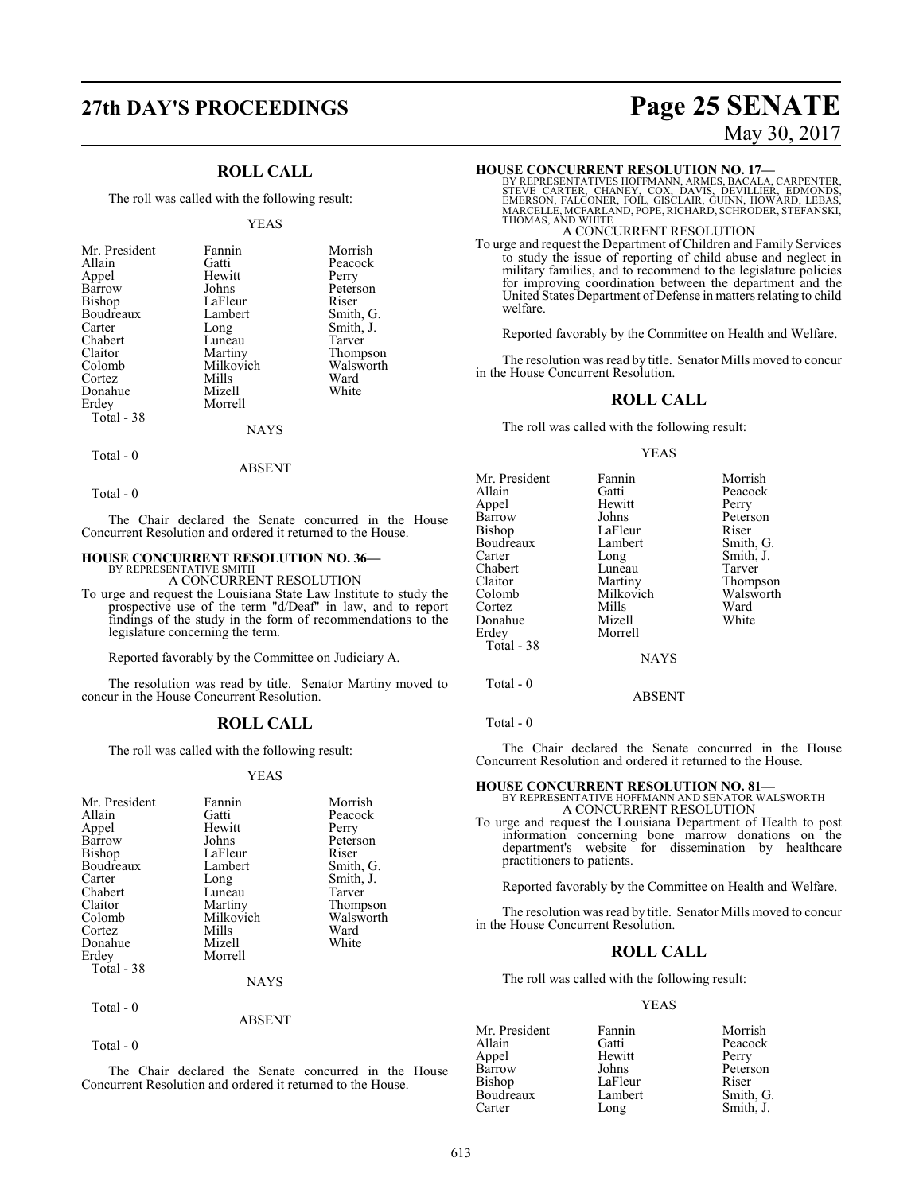### **ROLL CALL**

The roll was called with the following result:

#### YEAS

| Mr. President | Fannin    | Morrish   |
|---------------|-----------|-----------|
| Allain        | Gatti     | Peacock   |
|               |           |           |
| Appel         | Hewitt    | Perry     |
| Barrow        | Johns     | Peterson  |
| Bishop        | LaFleur   | Riser     |
| Boudreaux     | Lambert   | Smith, G. |
| Carter        | Long      | Smith, J. |
| Chabert       | Luneau    | Tarver    |
| Claitor       | Martiny   | Thompson  |
| Colomb        | Milkovich | Walsworth |
| Cortez        | Mills     | Ward      |
| Donahue       | Mizell    | White     |
| Erdey         | Morrell   |           |
| Total - 38    |           |           |
|               | NAYS      |           |

 $Total - 0$ 

ABSENT

#### Total - 0

The Chair declared the Senate concurred in the House Concurrent Resolution and ordered it returned to the House.

### **HOUSE CONCURRENT RESOLUTION NO. 36—** BY REPRESENTATIVE SMITH

A CONCURRENT RESOLUTION

To urge and request the Louisiana State Law Institute to study the prospective use of the term "d/Deaf" in law, and to report findings of the study in the form of recommendations to the legislature concerning the term.

Reported favorably by the Committee on Judiciary A.

The resolution was read by title. Senator Martiny moved to concur in the House Concurrent Resolution.

#### **ROLL CALL**

The roll was called with the following result:

#### YEAS

| Mr. President<br>Allain<br>Appel<br>Barrow<br>Bishop<br>Boudreaux<br>Carter<br>Chabert<br>Claitor<br>Colomb<br>Cortez | Fannin<br>Gatti<br>Hewitt<br>Johns<br>LaFleur<br>Lambert<br>Long<br>Luneau<br>Martiny<br>Milkovich<br>Mills | Morrish<br>Peacock<br>Perry<br>Peterson<br>Riser<br>Smith, G.<br>Smith, J.<br>Tarver<br>Thompson<br>Walsworth<br>Ward |
|-----------------------------------------------------------------------------------------------------------------------|-------------------------------------------------------------------------------------------------------------|-----------------------------------------------------------------------------------------------------------------------|
|                                                                                                                       |                                                                                                             |                                                                                                                       |
| Donahue<br>Erdey<br>Total - 38                                                                                        | Mizell<br>Morrell                                                                                           | White                                                                                                                 |
|                                                                                                                       | <b>NAYS</b>                                                                                                 |                                                                                                                       |

Total - 0

Total - 0

The Chair declared the Senate concurred in the House Concurrent Resolution and ordered it returned to the House.

ABSENT

### **27th DAY'S PROCEEDINGS Page 25 SENATE** May 30, 2017

#### **HOUSE CONCURRENT RESOLUTION NO. 17—**

BY REPRESENTATIVES HOFFMANN, ARMES, BACALA, CARPENTER,<br>STEVE CARTER, CHANEY, COX, DAVIS, DEVILLIER, EDMONDS,<br>EMERSON, FALCONER, FOIL, GISCLAIR, GUINN, HOWARD, LEBAS,<br>MARCELLE, MCFARLAND, POPE, RICHARD, SCHRODER, STE

#### A CONCURRENT RESOLUTION

To urge and request the Department of Children and Family Services to study the issue of reporting of child abuse and neglect in military families, and to recommend to the legislature policies for improving coordination between the department and the United States Department of Defense in matters relating to child welfare.

Reported favorably by the Committee on Health and Welfare.

The resolution was read by title. Senator Mills moved to concur in the House Concurrent Resolution.

#### **ROLL CALL**

The roll was called with the following result:

#### YEAS

| Mr. President | Fannin      | Morrish   |
|---------------|-------------|-----------|
| Allain        | Gatti       | Peacock   |
| Appel         | Hewitt      | Perry     |
| Barrow        | Johns       | Peterson  |
| Bishop        | LaFleur     | Riser     |
| Boudreaux     | Lambert     | Smith, G. |
| Carter        | Long        | Smith, J. |
| Chabert       | Luneau      | Tarver    |
| Claitor       | Martiny     | Thompson  |
| Colomb        | Milkovich   | Walsworth |
| Cortez        | Mills       | Ward      |
| Donahue       | Mizell      | White     |
| Erdey         | Morrell     |           |
| Total - 38    |             |           |
|               | <b>NAYS</b> |           |
| Total - 0     |             |           |

Total - 0

The Chair declared the Senate concurred in the House Concurrent Resolution and ordered it returned to the House.

ABSENT

**HOUSE CONCURRENT RESOLUTION NO. 81—**<br>BY REPRESENTATIVE HOFFMANN AND SENATOR WALSWORTH **A CONCURRENT RESOLUTION** 

To urge and request the Louisiana Department of Health to post information concerning bone marrow donations on the department's website for dissemination by healthcare practitioners to patients.

Reported favorably by the Committee on Health and Welfare.

The resolution was read by title. Senator Mills moved to concur in the House Concurrent Resolution.

#### **ROLL CALL**

The roll was called with the following result:

#### YEAS

| Mr. President | Fannin  | Morrish   |
|---------------|---------|-----------|
| Allain        | Gatti   | Peacock   |
| Appel         | Hewitt  | Perry     |
| Barrow        | Johns   | Peterson  |
| Bishop        | LaFleur | Riser     |
| Boudreaux     | Lambert | Smith, G. |
| Carter        | Long    | Smith, J. |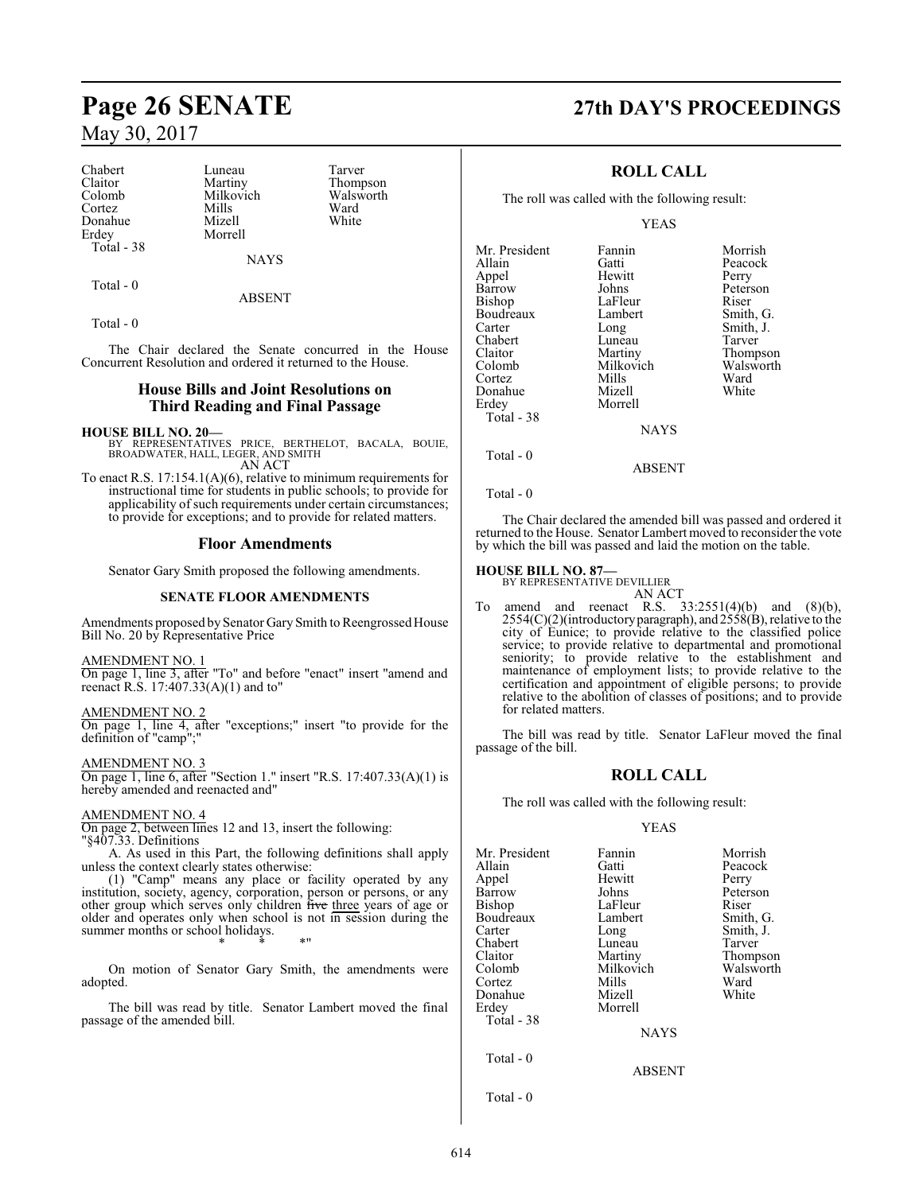## Chabert Luneau Tarver<br>
Claitor Martiny Thomp Claitor Martiny Thompson<br>Colomb Milkovich Walsworth

Colomb Milkovich Walsworth Walsworth Walsworth Walsworth Walsworth Walsworth Walsworth Walsworth Milkovich Milkovich Milkovich Milkovich Milkovich Milkovich Milkovich Milkovich Milkovich Milkovich Milkovich Milkovich Milko Cortez Mills Ward Donahue Mizell White<br>Erdey Morrell Total - 38

Morrell

**NAYS** 

Total - 0

#### ABSENT

Total - 0

The Chair declared the Senate concurred in the House Concurrent Resolution and ordered it returned to the House.

#### **House Bills and Joint Resolutions on Third Reading and Final Passage**

#### **HOUSE BILL NO. 20—**

BY REPRESENTATIVES PRICE, BERTHELOT, BACALA, BOUIE, BROADWATER, HALL, LEGER, AND SMITH AN ACT

To enact R.S. 17:154.1(A)(6), relative to minimum requirements for instructional time for students in public schools; to provide for applicability of such requirements under certain circumstances; to provide for exceptions; and to provide for related matters.

#### **Floor Amendments**

Senator Gary Smith proposed the following amendments.

#### **SENATE FLOOR AMENDMENTS**

Amendments proposed by Senator Gary Smith to Reengrossed House Bill No. 20 by Representative Price

AMENDMENT NO. 1

On page 1, line 3, after "To" and before "enact" insert "amend and reenact R.S. 17:407.33(A)(1) and to"

#### AMENDMENT NO. 2

On page 1, line 4, after "exceptions;" insert "to provide for the definition of "camp";"

AMENDMENT NO. 3 On page 1, line 6, after "Section 1." insert "R.S. 17:407.33(A)(1) is hereby amended and reenacted and"

#### AMENDMENT NO. 4

On page 2, between lines 12 and 13, insert the following: "§407.33. Definitions

A. As used in this Part, the following definitions shall apply unless the context clearly states otherwise:

(1) "Camp" means any place or facility operated by any institution, society, agency, corporation, person or persons, or any other group which serves only children five three years of age or older and operates only when school is not in session during the summer months or school holidays. \* \* \*"

On motion of Senator Gary Smith, the amendments were adopted.

The bill was read by title. Senator Lambert moved the final passage of the amended bill.

### **Page 26 SENATE 27th DAY'S PROCEEDINGS**

#### **ROLL CALL**

The roll was called with the following result:

YEAS

Mr. President Fannin Morrish<br>Allain Gatti Peacock Appel Hewitt Perry Barrow Johns Peterson<br>Bishop LaFleur Riser Boudreaux Lamb<br>Carter Long Carter Long Smith, J.<br>Chabert Luneau Tarver Chabert Luneau<br>Claitor Martiny Claitor Martiny Thompson<br>Colomb Milkovich Walsworth Colomb Milkovich Walsw<br>Cortez Mills Ward Cortez Mills Ward Donahue Mizell White<br>Erdey Morrell White Morrell Total - 38 **NAYS** 

Gatti Peacock<br>
Hewitt Perry LaFleur Riser<br>Lambert Smith, G.

Total - 0

Total - 0

The Chair declared the amended bill was passed and ordered it returned to the House. Senator Lambert moved to reconsider the vote by which the bill was passed and laid the motion on the table.

ABSENT

#### **HOUSE BILL NO. 87—**

BY REPRESENTATIVE DEVILLIER AN ACT

To amend and reenact R.S.  $33:2551(4)(b)$  and  $(8)(b)$ ,  $2554(C)(2)$ (introductory paragraph), and  $2558(B)$ , relative to the city of Eunice; to provide relative to the classified police service; to provide relative to departmental and promotional seniority; to provide relative to the establishment and maintenance of employment lists; to provide relative to the certification and appointment of eligible persons; to provide relative to the abolition of classes of positions; and to provide for related matters.

The bill was read by title. Senator LaFleur moved the final passage of the bill.

#### **ROLL CALL**

The roll was called with the following result:

#### YEAS

| Mr. President | Fannin        | Morrish   |
|---------------|---------------|-----------|
| Allain        | Gatti         | Peacock   |
|               |               |           |
| Appel         | Hewitt        | Perry     |
| Barrow        | Johns         | Peterson  |
| Bishop        | LaFleur       | Riser     |
| Boudreaux     | Lambert       | Smith, G. |
| Carter        | Long          | Smith, J. |
| Chabert       | Luneau        | Tarver    |
| Claitor       | Martiny       | Thompson  |
| Colomb        | Milkovich     | Walsworth |
| Cortez        | Mills         | Ward      |
| Donahue       | Mizell        | White     |
| Erdey         | Morrell       |           |
| Total - 38    |               |           |
|               | <b>NAYS</b>   |           |
| Total $-0$    |               |           |
|               | <b>ABSENT</b> |           |
| Total - 0     |               |           |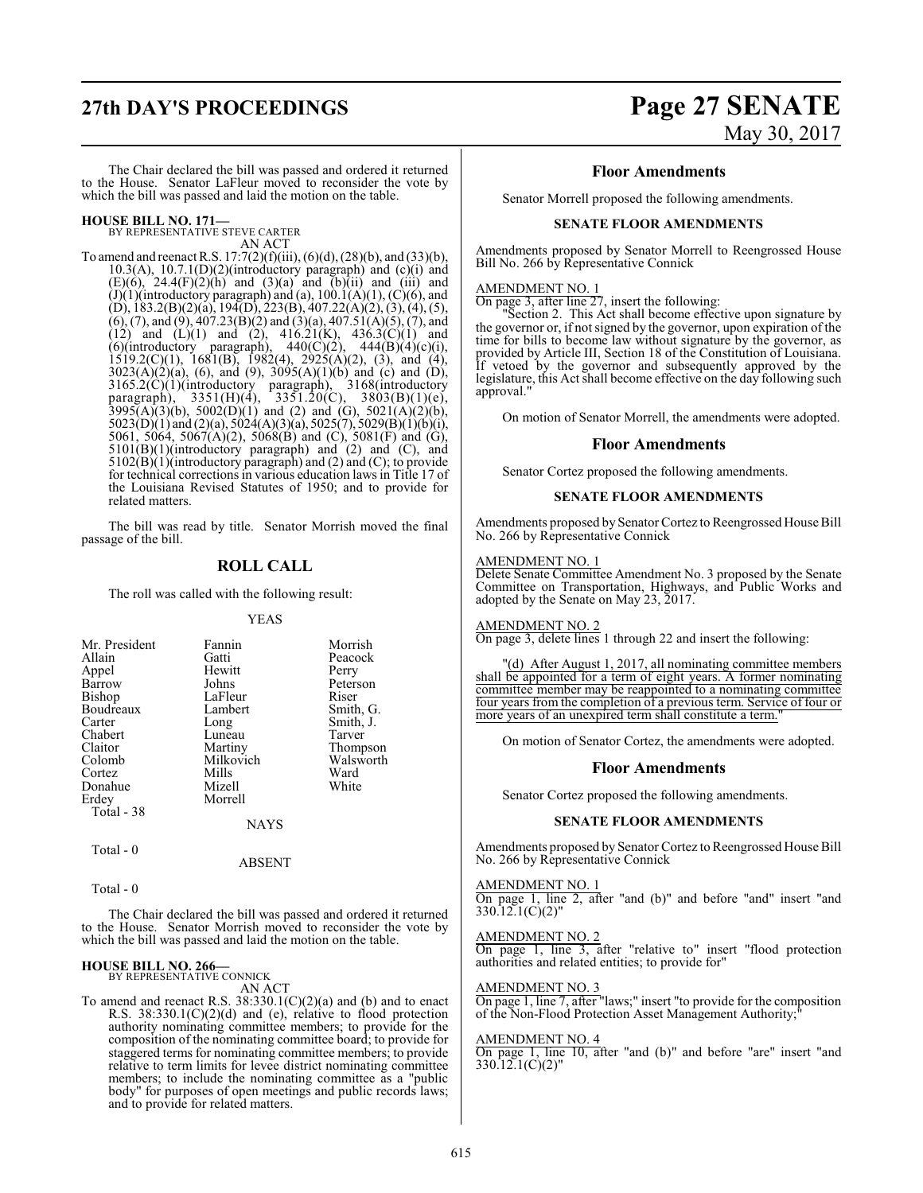## **27th DAY'S PROCEEDINGS Page 27 SENATE**

# May 30, 2017

The Chair declared the bill was passed and ordered it returned to the House. Senator LaFleur moved to reconsider the vote by which the bill was passed and laid the motion on the table.

## **HOUSE BILL NO. 171—** BY REPRESENTATIVE STEVE CARTER

AN ACT

To amend and reenact R.S. 17:7(2)(f)(iii), (6)(d), (28)(b), and (33)(b),  $10.3(A)$ ,  $10.7.1(D)(2)$ (introductory paragraph) and (c)(i) and (E)(6), 24.4(F)(2)(h) and (3)(a) and (b)(ii) and (iii) and  $(J)(1)$ (introductory paragraph) and (a),  $100.1(A)(1)$ ,  $(C)(6)$ , and  $(D)$ , 183.2(B)(2)(a), 194(D), 223(B), 407.22(A)(2), (3), (4), (5),  $(6)$ , (7), and (9), 407.23(B)(2) and (3)(a), 407.51(A)(5), (7), and (12) and (L)(1) and (2),  $416.21(K)$ ,  $436.3(C)(1)$  and (6)(introductory paragraph),  $440(C)(2)$ ,  $444(B)(4)(c)(i)$ ,  $1519.2(C)(1)$ ,  $1681(B)$ ,  $1982(4)$ ,  $2925(A)(2)$ , (3), and (4),  $3023(A)(2)(a)$ , (6), and (9),  $3095(A)(1)(b)$  and (c) and (D), 3165.2(C)(1)(introductory paragraph), 3168(introductory paragraph), 3351(H)(4), 3351.20(C), 3803(B)(1)(e),  $3995(A)(3)(b)$ ,  $5002(D)(1)$  and (2) and (G),  $5021(A)(2)(b)$ , 5023(D)(1) and (2)(a), 5024(A)(3)(a), 5025(7), 5029(B)(1)(b)(i), 5061, 5064, 5067(A)(2), 5068(B) and (C), 5081(F) and (G), 5101(B)(1)(introductory paragraph) and (2) and (C), and  $5102(B)(1)$ (introductory paragraph) and (2) and (C); to provide for technical corrections in various education laws in Title 17 of the Louisiana Revised Statutes of 1950; and to provide for related matters.

The bill was read by title. Senator Morrish moved the final passage of the bill.

### **ROLL CALL**

The roll was called with the following result:

#### YEAS

| Mr. President | Fannin    | Morrish   |
|---------------|-----------|-----------|
| Allain        | Gatti     | Peacock   |
| Appel         | Hewitt    | Perry     |
| Barrow        | Johns     | Peterson  |
| Bishop        | LaFleur   | Riser     |
| Boudreaux     | Lambert   | Smith, G. |
| Carter        | Long      | Smith, J. |
| Chabert       | Luneau    | Tarver    |
| Claitor       | Martiny   | Thompson  |
| Colomb        | Milkovich | Walsworth |
| Cortez        | Mills     | Ward      |
| Donahue       | Mizell    | White     |
| Erdey         | Morrell   |           |
| Total - 38    |           |           |
|               | NAYS      |           |

ABSENT

Total - 0

Total - 0

The Chair declared the bill was passed and ordered it returned to the House. Senator Morrish moved to reconsider the vote by which the bill was passed and laid the motion on the table.

### **HOUSE BILL NO. 266—** BY REPRESENTATIVE CONNICK

AN ACT

To amend and reenact R.S.  $38:330.1(C)(2)(a)$  and (b) and to enact R.S. 38:330.1(C)(2)(d) and (e), relative to flood protection authority nominating committee members; to provide for the composition of the nominating committee board; to provide for staggered terms for nominating committee members; to provide relative to term limits for levee district nominating committee members; to include the nominating committee as a "public body" for purposes of open meetings and public records laws; and to provide for related matters.

#### **Floor Amendments**

Senator Morrell proposed the following amendments.

#### **SENATE FLOOR AMENDMENTS**

Amendments proposed by Senator Morrell to Reengrossed House Bill No. 266 by Representative Connick

#### AMENDMENT NO. 1

On page 3, after line 27, insert the following:

"Section 2. This Act shall become effective upon signature by the governor or, if not signed by the governor, upon expiration of the time for bills to become law without signature by the governor, as provided by Article III, Section 18 of the Constitution of Louisiana. If vetoed by the governor and subsequently approved by the legislature, this Act shall become effective on the day following such approval."

On motion of Senator Morrell, the amendments were adopted.

#### **Floor Amendments**

Senator Cortez proposed the following amendments.

#### **SENATE FLOOR AMENDMENTS**

Amendments proposed by Senator Cortez to Reengrossed House Bill No. 266 by Representative Connick

#### AMENDMENT NO. 1

Delete Senate Committee Amendment No. 3 proposed by the Senate Committee on Transportation, Highways, and Public Works and adopted by the Senate on May 23, 2017.

#### AMENDMENT NO. 2

On page 3, delete lines 1 through 22 and insert the following:

(d) After August 1, 2017, all nominating committee members shall be appointed for a term of eight years. A former nominating committee member may be reappointed to a nominating committee four years from the completion of a previous term. Service of four or more years of an unexpired term shall constitute a term.

On motion of Senator Cortez, the amendments were adopted.

#### **Floor Amendments**

Senator Cortez proposed the following amendments.

#### **SENATE FLOOR AMENDMENTS**

Amendments proposed by Senator Cortez to Reengrossed House Bill No. 266 by Representative Connick

#### AMENDMENT NO. 1

On page 1, line 2, after "and (b)" and before "and" insert "and 330.12.1(C)(2)"

#### AMENDMENT NO. 2

On page 1, line 3, after "relative to" insert "flood protection authorities and related entities; to provide for"

#### AMENDMENT NO. 3

On page 1, line 7, after "laws;" insert "to provide for the composition of the Non-Flood Protection Asset Management Authority;"

#### AMENDMENT NO. 4

On page 1, line 10, after "and (b)" and before "are" insert "and  $330.12.1(C)(2)$ "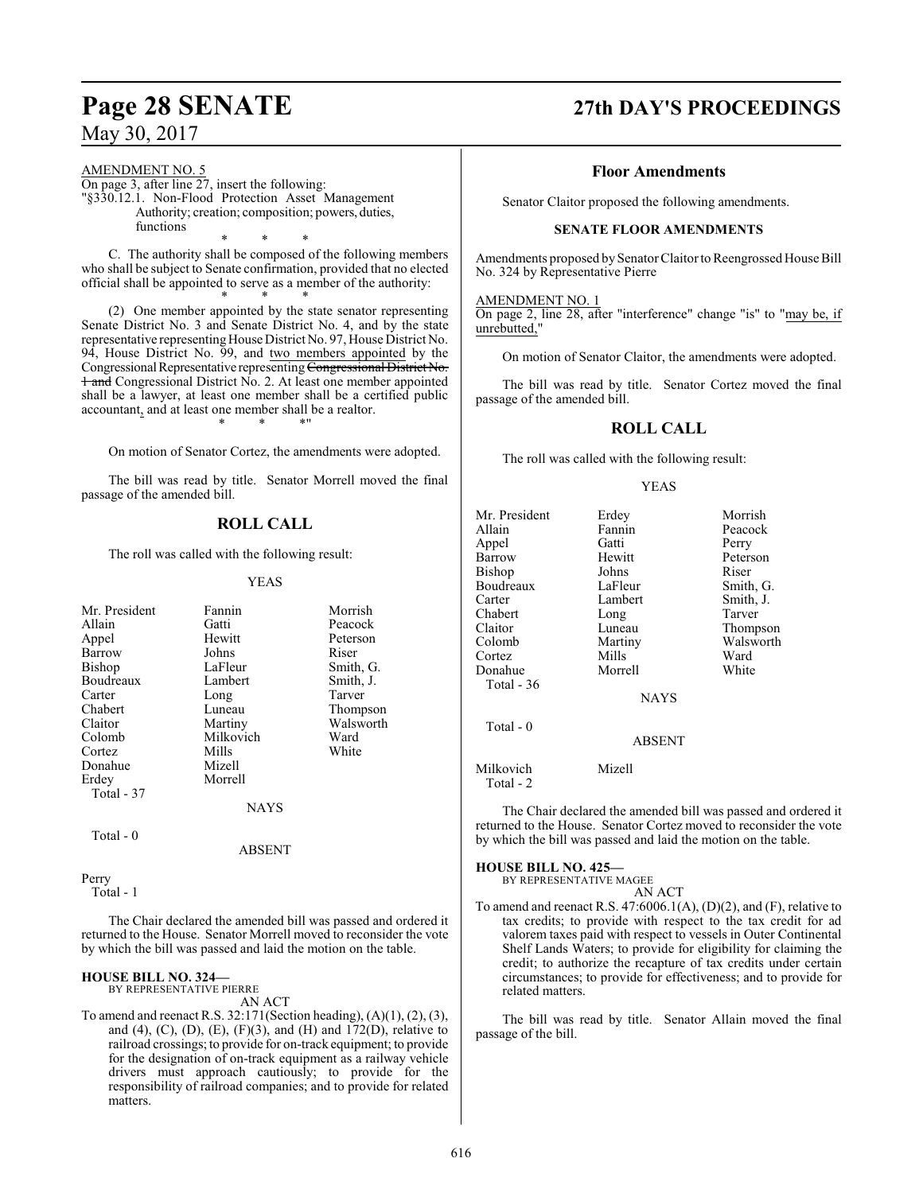AMENDMENT NO. 5

On page 3, after line 27, insert the following: "§330.12.1. Non-Flood Protection Asset Management Authority; creation; composition; powers, duties, functions \* \* \*

C. The authority shall be composed of the following members who shall be subject to Senate confirmation, provided that no elected official shall be appointed to serve as a member of the authority:<br> $*$ 

\* \* \* (2) One member appointed by the state senator representing Senate District No. 3 and Senate District No. 4, and by the state representative representingHouse District No. 97, House District No. 94, House District No. 99, and two members appointed by the Congressional Representative representing Congressional District No. 1 and Congressional District No. 2. At least one member appointed shall be a lawyer, at least one member shall be a certified public accountant, and at least one member shall be a realtor. \* \* \*"

On motion of Senator Cortez, the amendments were adopted.

The bill was read by title. Senator Morrell moved the final passage of the amended bill.

### **ROLL CALL**

The roll was called with the following result:

#### YEAS

| Mr. President | Fannin      | Morrish   |
|---------------|-------------|-----------|
| Allain        | Gatti       | Peacock   |
| Appel         | Hewitt      | Peterson  |
| Barrow        | Johns       | Riser     |
| <b>Bishop</b> | LaFleur     | Smith, G. |
| Boudreaux     | Lambert     | Smith, J. |
| Carter        | Long        | Tarver    |
| Chabert       | Luneau      | Thompson  |
| Claitor       | Martiny     | Walsworth |
| Colomb        | Milkovich   | Ward      |
| Cortez        | Mills       | White     |
| Donahue       | Mizell      |           |
| Erdey         | Morrell     |           |
| Total - 37    |             |           |
|               | <b>NAYS</b> |           |
|               |             |           |

Total - 0

ABSENT

Perry

Total - 1

The Chair declared the amended bill was passed and ordered it returned to the House. Senator Morrell moved to reconsider the vote by which the bill was passed and laid the motion on the table.

#### **HOUSE BILL NO. 324—** BY REPRESENTATIVE PIERRE

AN ACT

To amend and reenact R.S. 32:171(Section heading), (A)(1), (2), (3), and (4), (C), (D), (E), (F)(3), and (H) and 172(D), relative to railroad crossings; to provide for on-track equipment; to provide for the designation of on-track equipment as a railway vehicle drivers must approach cautiously; to provide for the responsibility of railroad companies; and to provide for related matters.

## **Page 28 SENATE 27th DAY'S PROCEEDINGS**

### **Floor Amendments**

Senator Claitor proposed the following amendments.

#### **SENATE FLOOR AMENDMENTS**

Amendments proposed by Senator Claitor to Reengrossed House Bill No. 324 by Representative Pierre

AMENDMENT NO. 1 On page 2, line 28, after "interference" change "is" to "may be, if unrebutted,"

On motion of Senator Claitor, the amendments were adopted.

The bill was read by title. Senator Cortez moved the final passage of the amended bill.

### **ROLL CALL**

The roll was called with the following result:

#### YEAS

| Mr. President          | Erdey       | Morrish   |
|------------------------|-------------|-----------|
| Allain                 | Fannin      | Peacock   |
|                        |             |           |
| Appel                  | Gatti       | Perry     |
| Barrow                 | Hewitt      | Peterson  |
| Bishop                 | Johns       | Riser     |
| Boudreaux              | LaFleur     | Smith, G. |
| Carter                 | Lambert     | Smith, J. |
| Chabert                | Long        | Tarver    |
| Claitor                | Luneau      | Thompson  |
| Colomb                 | Martiny     | Walsworth |
| Cortez                 | Mills       | Ward      |
| Donahue                | Morrell     | White     |
| Total - 36             |             |           |
|                        | <b>NAYS</b> |           |
| Total - 0              |             |           |
|                        | ABSENT      |           |
| Milkovich<br>Total - 2 | Mizell      |           |

The Chair declared the amended bill was passed and ordered it returned to the House. Senator Cortez moved to reconsider the vote by which the bill was passed and laid the motion on the table.

### **HOUSE BILL NO. 425—**

BY REPRESENTATIVE MAGEE

AN ACT To amend and reenact R.S. 47:6006.1(A), (D)(2), and (F), relative to tax credits; to provide with respect to the tax credit for ad valorem taxes paid with respect to vessels in Outer Continental Shelf Lands Waters; to provide for eligibility for claiming the credit; to authorize the recapture of tax credits under certain circumstances; to provide for effectiveness; and to provide for related matters.

The bill was read by title. Senator Allain moved the final passage of the bill.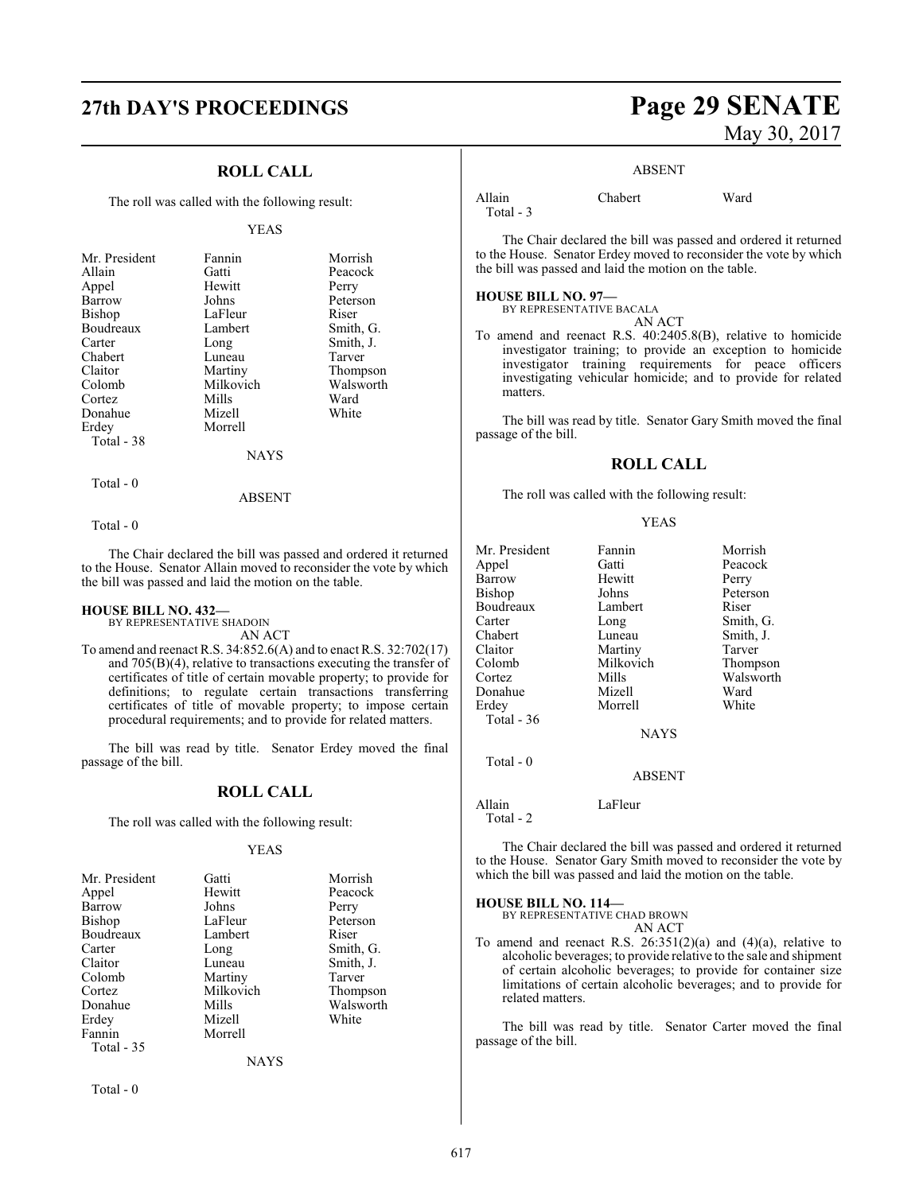### **ROLL CALL**

The roll was called with the following result:

#### YEAS

| Mr. President | Fannin      | Morrish   |
|---------------|-------------|-----------|
| Allain        | Gatti       | Peacock   |
| Appel         | Hewitt      | Perry     |
| Barrow        | Johns       | Peterson  |
| Bishop        | LaFleur     | Riser     |
| Boudreaux     | Lambert     | Smith, G. |
| Carter        | Long        | Smith, J. |
| Chabert       | Luneau      | Tarver    |
| Claitor       | Martiny     | Thompson  |
| Colomb        | Milkovich   | Walsworth |
| Cortez        | Mills       | Ward      |
| Donahue       | Mizell      | White     |
| Erdey         | Morrell     |           |
| Total - 38    |             |           |
|               | <b>NAYS</b> |           |

Total - 0

ABSENT

Total - 0

The Chair declared the bill was passed and ordered it returned to the House. Senator Allain moved to reconsider the vote by which the bill was passed and laid the motion on the table.

#### **HOUSE BILL NO. 432—**

BY REPRESENTATIVE SHADOIN AN ACT

To amend and reenact R.S. 34:852.6(A) and to enact R.S. 32:702(17) and 705(B)(4), relative to transactions executing the transfer of certificates of title of certain movable property; to provide for definitions; to regulate certain transactions transferring certificates of title of movable property; to impose certain procedural requirements; and to provide for related matters.

The bill was read by title. Senator Erdey moved the final passage of the bill.

#### **ROLL CALL**

The roll was called with the following result:

#### YEAS

| Mr. President | Gatti       | Morrish   |
|---------------|-------------|-----------|
|               |             |           |
| Appel         | Hewitt      | Peacock   |
| Barrow        | Johns       | Perry     |
| Bishop        | LaFleur     | Peterson  |
| Boudreaux     | Lambert     | Riser     |
| Carter        | Long        | Smith, G. |
| Claitor       | Luneau      | Smith, J. |
| Colomb        | Martiny     | Tarver    |
| Cortez        | Milkovich   | Thompson  |
| Donahue       | Mills       | Walsworth |
| Erdey         | Mizell      | White     |
| Fannin        | Morrell     |           |
| Total - 35    |             |           |
|               | <b>NAYS</b> |           |

Total - 0

### **27th DAY'S PROCEEDINGS Page 29 SENATE** May 30, 2017

#### ABSENT

| Allain     | Chabert | Ward |
|------------|---------|------|
| Total $-3$ |         |      |

The Chair declared the bill was passed and ordered it returned to the House. Senator Erdey moved to reconsider the vote by which the bill was passed and laid the motion on the table.

#### **HOUSE BILL NO. 97—**

BY REPRESENTATIVE BACALA

AN ACT

To amend and reenact R.S. 40:2405.8(B), relative to homicide investigator training; to provide an exception to homicide investigator training requirements for peace officers investigating vehicular homicide; and to provide for related matters.

The bill was read by title. Senator Gary Smith moved the final passage of the bill.

#### **ROLL CALL**

The roll was called with the following result:

YEAS

| Mr. President | Fannin      | Morrish   |
|---------------|-------------|-----------|
| Appel         | Gatti       | Peacock   |
| Barrow        | Hewitt      | Perry     |
| <b>Bishop</b> | Johns       | Peterson  |
| Boudreaux     | Lambert     | Riser     |
| Carter        | Long        | Smith, G. |
| Chabert       | Luneau      | Smith, J. |
| Claitor       | Martiny     | Tarver    |
| Colomb        | Milkovich   | Thompson  |
| Cortez        | Mills       | Walsworth |
| Donahue       | Mizell      | Ward      |
| Erdey         | Morrell     | White     |
| Total $-36$   |             |           |
|               | <b>NAYS</b> |           |

Total - 0

Allain LaFleur

Total - 2

The Chair declared the bill was passed and ordered it returned to the House. Senator Gary Smith moved to reconsider the vote by which the bill was passed and laid the motion on the table.

ABSENT

#### **HOUSE BILL NO. 114—**

| BY REPRESENTATIVE CHAD BROWN |        |
|------------------------------|--------|
|                              | AN ACT |

To amend and reenact R.S.  $26:351(2)(a)$  and  $(4)(a)$ , relative to alcoholic beverages; to provide relative to the sale and shipment of certain alcoholic beverages; to provide for container size limitations of certain alcoholic beverages; and to provide for related matters.

The bill was read by title. Senator Carter moved the final passage of the bill.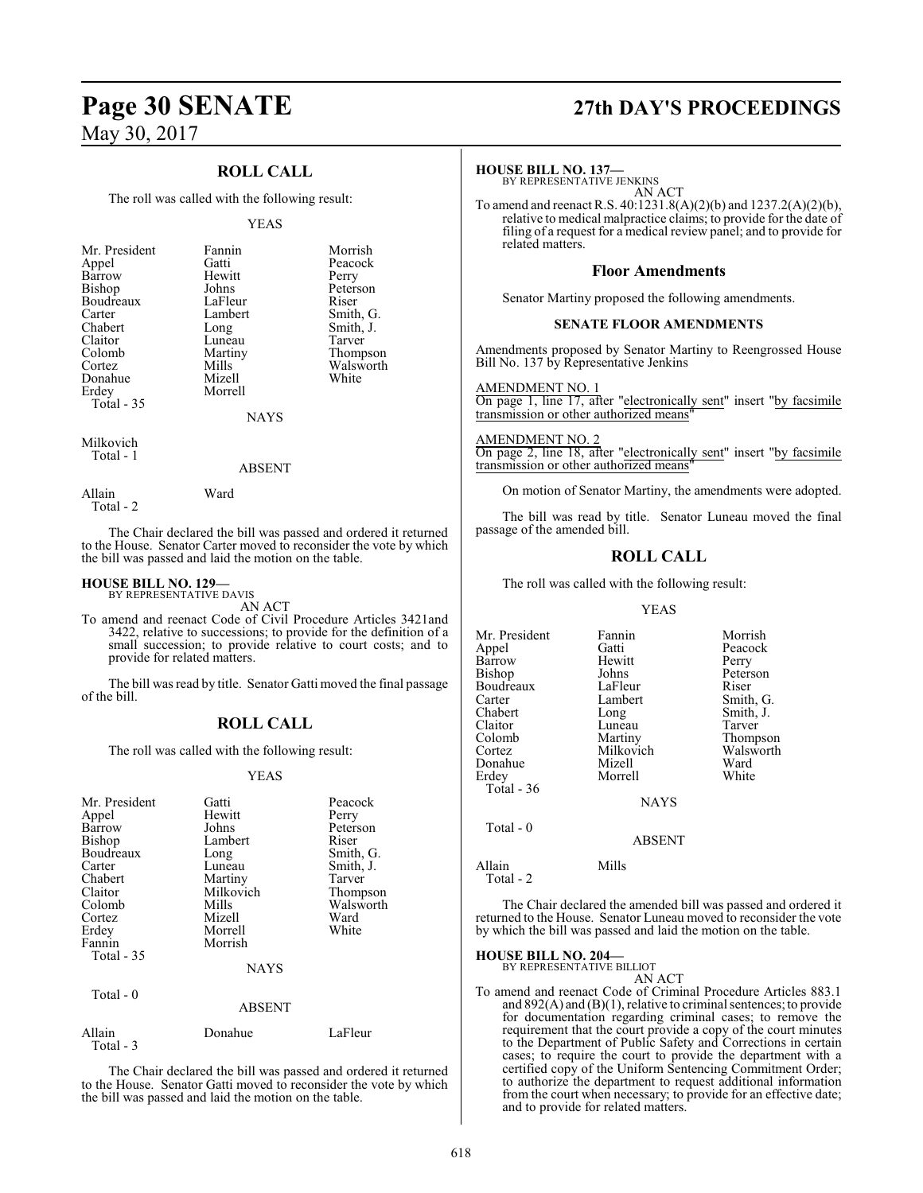### **ROLL CALL**

The roll was called with the following result:

#### YEAS

| Mr. President | Fannin  | Morrish   |
|---------------|---------|-----------|
| Appel         | Gatti   | Peacock   |
| Barrow        | Hewitt  | Perry     |
| Bishop        | Johns   | Peterson  |
| Boudreaux     | LaFleur | Riser     |
| Carter        | Lambert | Smith, G. |
| Chabert       | Long    | Smith, J. |
| Claitor       | Luneau  | Tarver    |
| Colomb        | Martiny | Thompson  |
| Cortez        | Mills   | Walsworth |
| Donahue       | Mizell  | White     |
| Erdey         | Morrell |           |
| Total $-35$   |         |           |
|               | NAYS    |           |

Milkovich Total - 1

#### ABSENT

Allain Ward Total - 2

The Chair declared the bill was passed and ordered it returned to the House. Senator Carter moved to reconsider the vote by which the bill was passed and laid the motion on the table.

#### **HOUSE BILL NO. 129—** BY REPRESENTATIVE DAVIS

AN ACT

To amend and reenact Code of Civil Procedure Articles 3421and 3422, relative to successions; to provide for the definition of a small succession; to provide relative to court costs; and to provide for related matters.

The bill was read by title. Senator Gatti moved the final passage of the bill.

#### **ROLL CALL**

The roll was called with the following result:

#### YEAS

| Mr. President<br>Appel<br>Barrow<br><b>Bishop</b><br>Boudreaux<br>Carter<br>Chabert<br>Claitor<br>Colomb<br>Cortez<br>Erdey<br>Fannin<br>Total $-35$<br>Total $-0$ | Gatti<br>Hewitt<br>Johns<br>Lambert<br>Long<br>Luneau<br>Martiny<br>Milkovich<br>Mills<br>Mizell<br>Morrell<br>Morrish<br><b>NAYS</b> | Peacock<br>Perry<br>Peterson<br>Riser<br>Smith, G.<br>Smith, J.<br>Tarver<br>Thompson<br>Walsworth<br>Ward<br>White |
|--------------------------------------------------------------------------------------------------------------------------------------------------------------------|---------------------------------------------------------------------------------------------------------------------------------------|---------------------------------------------------------------------------------------------------------------------|
|                                                                                                                                                                    | <b>ABSENT</b>                                                                                                                         |                                                                                                                     |
| Allain<br>Total - 3                                                                                                                                                | Donahue                                                                                                                               | LaFleur                                                                                                             |

The Chair declared the bill was passed and ordered it returned to the House. Senator Gatti moved to reconsider the vote by which the bill was passed and laid the motion on the table.

## **Page 30 SENATE 27th DAY'S PROCEEDINGS**

#### **HOUSE BILL NO. 137—**

BY REPRESENTATIVE JENKINS AN ACT

To amend and reenact R.S. 40:1231.8(A)(2)(b) and 1237.2(A)(2)(b), relative to medical malpractice claims; to provide for the date of filing of a request for a medical review panel; and to provide for related matters.

#### **Floor Amendments**

Senator Martiny proposed the following amendments.

#### **SENATE FLOOR AMENDMENTS**

Amendments proposed by Senator Martiny to Reengrossed House Bill No. 137 by Representative Jenkins

#### AMENDMENT NO. 1

On page 1, line 17, after "electronically sent" insert "by facsimile transmission or other authorized means"

AMENDMENT NO. 2

On page 2, line 18, after "electronically sent" insert "by facsimile transmission or other authorized means"

On motion of Senator Martiny, the amendments were adopted.

The bill was read by title. Senator Luneau moved the final passage of the amended bill.

### **ROLL CALL**

The roll was called with the following result:

#### YEAS

| Mr. President       | Fannin        | Morrish   |
|---------------------|---------------|-----------|
| Appel               | Gatti         | Peacock   |
| Barrow              | Hewitt        | Perry     |
| Bishop              | Johns         | Peterson  |
| Boudreaux           | LaFleur       | Riser     |
| Carter              | Lambert       | Smith, G. |
| Chabert             | Long          | Smith, J. |
| Claitor             | Luneau        | Tarver    |
| Colomb              | Martiny       | Thompson  |
| Cortez              | Milkovich     | Walsworth |
| Donahue             | Mizell        | Ward      |
| Erdey               | Morrell       | White     |
| Total - 36          |               |           |
|                     | <b>NAYS</b>   |           |
| Total $-0$          |               |           |
|                     | <b>ABSENT</b> |           |
| Allain<br>Total - 2 | Mills         |           |

The Chair declared the amended bill was passed and ordered it returned to the House. Senator Luneau moved to reconsider the vote by which the bill was passed and laid the motion on the table.

### **HOUSE BILL NO. 204—** BY REPRESENTATIVE BILLIOT

AN ACT

To amend and reenact Code of Criminal Procedure Articles 883.1 and 892(A) and (B)(1), relative to criminal sentences; to provide for documentation regarding criminal cases; to remove the requirement that the court provide a copy of the court minutes to the Department of Public Safety and Corrections in certain cases; to require the court to provide the department with a certified copy of the Uniform Sentencing Commitment Order; to authorize the department to request additional information from the court when necessary; to provide for an effective date; and to provide for related matters.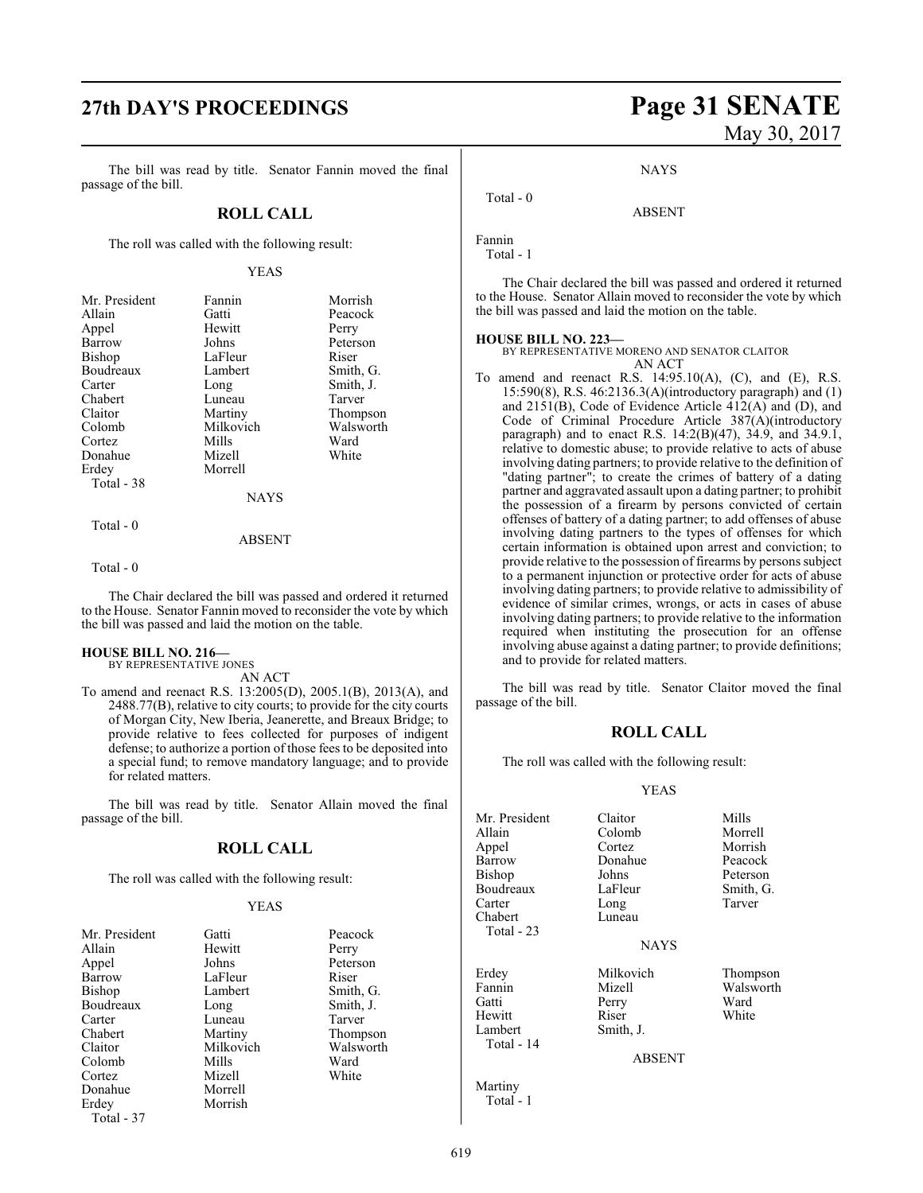### **27th DAY'S PROCEEDINGS Page 31 SENATE**

The bill was read by title. Senator Fannin moved the final passage of the bill.

#### **ROLL CALL**

The roll was called with the following result:

#### YEAS

| Mr. President | Fannin      | Morrish   |
|---------------|-------------|-----------|
| Allain        | Gatti       | Peacock   |
| Appel         | Hewitt      | Perry     |
| Barrow        | Johns       | Peterson  |
| <b>Bishop</b> | LaFleur     | Riser     |
| Boudreaux     | Lambert     | Smith, G. |
| Carter        | Long        | Smith, J. |
| Chabert       | Luneau      | Tarver    |
| Claitor       | Martiny     | Thompson  |
| Colomb        | Milkovich   | Walsworth |
| Cortez        | Mills       | Ward      |
| Donahue       | Mizell      | White     |
| Erdey         | Morrell     |           |
| Total - 38    |             |           |
|               | <b>NAYS</b> |           |

Total - 0

#### ABSENT

Total - 0

The Chair declared the bill was passed and ordered it returned to the House. Senator Fannin moved to reconsider the vote by which the bill was passed and laid the motion on the table.

#### **HOUSE BILL NO. 216—** BY REPRESENTATIVE JONES

AN ACT

To amend and reenact R.S. 13:2005(D), 2005.1(B), 2013(A), and 2488.77(B), relative to city courts; to provide for the city courts of Morgan City, New Iberia, Jeanerette, and Breaux Bridge; to provide relative to fees collected for purposes of indigent defense; to authorize a portion of those fees to be deposited into a special fund; to remove mandatory language; and to provide for related matters.

The bill was read by title. Senator Allain moved the final passage of the bill.

#### **ROLL CALL**

The roll was called with the following result:

#### YEAS

| Mr. President | Gatti     | Peacock   |
|---------------|-----------|-----------|
| Allain        | Hewitt    | Perry     |
| Appel         | Johns     | Peterson  |
| Barrow        | LaFleur   | Riser     |
| Bishop        | Lambert   | Smith, G. |
| Boudreaux     | Long      | Smith, J. |
| Carter        | Luneau    | Tarver    |
| Chabert       | Martiny   | Thompson  |
| Claitor       | Milkovich | Walsworth |
| Colomb        | Mills     | Ward      |
| Cortez        | Mizell    | White     |
| Donahue       | Morrell   |           |
| Erdey         | Morrish   |           |
| Total - 37    |           |           |

# May 30, 2017

**NAYS** 

ABSENT

Fannin

```
 Total - 1
```
Total - 0

The Chair declared the bill was passed and ordered it returned to the House. Senator Allain moved to reconsider the vote by which the bill was passed and laid the motion on the table.

#### **HOUSE BILL NO. 223—**

BY REPRESENTATIVE MORENO AND SENATOR CLAITOR AN ACT

To amend and reenact R.S. 14:95.10(A), (C), and (E), R.S. 15:590(8), R.S. 46:2136.3(A)(introductory paragraph) and (1) and 2151(B), Code of Evidence Article 412(A) and (D), and Code of Criminal Procedure Article 387(A)(introductory paragraph) and to enact R.S.  $14:2(B)(47)$ ,  $34.9$ , and  $34.9.1$ , relative to domestic abuse; to provide relative to acts of abuse involving dating partners; to provide relative to the definition of "dating partner"; to create the crimes of battery of a dating partner and aggravated assault upon a dating partner; to prohibit the possession of a firearm by persons convicted of certain offenses of battery of a dating partner; to add offenses of abuse involving dating partners to the types of offenses for which certain information is obtained upon arrest and conviction; to provide relative to the possession of firearms by persons subject to a permanent injunction or protective order for acts of abuse involving dating partners; to provide relative to admissibility of evidence of similar crimes, wrongs, or acts in cases of abuse involving dating partners; to provide relative to the information required when instituting the prosecution for an offense involving abuse against a dating partner; to provide definitions; and to provide for related matters.

The bill was read by title. Senator Claitor moved the final passage of the bill.

### **ROLL CALL**

The roll was called with the following result:

#### YEAS

| Mr. President<br>Allain<br>Appel<br><b>Barrow</b><br>Bishop<br>Boudreaux | Claitor<br>Colomb<br>Cortez<br>Donahue<br>Johns<br>LaFleur          | Mills<br>Morrell<br>Morrish<br>Peacock<br>Peterson<br>Smith, G. |
|--------------------------------------------------------------------------|---------------------------------------------------------------------|-----------------------------------------------------------------|
| Carter<br>Chabert<br>Total $-23$                                         | Long<br>Luneau<br><b>NAYS</b>                                       | Tarver                                                          |
| Erdev<br>Fannin<br>Gatti<br>Hewitt<br>Lambert<br>Total - 14              | Milkovich<br>Mizell<br>Perry<br>Riser<br>Smith, J.<br><b>ABSENT</b> | Thompson<br>Walsworth<br>Ward<br>White                          |

Martiny Total - 1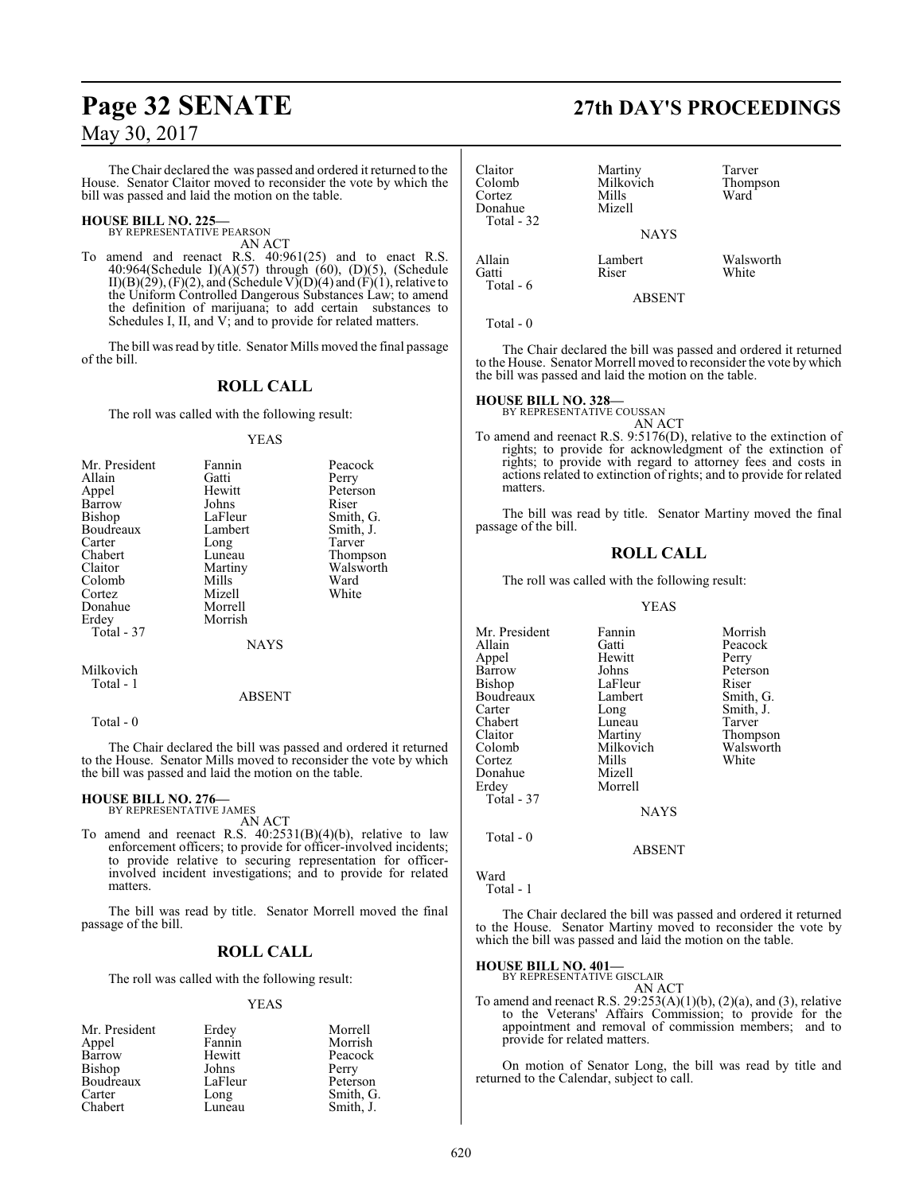The Chair declared the was passed and ordered it returned to the House. Senator Claitor moved to reconsider the vote by which the bill was passed and laid the motion on the table.

#### **HOUSE BILL NO. 225—** BY REPRESENTATIVE PEARSON

AN ACT

To amend and reenact R.S. 40:961(25) and to enact R.S. 40:964(Schedule I)(A)(57) through (60), (D)(5), (Schedule II)(B)(29), (F)(2), and (Schedule V)(D)(4) and (F)(1), relative to the Uniform Controlled Dangerous Substances Law; to amend the definition of marijuana; to add certain substances to Schedules I, II, and V; and to provide for related matters.

The bill was read by title. Senator Mills moved the final passage of the bill.

### **ROLL CALL**

The roll was called with the following result:

#### YEAS

| Mr. President | Fannin  | Peacock   |
|---------------|---------|-----------|
| Allain        | Gatti   | Perry     |
| Appel         | Hewitt  | Peterson  |
| Barrow        | Johns   | Riser     |
| Bishop        | LaFleur | Smith, G. |
| Boudreaux     | Lambert | Smith, J. |
| Carter        | Long    | Tarver    |
| Chabert       | Luneau  | Thompson  |
| Claitor       | Martiny | Walsworth |
| Colomb        | Mills   | Ward      |
| Cortez        | Mizell  | White     |
| Donahue       | Morrell |           |
| Erdey         | Morrish |           |
| Total - 37    |         |           |
|               | NAYS    |           |

Milkovich Total - 1

#### ABSENT

Total - 0

The Chair declared the bill was passed and ordered it returned to the House. Senator Mills moved to reconsider the vote by which the bill was passed and laid the motion on the table.

#### **HOUSE BILL NO. 276—** BY REPRESENTATIVE JAMES

AN ACT

To amend and reenact R.S. 40:2531(B)(4)(b), relative to law enforcement officers; to provide for officer-involved incidents; to provide relative to securing representation for officerinvolved incident investigations; and to provide for related matters.

The bill was read by title. Senator Morrell moved the final passage of the bill.

#### **ROLL CALL**

The roll was called with the following result:

#### YEAS

| Mr. President | Erdey   | Morrell   |
|---------------|---------|-----------|
| Appel         | Fannin  | Morrish   |
| Barrow        | Hewitt  | Peacock   |
| Bishop        | Johns   | Perry     |
| Boudreaux     | LaFleur | Peterson  |
| Carter        | Long    | Smith, G. |
| Chabert       | Luneau  | Smith, J. |

## **Page 32 SENATE 27th DAY'S PROCEEDINGS**

| Claitor<br>Colomb<br>Cortez<br>Donahue<br>Total - 32 | Martiny<br>Milkovich<br>Mills<br>Mizell | Tarver<br>Thompson<br>Ward |
|------------------------------------------------------|-----------------------------------------|----------------------------|
|                                                      | <b>NAYS</b>                             |                            |
| Allain<br>Gatti<br>Total - 6                         | Lambert<br>Riser                        | Walsworth<br>White         |
|                                                      | <b>ABSENT</b>                           |                            |

Total - 0

The Chair declared the bill was passed and ordered it returned to the House. Senator Morrell moved to reconsider the vote by which the bill was passed and laid the motion on the table.

#### **HOUSE BILL NO. 328—**

BY REPRESENTATIVE COUSSAN

AN ACT To amend and reenact R.S. 9:5176(D), relative to the extinction of rights; to provide for acknowledgment of the extinction of rights; to provide with regard to attorney fees and costs in actions related to extinction of rights; and to provide for related matters.

The bill was read by title. Senator Martiny moved the final passage of the bill.

### **ROLL CALL**

The roll was called with the following result:

#### YEAS

Mr. President Fannin Morrish<br>Allain Gatti Peacock Peacock Appel Hewitt Perry Barrow Johns Peterson<br>Bishop LaFleur Riser LaFleur Riser<br>
Lambert Smith, G. Boudreaux Lamb<br>Carter Long Carter Long Smith, J.<br>
Chabert Luneau Tarver Chabert Luneau<br>Claitor Martiny Claitor Martiny Thompson Colomb Milkovich Walsworth Walsworth Walsworth Walsworth Walsworth Walsworth Walsworth Milkovich Milkovich Mil<br>Cortez Mills Cortez Mills White Donahue Mizell<br>Erdey Morre Morrell Total - 37 **NAYS** 

Total - 0

ABSENT

```
Ward
```
Total - 1

The Chair declared the bill was passed and ordered it returned to the House. Senator Martiny moved to reconsider the vote by which the bill was passed and laid the motion on the table.

#### **HOUSE BILL NO. 401—**

BY REPRESENTATIVE GISCLAIR AN ACT

To amend and reenact R.S.  $29:253(A)(1)(b)$ ,  $(2)(a)$ , and  $(3)$ , relative to the Veterans' Affairs Commission; to provide for the appointment and removal of commission members; and to provide for related matters.

On motion of Senator Long, the bill was read by title and returned to the Calendar, subject to call.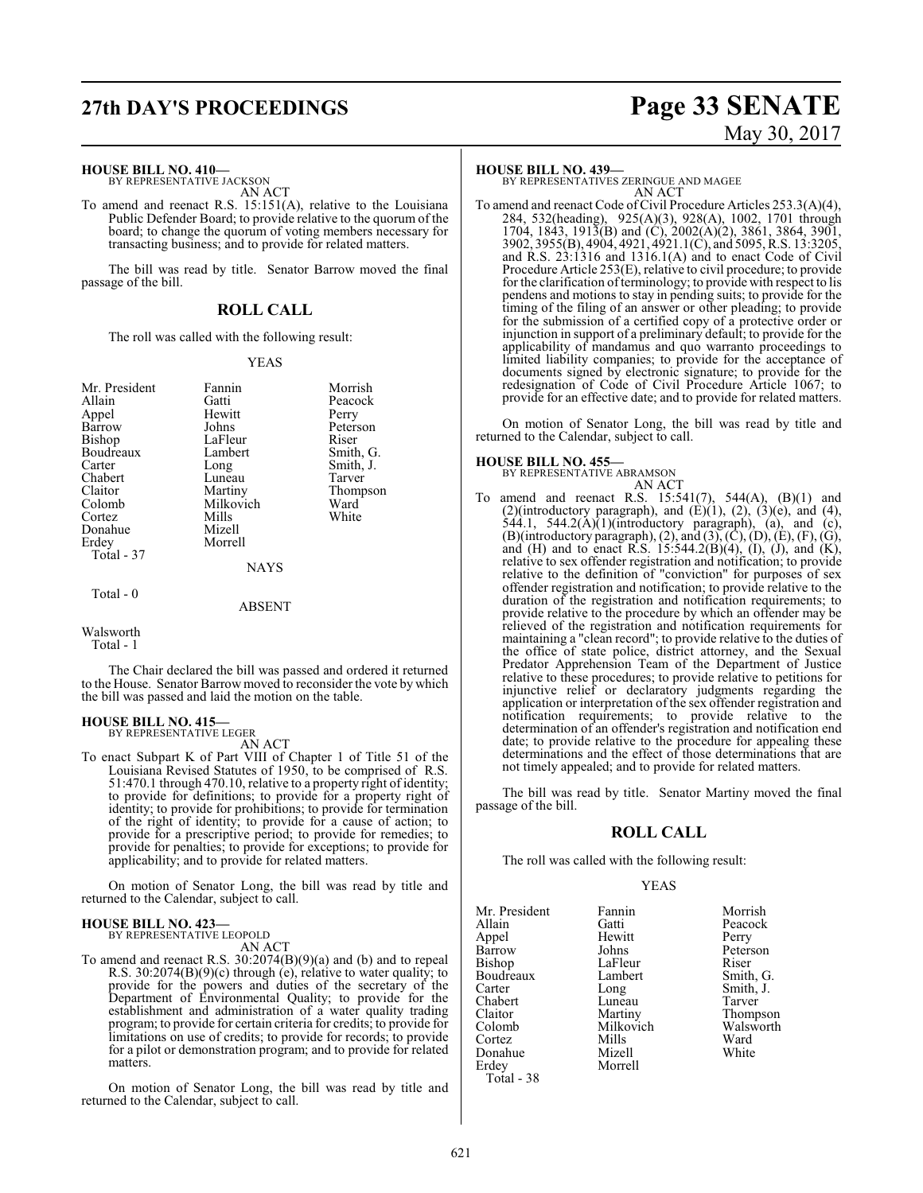## **27th DAY'S PROCEEDINGS Page 33 SENATE**

#### **HOUSE BILL NO. 410—**

BY REPRESENTATIVE JACKSON AN ACT

To amend and reenact R.S. 15:151(A), relative to the Louisiana Public Defender Board; to provide relative to the quorum of the board; to change the quorum of voting members necessary for transacting business; and to provide for related matters.

The bill was read by title. Senator Barrow moved the final passage of the bill.

#### **ROLL CALL**

The roll was called with the following result:

#### YEAS

| Mr. President     | Fannin        | Morrish   |
|-------------------|---------------|-----------|
| Allain            | Gatti         | Peacock   |
| Appel             | Hewitt        | Perry     |
| Barrow            | Johns         | Peterson  |
| Bishop            | LaFleur       | Riser     |
| Boudreaux         | Lambert       | Smith, G. |
| Carter            | Long          | Smith, J. |
| Chabert           | Luneau        | Tarver    |
| Claitor           | Martiny       | Thompson  |
| Colomb            | Milkovich     | Ward      |
| Cortez            | Mills         | White     |
| Donahue           | Mizell        |           |
| Erdey             | Morrell       |           |
| <b>Total - 37</b> |               |           |
|                   | <b>NAYS</b>   |           |
| Total - 0         |               |           |
|                   | <b>ABSENT</b> |           |
| $117.1$ $11$      |               |           |

Walsworth

Total - 1

The Chair declared the bill was passed and ordered it returned to the House. Senator Barrow moved to reconsider the vote by which the bill was passed and laid the motion on the table.

### **HOUSE BILL NO. 415—** BY REPRESENTATIVE LEGER

AN ACT

To enact Subpart K of Part VIII of Chapter 1 of Title 51 of the Louisiana Revised Statutes of 1950, to be comprised of R.S. 51:470.1 through 470.10, relative to a property right of identity; to provide for definitions; to provide for a property right of identity; to provide for prohibitions; to provide for termination of the right of identity; to provide for a cause of action; to provide for a prescriptive period; to provide for remedies; to provide for penalties; to provide for exceptions; to provide for applicability; and to provide for related matters.

On motion of Senator Long, the bill was read by title and returned to the Calendar, subject to call.

#### **HOUSE BILL NO. 423—**

BY REPRESENTATIVE LEOPOLD

AN ACT

To amend and reenact R.S. 30:2074(B)(9)(a) and (b) and to repeal R.S. 30:2074(B)(9)(c) through (e), relative to water quality; to provide for the powers and duties of the secretary of the Department of Environmental Quality; to provide for the establishment and administration of a water quality trading program; to provide for certain criteria for credits; to provide for limitations on use of credits; to provide for records; to provide for a pilot or demonstration program; and to provide for related matters.

On motion of Senator Long, the bill was read by title and returned to the Calendar, subject to call.

#### **HOUSE BILL NO. 439—**

BY REPRESENTATIVES ZERINGUE AND MAGEE AN ACT

To amend and reenact Code of Civil Procedure Articles 253.3(A)(4), 284, 532(heading), 925(A)(3), 928(A), 1002, 1701 through 1704, 1843, 1913(B) and (C), 2002(A)(2), 3861, 3864, 3901, 3902, 3955(B), 4904, 4921, 4921.1(C), and 5095, R.S. 13:3205, and R.S. 23:1316 and 1316.1(A) and to enact Code of Civil Procedure Article 253(E), relative to civil procedure; to provide for the clarification of terminology; to provide with respect to lis pendens and motions to stay in pending suits; to provide for the timing of the filing of an answer or other pleading; to provide for the submission of a certified copy of a protective order or injunction in support of a preliminary default; to provide for the applicability of mandamus and quo warranto proceedings to limited liability companies; to provide for the acceptance of documents signed by electronic signature; to provide for the redesignation of Code of Civil Procedure Article 1067; to provide for an effective date; and to provide for related matters.

On motion of Senator Long, the bill was read by title and returned to the Calendar, subject to call.

#### **HOUSE BILL NO. 455—**

BY REPRESENTATIVE ABRAMSON AN ACT

To amend and reenact R.S. 15:541(7), 544(A), (B)(1) and (2)(introductory paragraph), and  $(E)(1)$ ,  $(2)$ ,  $(3)(e)$ , and  $(4)$ ,  $544.1$ ,  $544.2(A)(1)(introducing paragnph)$ , (a), and (c),  $(B)($  introductory paragraph),  $(2)$ , and  $(3)$ ,  $(\overline{C})$ ,  $(D)$ ,  $(\overline{E})$ ,  $(F)$ ,  $(\overline{G})$ , and (H) and to enact R.S.  $15:544.2(B)(4)$ , (I), (J), and (K), relative to sex offender registration and notification; to provide relative to the definition of "conviction" for purposes of sex offender registration and notification; to provide relative to the duration of the registration and notification requirements; to provide relative to the procedure by which an offender may be relieved of the registration and notification requirements for maintaining a "clean record"; to provide relative to the duties of the office of state police, district attorney, and the Sexual Predator Apprehension Team of the Department of Justice relative to these procedures; to provide relative to petitions for injunctive relief or declaratory judgments regarding the application or interpretation of the sex offender registration and notification requirements; to provide relative to the determination of an offender's registration and notification end date; to provide relative to the procedure for appealing these determinations and the effect of those determinations that are not timely appealed; and to provide for related matters.

The bill was read by title. Senator Martiny moved the final passage of the bill.

#### **ROLL CALL**

The roll was called with the following result:

#### YEAS

| Mr. President | Fannin    | Morr  |
|---------------|-----------|-------|
| Allain        | Gatti     | Peaco |
| Appel         | Hewitt    | Perry |
| Barrow        | Johns     | Peter |
| Bishop        | LaFleur   | Riser |
| Boudreaux     | Lambert   | Smith |
| Carter        | Long      | Smith |
| Chabert       | Luneau    | Tarve |
| Claitor       | Martiny   | Thom  |
| Colomb        | Milkovich | Walsy |
| Cortez        | Mills     | Ward  |
| Donahue       | Mizell    | White |
| Erdey         | Morrell   |       |
| Total - 38    |           |       |
|               |           |       |

Fannin Morrish<br>Gatti Peacock Peacock<br>Perry Peterson<br>Riser Lambert Smith, G.<br>
Long Smith, J. Smith, J.<br>Tarver Thompson<br>Walsworth Milkovich Walsworth<br>Mills Ward Mizell White

# May 30, 2017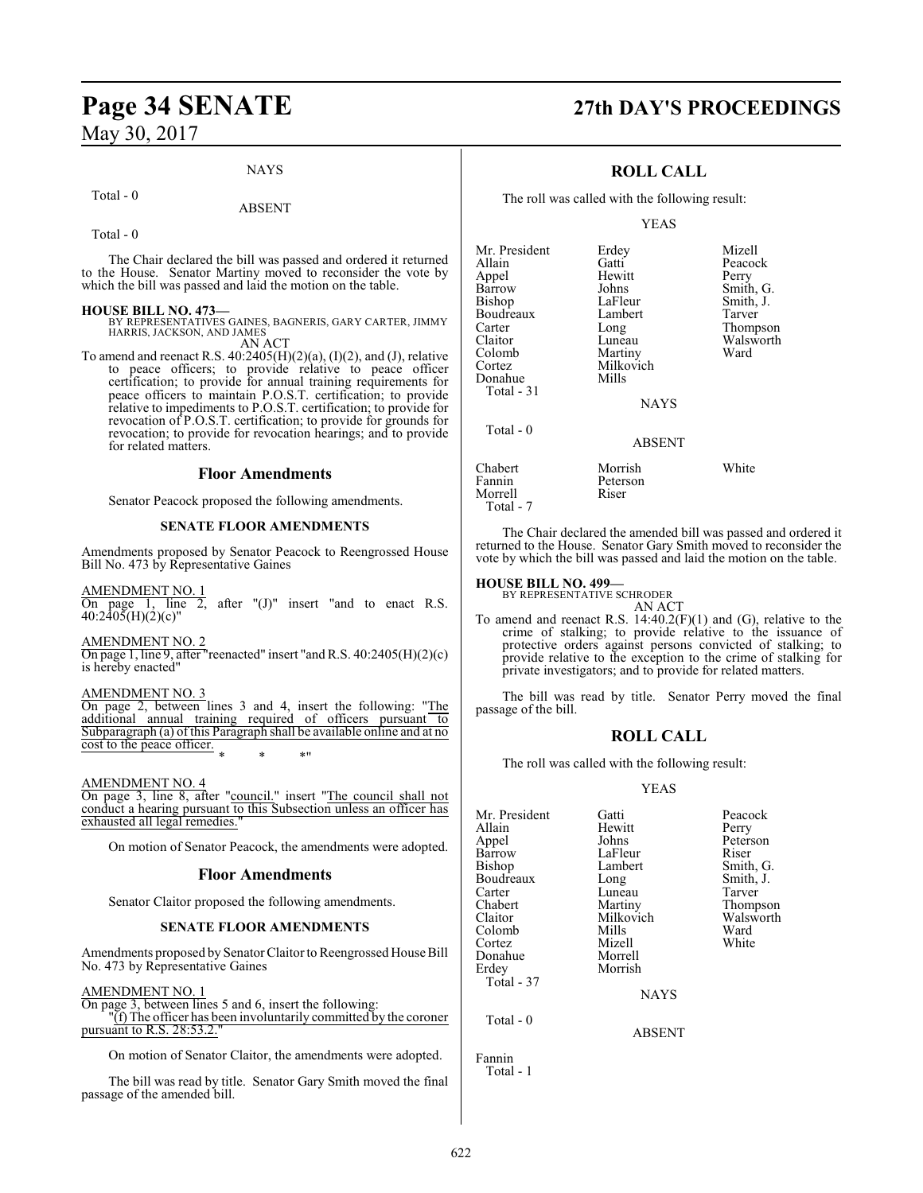#### NAYS

#### Total - 0

#### ABSENT

Total - 0

The Chair declared the bill was passed and ordered it returned to the House. Senator Martiny moved to reconsider the vote by which the bill was passed and laid the motion on the table.

#### **HOUSE BILL NO. 473—**

BY REPRESENTATIVES GAINES, BAGNERIS, GARY CARTER, JIMMY HARRIS, JACKSON, AND JAMES AN ACT

To amend and reenact R.S.  $40:2405(H)(2)(a)$ ,  $(I)(2)$ , and  $(J)$ , relative to peace officers; to provide relative to peace officer certification; to provide for annual training requirements for peace officers to maintain P.O.S.T. certification; to provide relative to impediments to P.O.S.T. certification; to provide for revocation of P.O.S.T. certification; to provide for grounds for revocation; to provide for revocation hearings; and to provide for related matters.

#### **Floor Amendments**

Senator Peacock proposed the following amendments.

#### **SENATE FLOOR AMENDMENTS**

Amendments proposed by Senator Peacock to Reengrossed House Bill No. 473 by Representative Gaines

AMENDMENT NO. 1  $\overline{2}$ , after "(J)" insert "and to enact R.S. On page 1, line  $40:2405(H)(2)(c)''$ 

AMENDMENT NO. 2 On page 1, line 9, after "reenacted" insert "andR.S. 40:2405(H)(2)(c) is hereby enacted"

AMENDMENT NO. 3

On page 2, between lines 3 and 4, insert the following: "The additional annual training required of officers pursuant to Subparagraph (a) of this Paragraph shall be available online and at no cost to the peace officer. \* \* \*"

AMENDMENT NO. 4

On page 3, line 8, after "council." insert "The council shall not conduct a hearing pursuant to this Subsection unless an officer has exhausted all legal remedies.

On motion of Senator Peacock, the amendments were adopted.

#### **Floor Amendments**

Senator Claitor proposed the following amendments.

#### **SENATE FLOOR AMENDMENTS**

Amendments proposed by SenatorClaitor to Reengrossed House Bill No. 473 by Representative Gaines

AMENDMENT NO. 1

On page 3, between lines 5 and 6, insert the following: "(f) The officer has been involuntarily committed by the coroner pursuant to R.S. 28:53.2."

On motion of Senator Claitor, the amendments were adopted.

The bill was read by title. Senator Gary Smith moved the final passage of the amended bill.

## **Page 34 SENATE 27th DAY'S PROCEEDINGS**

### **ROLL CALL**

The roll was called with the following result:

YEAS

| Mr. President<br>Allain<br>Appel<br>Barrow<br>Bishop<br>Boudreaux<br>Carter<br>Claitor<br>Colomb<br>Cortez<br>Donahue<br>Total - 31 | Erdey<br>Gatti<br>Hewitt<br>Johns<br>LaFleur<br>Lambert<br>Long<br>Luneau<br>Martiny<br>Milkovich<br>Mills<br><b>NAYS</b> | Mizell<br>Peacock<br>Perry<br>Smith, G.<br>Smith, J.<br>Tarver<br>Thompson<br>Walsworth<br>Ward |
|-------------------------------------------------------------------------------------------------------------------------------------|---------------------------------------------------------------------------------------------------------------------------|-------------------------------------------------------------------------------------------------|
| Total - 0                                                                                                                           | <b>ABSENT</b>                                                                                                             |                                                                                                 |
| Chabert<br>Fannin<br>Morrell<br>Total - 7                                                                                           | Morrish<br>Peterson<br>Riser                                                                                              | White                                                                                           |

The Chair declared the amended bill was passed and ordered it returned to the House. Senator Gary Smith moved to reconsider the vote by which the bill was passed and laid the motion on the table.

#### **HOUSE BILL NO. 499—**

BY REPRESENTATIVE SCHRODER

AN ACT To amend and reenact R.S.  $14:40.2(F)(1)$  and (G), relative to the crime of stalking; to provide relative to the issuance of protective orders against persons convicted of stalking; to provide relative to the exception to the crime of stalking for private investigators; and to provide for related matters.

The bill was read by title. Senator Perry moved the final passage of the bill.

### **ROLL CALL**

The roll was called with the following result:

#### YEAS

| Mr. President<br>Allain<br>Appel<br><b>Barrow</b><br>Bishop<br>Boudreaux<br>Carter<br>Chabert<br>Claitor<br>Colomb<br>Cortez<br>Donahue<br>Erdey | Gatti<br>Hewitt<br>Johns<br>LaFleur<br>Lambert<br>Long<br>Luneau<br>Martiny<br>Milkovich<br>Mills<br>Mizell<br>Morrell<br>Morrish | Peacock<br>Perry<br>Peterson<br>Riser<br>Smith, G.<br>Smith, J.<br>Tarver<br>Thompson<br>Walsworth<br>Ward<br>White |
|--------------------------------------------------------------------------------------------------------------------------------------------------|-----------------------------------------------------------------------------------------------------------------------------------|---------------------------------------------------------------------------------------------------------------------|
|                                                                                                                                                  |                                                                                                                                   |                                                                                                                     |
| Total - 37                                                                                                                                       | <b>NAYS</b>                                                                                                                       |                                                                                                                     |
| Total - 0                                                                                                                                        | <b>ABSENT</b>                                                                                                                     |                                                                                                                     |
|                                                                                                                                                  |                                                                                                                                   |                                                                                                                     |

622

Fannin Total - 1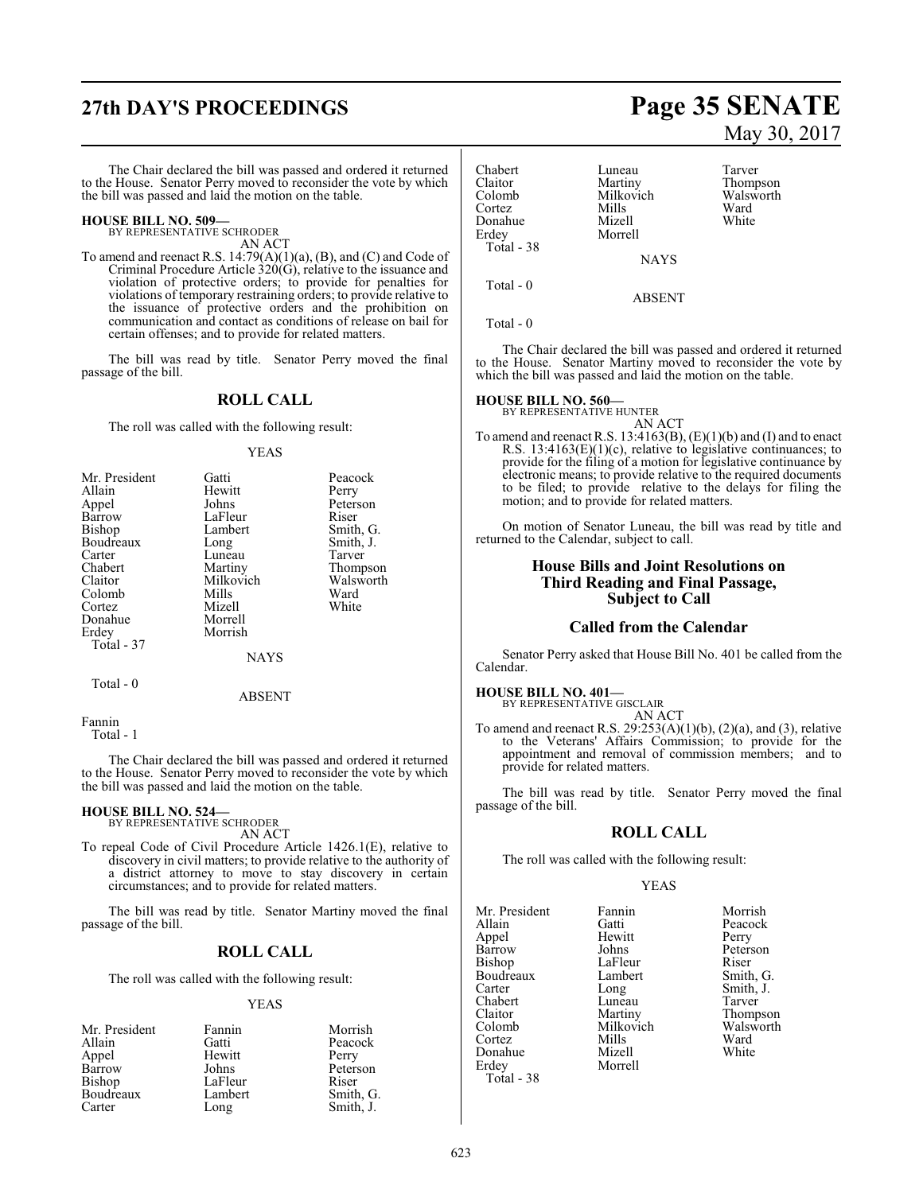## **27th DAY'S PROCEEDINGS Page 35 SENATE**

The Chair declared the bill was passed and ordered it returned to the House. Senator Perry moved to reconsider the vote by which the bill was passed and laid the motion on the table.

#### **HOUSE BILL NO. 509—** BY REPRESENTATIVE SCHRODER

AN ACT

To amend and reenact R.S. 14:79(A)(1)(a), (B), and (C) and Code of Criminal Procedure Article 320(G), relative to the issuance and violation of protective orders; to provide for penalties for violations of temporary restraining orders; to provide relative to the issuance of protective orders and the prohibition on communication and contact as conditions of release on bail for certain offenses; and to provide for related matters.

The bill was read by title. Senator Perry moved the final passage of the bill.

#### **ROLL CALL**

The roll was called with the following result:

#### YEAS

| Mr. President | Gatti       | Peacock   |
|---------------|-------------|-----------|
| Allain        | Hewitt      | Perry     |
| Appel         | Johns       | Peterson  |
| Barrow        | LaFleur     | Riser     |
| Bishop        | Lambert     | Smith, G. |
| Boudreaux     | Long        | Smith, J. |
| Carter        | Luneau      | Tarver    |
| Chabert       | Martiny     | Thompson  |
| Claitor       | Milkovich   | Walsworth |
| Colomb        | Mills       | Ward      |
| Cortez        | Mizell      | White     |
| Donahue       | Morrell     |           |
| Erdey         | Morrish     |           |
| Total - 37    |             |           |
|               | <b>NAYS</b> |           |
| $Total - 0$   |             |           |

ABSENT

Fannin Total - 1

The Chair declared the bill was passed and ordered it returned to the House. Senator Perry moved to reconsider the vote by which the bill was passed and laid the motion on the table.

#### **HOUSE BILL NO. 524—**

BY REPRESENTATIVE SCHRODER AN ACT

To repeal Code of Civil Procedure Article 1426.1(E), relative to discovery in civil matters; to provide relative to the authority of a district attorney to move to stay discovery in certain circumstances; and to provide for related matters.

The bill was read by title. Senator Martiny moved the final passage of the bill.

### **ROLL CALL**

The roll was called with the following result:

#### YEAS

| Mr. President | Fannin  | Morrish   |
|---------------|---------|-----------|
| Allain        | Gatti   | Peacock   |
| Appel         | Hewitt  | Perry     |
| Barrow        | Johns   | Peterson  |
| Bishop        | LaFleur | Riser     |
| Boudreaux     | Lambert | Smith, G. |
| Carter        | Long    | Smith, J. |

# May 30, 2017

| Chabert<br>Claitor<br>Colomb<br>Cortez<br>Donahue<br>Erdey<br>Total - 38 | Luneau<br>Martiny<br>Milkovich<br>Mills<br>Mizell<br>Morrell<br><b>NAYS</b> | Tarver<br>Thompson<br>Walsworth<br>Ward<br>White |
|--------------------------------------------------------------------------|-----------------------------------------------------------------------------|--------------------------------------------------|
| Total $-0$                                                               | <b>ABSENT</b>                                                               |                                                  |

Total - 0

The Chair declared the bill was passed and ordered it returned to the House. Senator Martiny moved to reconsider the vote by which the bill was passed and laid the motion on the table.

#### **HOUSE BILL NO. 560—**

BY REPRESENTATIVE HUNTER

AN ACT To amend and reenact R.S.  $13:4163(B)$ ,  $(E)(1)(b)$  and  $(I)$  and to enact R.S.  $13:4163(E)(1)(c)$ , relative to legislative continuances; to provide for the filing of a motion for legislative continuance by electronic means; to provide relative to the required documents to be filed; to provide relative to the delays for filing the motion; and to provide for related matters.

On motion of Senator Luneau, the bill was read by title and returned to the Calendar, subject to call.

#### **House Bills and Joint Resolutions on Third Reading and Final Passage, Subject to Call**

#### **Called from the Calendar**

Senator Perry asked that House Bill No. 401 be called from the Calendar.

#### **HOUSE BILL NO. 401—**

BY REPRESENTATIVE GISCLAIR AN ACT

To amend and reenact R.S. 29:253(A)(1)(b), (2)(a), and (3), relative to the Veterans' Affairs Commission; to provide for the appointment and removal of commission members; and to provide for related matters.

The bill was read by title. Senator Perry moved the final passage of the bill.

#### **ROLL CALL**

The roll was called with the following result:

Morrell

#### YEAS

Mr. President Fannin Morrish<br>Allain Gatti Peacock Appel Hewit<br>Barrow Johns Barrow Johns Peterson<br>Bishop LaFleur Riser Bishop LaFleur<br>Boudreaux Lambert Boudreaux Lambert Smith, G.<br>
Carter Long Smith, J. Chabert Luneau<br>Claitor Martiny Claitor Martiny Thompson Cortez Mills Ward Donahue<br>Erdey Total - 38

Gatti Peacock<br>
Hewitt Perry Long Smith, J.<br>Luneau Tarver Milkovich Walsworth<br>
Ward<br>
Ward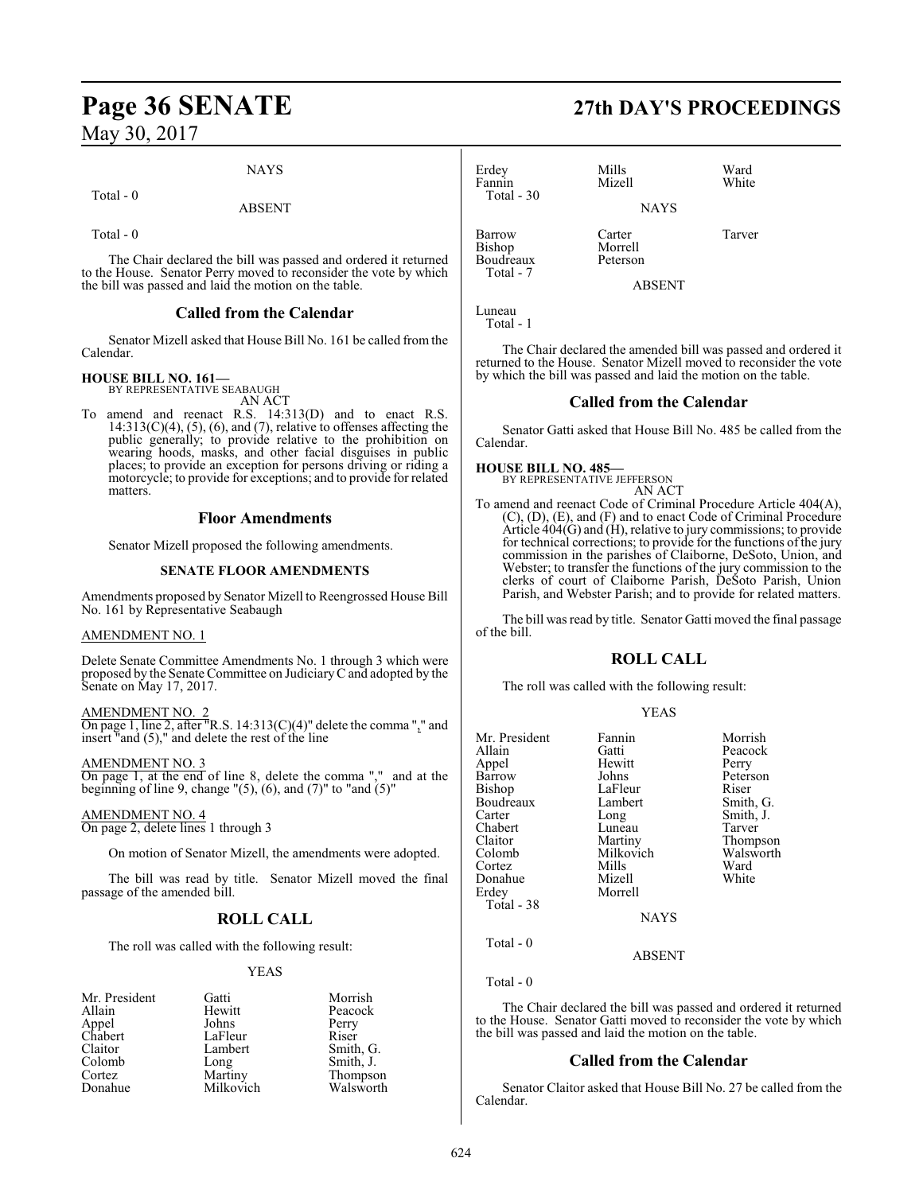#### NAYS

Total - 0

ABSENT

Total - 0

The Chair declared the bill was passed and ordered it returned to the House. Senator Perry moved to reconsider the vote by which the bill was passed and laid the motion on the table.

#### **Called from the Calendar**

Senator Mizell asked that House Bill No. 161 be called from the Calendar.

#### **HOUSE BILL NO. 161—** BY REPRESENTATIVE SEABAUGH

AN ACT

To amend and reenact R.S. 14:313(D) and to enact R.S.  $14:313(C)(4)$ ,  $(5)$ ,  $(6)$ , and  $(7)$ , relative to offenses affecting the public generally; to provide relative to the prohibition on wearing hoods, masks, and other facial disguises in public places; to provide an exception for persons driving or riding a motorcycle; to provide for exceptions; and to provide for related matters.

#### **Floor Amendments**

Senator Mizell proposed the following amendments.

#### **SENATE FLOOR AMENDMENTS**

Amendments proposed by Senator Mizell to Reengrossed House Bill No. 161 by Representative Seabaugh

#### AMENDMENT NO. 1

Delete Senate Committee Amendments No. 1 through 3 which were proposed by the Senate Committee on JudiciaryC and adopted by the Senate on May 17, 2017.

#### AMENDMENT NO. 2

On page 1, line 2, after "R.S.  $14:313(C)(4)$ " delete the comma "," and insert "and (5)," and delete the rest of the line

AMENDMENT NO. 3 On page 1, at the end of line 8, delete the comma "," and at the beginning of line 9, change  $\degree$ (5), (6), and (7) $\degree$  to  $\degree$  and (5) $\degree$ 

AMENDMENT NO. 4 On page 2, delete lines 1 through 3

On motion of Senator Mizell, the amendments were adopted.

The bill was read by title. Senator Mizell moved the final passage of the amended bill.

### **ROLL CALL**

The roll was called with the following result:

#### YEAS

| Mr. President | Gatti     | Morrish               |
|---------------|-----------|-----------------------|
| Allain        | Hewitt    | Peacock               |
| Appel         | Johns     | Perry                 |
| Chabert       | LaFleur   | Riser                 |
| Claitor       | Lambert   | Smith, G.             |
| Colomb        | Long      | Smith, J.             |
| Cortez        | Martiny   | Thompson<br>Walsworth |
| Donahue       | Milkovich |                       |

### **Page 36 SENATE 27th DAY'S PROCEEDINGS**

| Erdey<br>Fannin<br>Total - $30$                   | Mills<br>Mizell               | Ward<br>White |
|---------------------------------------------------|-------------------------------|---------------|
|                                                   | <b>NAYS</b>                   |               |
| Barrow<br><b>Bishop</b><br>Boudreaux<br>Total - 7 | Carter<br>Morrell<br>Peterson | Tarver        |
|                                                   |                               |               |

Total - 1

Luneau

The Chair declared the amended bill was passed and ordered it returned to the House. Senator Mizell moved to reconsider the vote by which the bill was passed and laid the motion on the table.

#### **Called from the Calendar**

Senator Gatti asked that House Bill No. 485 be called from the Calendar.

**HOUSE BILL NO. 485—** BY REPRESENTATIVE JEFFERSON AN ACT

To amend and reenact Code of Criminal Procedure Article 404(A), (C), (D), (E), and (F) and to enact Code of Criminal Procedure Article 404(G) and (H), relative to jury commissions; to provide for technical corrections; to provide for the functions of the jury commission in the parishes of Claiborne, DeSoto, Union, and Webster; to transfer the functions of the jury commission to the clerks of court of Claiborne Parish, DeSoto Parish, Union Parish, and Webster Parish; and to provide for related matters.

The bill was read by title. Senator Gatti moved the final passage of the bill.

#### **ROLL CALL**

The roll was called with the following result:

#### YEAS

| Mr. President | Fannin      | Morrish   |
|---------------|-------------|-----------|
| Allain        | Gatti       | Peacock   |
| Appel         | Hewitt      | Perry     |
| Barrow        | Johns       | Peterson  |
| Bishop        | LaFleur     | Riser     |
| Boudreaux     | Lambert     | Smith, G. |
| Carter        | Long        | Smith, J. |
| Chabert       | Luneau      | Tarver    |
| Claitor       | Martiny     | Thompson  |
| Colomb        | Milkovich   | Walsworth |
| Cortez        | Mills       | Ward      |
| Donahue       | Mizell      | White     |
| Erdey         | Morrell     |           |
| Total - 38    |             |           |
|               | <b>NAYS</b> |           |
| Total - 0     |             |           |

ABSENT

Total - 0

The Chair declared the bill was passed and ordered it returned to the House. Senator Gatti moved to reconsider the vote by which the bill was passed and laid the motion on the table.

### **Called from the Calendar**

Senator Claitor asked that House Bill No. 27 be called from the Calendar.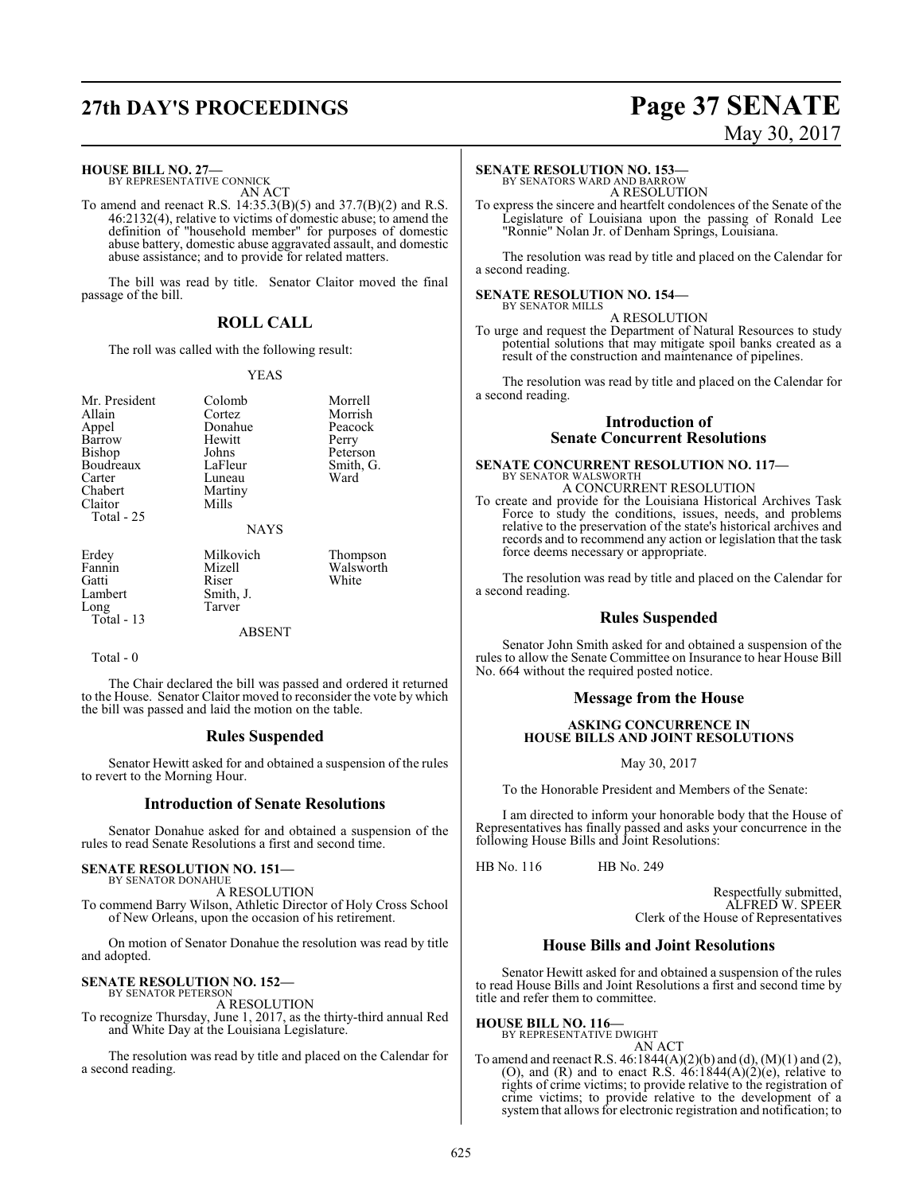## **27th DAY'S PROCEEDINGS Page 37 SENATE**

#### **HOUSE BILL NO. 27—**

BY REPRESENTATIVE CONNICK AN ACT

To amend and reenact R.S. 14:35.3(B)(5) and 37.7(B)(2) and R.S. 46:2132(4), relative to victims of domestic abuse; to amend the definition of "household member" for purposes of domestic abuse battery, domestic abuse aggravated assault, and domestic abuse assistance; and to provide for related matters.

The bill was read by title. Senator Claitor moved the final passage of the bill.

#### **ROLL CALL**

The roll was called with the following result:

#### YEAS

Mr. President Colomb Morrell<br>Allain Cortez Morrish Allain Cortez Morrish<br>
Appel Donahue Peacock Barrow Hewit<br>Bishop Johns Boudreaux LaFleur Smith<br>Carter Luneau Ward Carter Luneau<br>Chabert Martiny Claitor Total - 25

Donahue Peaco<br>Hewitt Perry Johns Peterson<br>LaFleur Smith, G. Martiny<br>Mills

NAYS

| Erdey        | Milkovich | Thompson  |
|--------------|-----------|-----------|
| Fannin       | Mizell    | Walsworth |
| Gatti        | Riser     | White     |
| Lambert      | Smith, J. |           |
| Long         | Tarver    |           |
| Total - $13$ |           |           |

#### ABSENT

Total - 0

The Chair declared the bill was passed and ordered it returned to the House. Senator Claitor moved to reconsider the vote by which the bill was passed and laid the motion on the table.

#### **Rules Suspended**

Senator Hewitt asked for and obtained a suspension of the rules to revert to the Morning Hour.

#### **Introduction of Senate Resolutions**

Senator Donahue asked for and obtained a suspension of the rules to read Senate Resolutions a first and second time.

#### **SENATE RESOLUTION NO. 151—**

BY SENATOR DONAHUE A RESOLUTION

To commend Barry Wilson, Athletic Director of Holy Cross School of New Orleans, upon the occasion of his retirement.

On motion of Senator Donahue the resolution was read by title and adopted.

#### **SENATE RESOLUTION NO. 152—** BY SENATOR PETERSON

A RESOLUTION

To recognize Thursday, June 1, 2017, as the thirty-third annual Red and White Day at the Louisiana Legislature.

The resolution was read by title and placed on the Calendar for a second reading.

# May 30, 2017

#### **SENATE RESOLUTION NO. 153—**

BY SENATORS WARD AND BARROW A RESOLUTION

To express the sincere and heartfelt condolences of the Senate of the Legislature of Louisiana upon the passing of Ronald Lee "Ronnie" Nolan Jr. of Denham Springs, Louisiana.

The resolution was read by title and placed on the Calendar for a second reading.

#### **SENATE RESOLUTION NO. 154—** BY SENATOR MILLS

A RESOLUTION

To urge and request the Department of Natural Resources to study potential solutions that may mitigate spoil banks created as a result of the construction and maintenance of pipelines.

The resolution was read by title and placed on the Calendar for a second reading.

#### **Introduction of Senate Concurrent Resolutions**

#### **SENATE CONCURRENT RESOLUTION NO. 117—** BY SENATOR WALSWORTH A CONCURRENT RESOLUTION

To create and provide for the Louisiana Historical Archives Task Force to study the conditions, issues, needs, and problems relative to the preservation of the state's historical archives and records and to recommend any action or legislation that the task force deems necessary or appropriate.

The resolution was read by title and placed on the Calendar for a second reading.

#### **Rules Suspended**

Senator John Smith asked for and obtained a suspension of the rules to allow the Senate Committee on Insurance to hear House Bill No. 664 without the required posted notice.

#### **Message from the House**

#### **ASKING CONCURRENCE IN HOUSE BILLS AND JOINT RESOLUTIONS**

May 30, 2017

To the Honorable President and Members of the Senate:

I am directed to inform your honorable body that the House of Representatives has finally passed and asks your concurrence in the following House Bills and Joint Resolutions:

HB No. 116 HB No. 249

Respectfully submitted, ALFRED W. SPEER Clerk of the House of Representatives

#### **House Bills and Joint Resolutions**

Senator Hewitt asked for and obtained a suspension of the rules to read House Bills and Joint Resolutions a first and second time by title and refer them to committee.

### **HOUSE BILL NO. 116—** BY REPRESENTATIVE DWIGHT

AN ACT

To amend and reenact R.S. 46:1844(A)(2)(b) and (d), (M)(1) and (2), (O), and (R) and to enact R.S.  $46:1844(A)(2)(e)$ , relative to rights of crime victims; to provide relative to the registration of crime victims; to provide relative to the development of a system that allows for electronic registration and notification; to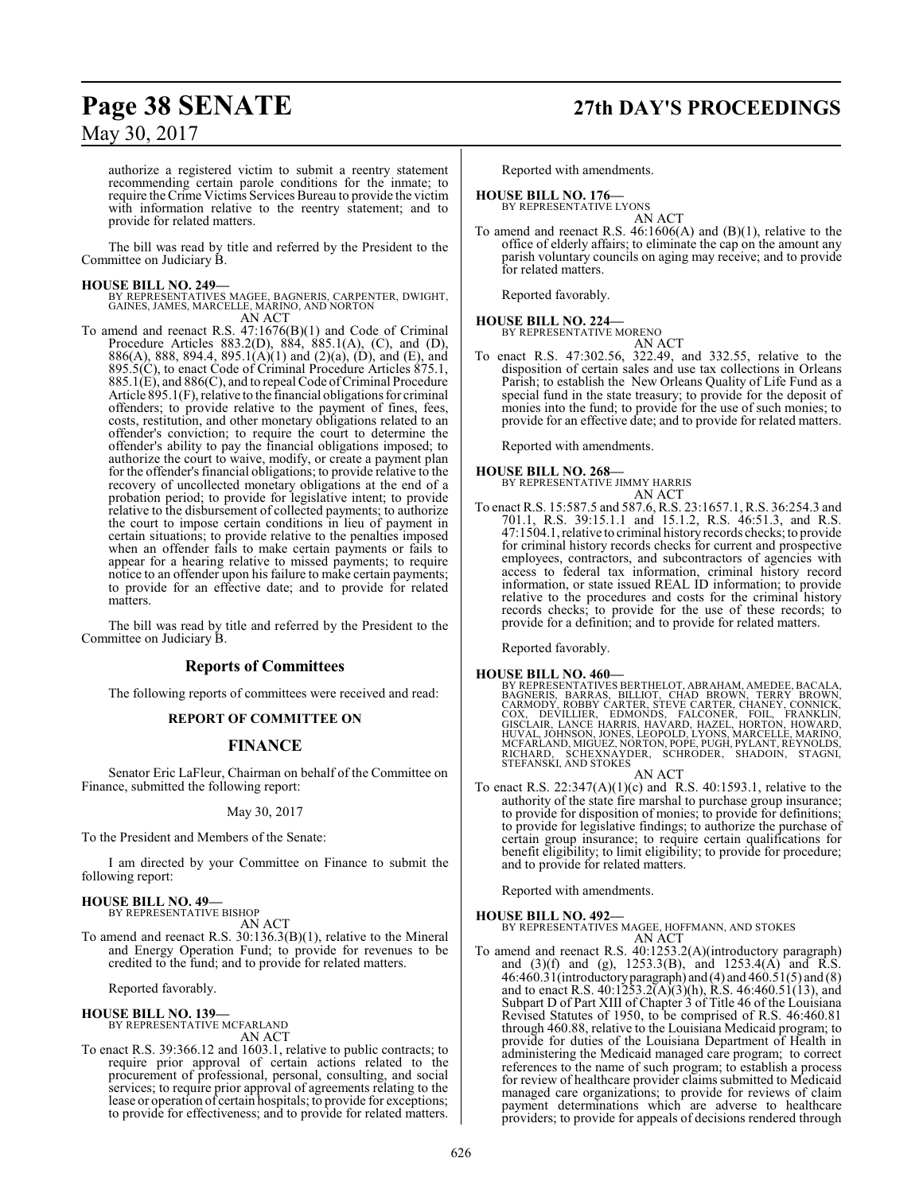## **Page 38 SENATE 27th DAY'S PROCEEDINGS**

May 30, 2017

authorize a registered victim to submit a reentry statement recommending certain parole conditions for the inmate; to require the Crime Victims Services Bureau to provide the victim with information relative to the reentry statement; and to provide for related matters.

The bill was read by title and referred by the President to the Committee on Judiciary B.

#### **HOUSE BILL NO. 249—**

BY REPRESENTATIVES MAGEE, BAGNERIS, CARPENTER, DWIGHT, GAINES, JAMES, MARCELLE, MARINO, AND NORTON AN ACT

To amend and reenact R.S. 47:1676(B)(1) and Code of Criminal Procedure Articles 883.2(D), 884, 885.1(A), (C), and (D), 886(A), 888, 894.4, 895.1(A)(1) and (2)(a), (D), and (E), and 895.5(C), to enact Code of Criminal Procedure Articles 875.1,  $885.1(E)$ , and  $886(C)$ , and to repeal Code of Criminal Procedure Article 895.1(F), relative to the financial obligations for criminal offenders; to provide relative to the payment of fines, fees, costs, restitution, and other monetary obligations related to an offender's conviction; to require the court to determine the offender's ability to pay the financial obligations imposed; to authorize the court to waive, modify, or create a payment plan for the offender's financial obligations; to provide relative to the recovery of uncollected monetary obligations at the end of a probation period; to provide for legislative intent; to provide relative to the disbursement of collected payments; to authorize the court to impose certain conditions in lieu of payment in certain situations; to provide relative to the penalties imposed when an offender fails to make certain payments or fails to appear for a hearing relative to missed payments; to require notice to an offender upon his failure to make certain payments; to provide for an effective date; and to provide for related matters.

The bill was read by title and referred by the President to the Committee on Judiciary B.

#### **Reports of Committees**

The following reports of committees were received and read:

#### **REPORT OF COMMITTEE ON**

### **FINANCE**

Senator Eric LaFleur, Chairman on behalf of the Committee on Finance, submitted the following report:

#### May 30, 2017

To the President and Members of the Senate:

I am directed by your Committee on Finance to submit the following report:

#### **HOUSE BILL NO. 49—** BY REPRESENTATIVE BISHOP

AN ACT

To amend and reenact R.S. 30:136.3(B)(1), relative to the Mineral and Energy Operation Fund; to provide for revenues to be credited to the fund; and to provide for related matters.

Reported favorably.

#### **HOUSE BILL NO. 139—** BY REPRESENTATIVE MCFARLAND AN ACT

To enact R.S. 39:366.12 and 1603.1, relative to public contracts; to require prior approval of certain actions related to the procurement of professional, personal, consulting, and social services; to require prior approval of agreements relating to the lease or operation of certain hospitals; to provide for exceptions; to provide for effectiveness; and to provide for related matters.

Reported with amendments.

- **HOUSE BILL NO. 176—** BY REPRESENTATIVE LYONS
	- AN ACT
- To amend and reenact R.S. 46:1606(A) and (B)(1), relative to the office of elderly affairs; to eliminate the cap on the amount any parish voluntary councils on aging may receive; and to provide for related matters.

Reported favorably.

- **HOUSE BILL NO. 224—** BY REPRESENTATIVE MORENO AN ACT
- To enact R.S. 47:302.56, 322.49, and 332.55, relative to the disposition of certain sales and use tax collections in Orleans Parish; to establish the New Orleans Quality of Life Fund as a special fund in the state treasury; to provide for the deposit of monies into the fund; to provide for the use of such monies; to provide for an effective date; and to provide for related matters.

Reported with amendments.

**HOUSE BILL NO. 268—**

- BY REPRESENTATIVE JIMMY HARRIS AN ACT
- To enact R.S. 15:587.5 and 587.6, R.S. 23:1657.1, R.S. 36:254.3 and 701.1, R.S. 39:15.1.1 and 15.1.2, R.S. 46:51.3, and R.S. 47:1504.1,relative to criminal historyrecords checks; to provide for criminal history records checks for current and prospective employees, contractors, and subcontractors of agencies with access to federal tax information, criminal history record information, or state issued REAL ID information; to provide relative to the procedures and costs for the criminal history records checks; to provide for the use of these records; to provide for a definition; and to provide for related matters.

Reported favorably.

**HOUSE BILL NO. 460—** BY REPRESENTATIVES BERTHELOT, ABRAHAM, AMEDEE, BACALA, BAGNERIS, BARRAS, BILLIOT, CHAD BROWN, TERRY BROWN, CARMODY, ROBBY CARTER, STEVE CARTER, CHANEY, CONNICK, COX, DEVILLIER, EDMONDS, FALCONER, FOIL, FRANKLIN,<br>GISCLAIR,LANCE HARRIS,HAVARD,HAZEL,HORTON,HOWARD,<br>HUVAL,JÓHNSON,JONES,LEOPOLD,LYONS,MARCELLE,MARINO,<br>MCFARLAND,MIGUEZ,NÓRTON,POPE,PUGH,PYLANT,REYNOLDS,<br>RICHARD, SCHEXNAYDE STEFANSKI, AND STOKES

#### AN ACT

To enact R.S. 22:347(A)(1)(c) and R.S. 40:1593.1, relative to the authority of the state fire marshal to purchase group insurance; to provide for disposition of monies; to provide for definitions; to provide for legislative findings; to authorize the purchase of certain group insurance; to require certain qualifications for benefit eligibility; to limit eligibility; to provide for procedure; and to provide for related matters.

Reported with amendments.

### **HOUSE BILL NO. 492—** BY REPRESENTATIVES MAGEE, HOFFMANN, AND STOKES

AN ACT

To amend and reenact R.S. 40:1253.2(A)(introductory paragraph) and (3)(f) and (g),  $1253.3(B)$ , and  $1253.4(A)$  and R.S. 46:460.31(introductoryparagraph) and (4) and 460.51(5) and (8) and to enact R.S. 40:1253.2(A)(3)(h), R.S. 46:460.51(13), and Subpart D of Part XIII of Chapter 3 of Title 46 of the Louisiana Revised Statutes of 1950, to be comprised of R.S. 46:460.81 through 460.88, relative to the Louisiana Medicaid program; to provide for duties of the Louisiana Department of Health in administering the Medicaid managed care program; to correct references to the name of such program; to establish a process for review of healthcare provider claims submitted to Medicaid managed care organizations; to provide for reviews of claim payment determinations which are adverse to healthcare providers; to provide for appeals of decisions rendered through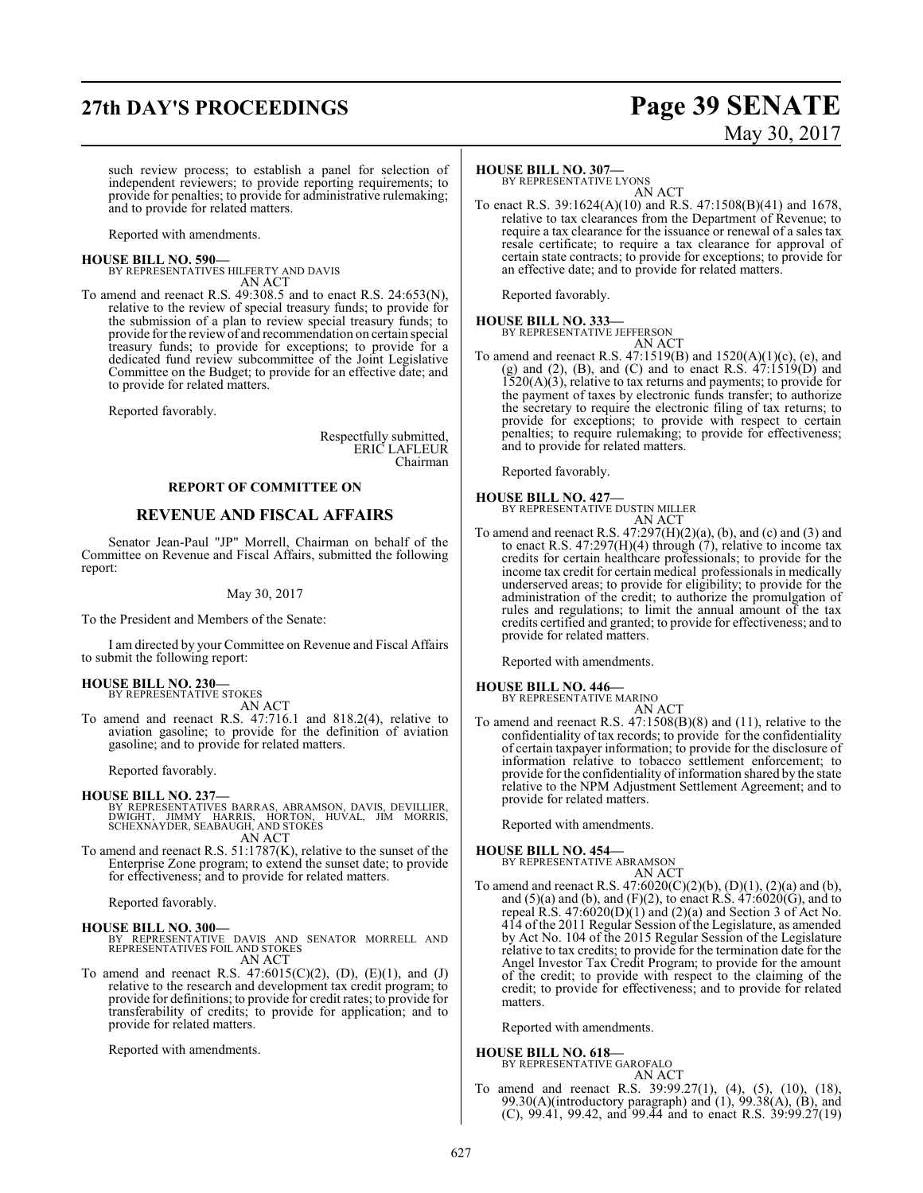## **27th DAY'S PROCEEDINGS Page 39 SENATE**

# May 30, 2017

such review process; to establish a panel for selection of independent reviewers; to provide reporting requirements; to provide for penalties; to provide for administrative rulemaking; and to provide for related matters.

Reported with amendments.

#### **HOUSE BILL NO. 590—**

BY REPRESENTATIVES HILFERTY AND DAVIS AN ACT

To amend and reenact R.S.  $49:308.5$  and to enact R.S.  $24:653(N)$ , relative to the review of special treasury funds; to provide for the submission of a plan to review special treasury funds; to provide for the review of and recommendation on certain special treasury funds; to provide for exceptions; to provide for a dedicated fund review subcommittee of the Joint Legislative Committee on the Budget; to provide for an effective date; and to provide for related matters.

Reported favorably.

Respectfully submitted, ERIC LAFLEUR Chairman

#### **REPORT OF COMMITTEE ON**

#### **REVENUE AND FISCAL AFFAIRS**

Senator Jean-Paul "JP" Morrell, Chairman on behalf of the Committee on Revenue and Fiscal Affairs, submitted the following report:

#### May 30, 2017

To the President and Members of the Senate:

I am directed by your Committee on Revenue and Fiscal Affairs to submit the following report:

#### **HOUSE BILL NO. 230—**

BY REPRESENTATIVE STOKES AN ACT

To amend and reenact R.S. 47:716.1 and 818.2(4), relative to aviation gasoline; to provide for the definition of aviation gasoline; and to provide for related matters.

Reported favorably.

#### **HOUSE BILL NO. 237—**

- BY REPRESENTATIVES BARRAS, ABRAMSON, DAVIS, DEVILLIER,<br>DWIGHT, JIMMY HARRIS, HORTON, HUVAL, JIM MORRIS,<br>SCHEXNAYDER, SEABAUGH, AND STOKES AN ACT
- To amend and reenact R.S. 51:1787(K), relative to the sunset of the Enterprise Zone program; to extend the sunset date; to provide for effectiveness; and to provide for related matters.

Reported favorably.

**HOUSE BILL NO. 300—** BY REPRESENTATIVE DAVIS AND SENATOR MORRELL AND REPRESENTATIVES FOIL AND STOKES AN ACT

To amend and reenact R.S.  $47:6015(C)(2)$ , (D), (E)(1), and (J) relative to the research and development tax credit program; to provide for definitions; to provide for credit rates; to provide for transferability of credits; to provide for application; and to provide for related matters.

Reported with amendments.

#### **HOUSE BILL NO. 307—**

BY REPRESENTATIVE LYONS AN ACT

To enact R.S. 39:1624(A)(10) and R.S. 47:1508(B)(41) and 1678, relative to tax clearances from the Department of Revenue; to require a tax clearance for the issuance or renewal of a sales tax resale certificate; to require a tax clearance for approval of certain state contracts; to provide for exceptions; to provide for an effective date; and to provide for related matters.

Reported favorably.

#### **HOUSE BILL NO. 333—** BY REPRESENTATIVE JEFFERSON

AN ACT To amend and reenact R.S. 47:1519(B) and 1520(A)(1)(c), (e), and (g) and (2), (B), and (C) and to enact R.S.  $47:1519(D)$  and 1520(A)(3), relative to tax returns and payments; to provide for the payment of taxes by electronic funds transfer; to authorize the secretary to require the electronic filing of tax returns; to provide for exceptions; to provide with respect to certain penalties; to require rulemaking; to provide for effectiveness; and to provide for related matters.

Reported favorably.

**HOUSE BILL NO. 427—**

BY REPRESENTATIVE DUSTIN MILLER AN ACT

To amend and reenact R.S. 47:297(H)(2)(a), (b), and (c) and (3) and to enact R.S. 47:297(H)(4) through (7), relative to income tax credits for certain healthcare professionals; to provide for the income tax credit for certain medical professionals in medically underserved areas; to provide for eligibility; to provide for the administration of the credit; to authorize the promulgation of rules and regulations; to limit the annual amount of the tax credits certified and granted; to provide for effectiveness; and to provide for related matters.

Reported with amendments.

#### **HOUSE BILL NO. 446—**

BY REPRESENTATIVE MARINO AN ACT

To amend and reenact R.S. 47:1508(B)(8) and (11), relative to the confidentiality of tax records; to provide for the confidentiality of certain taxpayer information; to provide for the disclosure of information relative to tobacco settlement enforcement; to provide forthe confidentiality of information shared by the state relative to the NPM Adjustment Settlement Agreement; and to provide for related matters.

Reported with amendments.

**HOUSE BILL NO. 454—**

BY REPRESENTATIVE ABRAMSON

AN ACT To amend and reenact R.S.  $47:6020(C)(2)(b)$ ,  $(D)(1)$ ,  $(2)(a)$  and  $(b)$ , and (5)(a) and (b), and (F)(2), to enact R.S. 47:6020(G), and to repeal R.S.  $47:6020(D)(1)$  and  $(2)(a)$  and Section 3 of Act No. 414 of the 2011 Regular Session of the Legislature, as amended by Act No. 104 of the 2015 Regular Session of the Legislature relative to tax credits; to provide for the termination date for the Angel Investor Tax Credit Program; to provide for the amount of the credit; to provide with respect to the claiming of the credit; to provide for effectiveness; and to provide for related matters.

Reported with amendments.

#### **HOUSE BILL NO. 618—**

BY REPRESENTATIVE GAROFALO AN ACT

To amend and reenact R.S. 39:99.27(1), (4), (5), (10), (18), 99.30(A)(introductory paragraph) and  $(1)$ , 99.38(A),  $(B)$ , and (C), 99.41, 99.42, and 99.44 and to enact R.S. 39:99.27(19)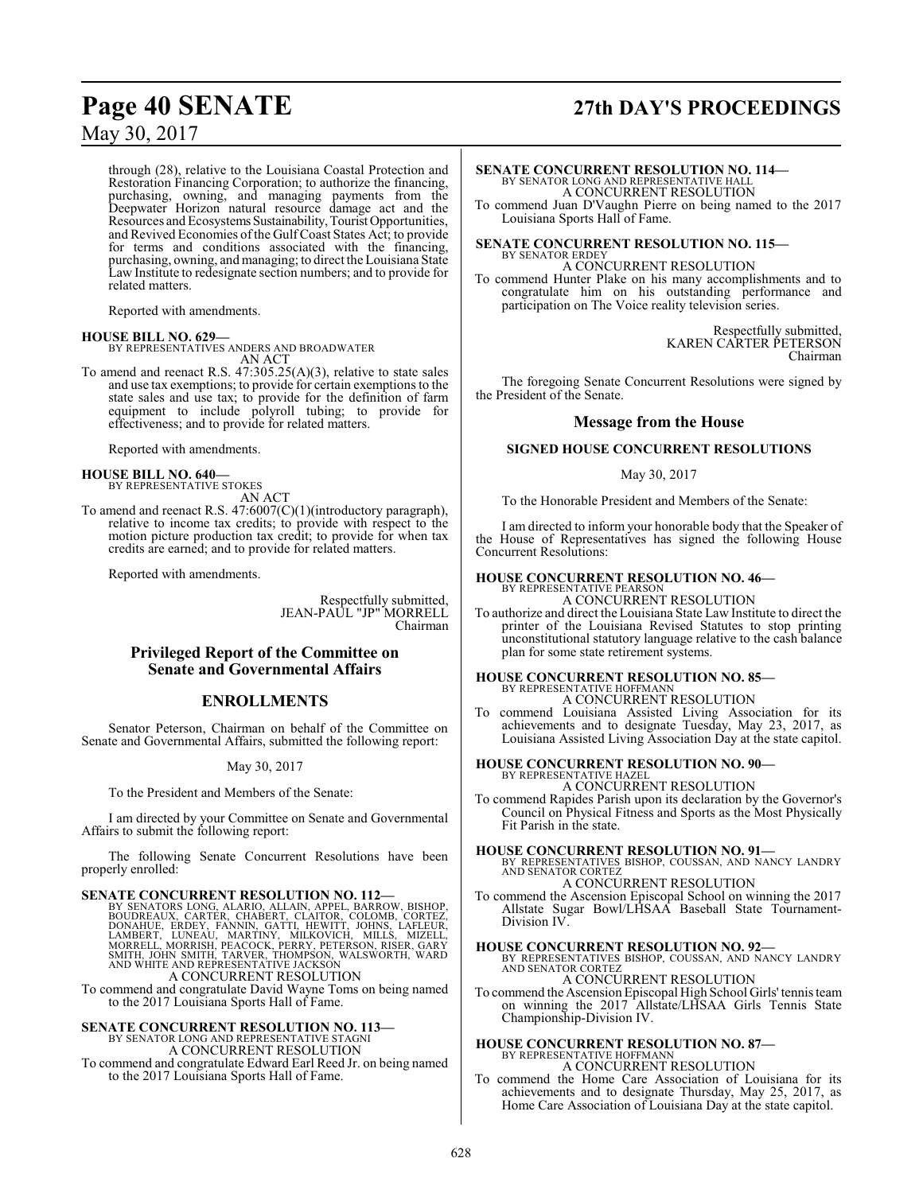through (28), relative to the Louisiana Coastal Protection and Restoration Financing Corporation; to authorize the financing, purchasing, owning, and managing payments from the Deepwater Horizon natural resource damage act and the Resources and Ecosystems Sustainability, Tourist Opportunities, and Revived Economies of the Gulf Coast States Act; to provide for terms and conditions associated with the financing, purchasing, owning, and managing; to direct the Louisiana State Law Institute to redesignate section numbers; and to provide for related matters.

Reported with amendments.

#### **HOUSE BILL NO. 629—**

BY REPRESENTATIVES ANDERS AND BROADWATER AN ACT

To amend and reenact R.S. 47:305.25(A)(3), relative to state sales and use tax exemptions; to provide for certain exemptions to the state sales and use tax; to provide for the definition of farm equipment to include polyroll tubing; to provide for effectiveness; and to provide for related matters.

Reported with amendments.

#### **HOUSE BILL NO. 640—**

BY REPRESENTATIVE STOKES

AN ACT To amend and reenact R.S. 47:6007(C)(1)(introductory paragraph), relative to income tax credits; to provide with respect to the motion picture production tax credit; to provide for when tax credits are earned; and to provide for related matters.

Reported with amendments.

Respectfully submitted, JEAN-PAUL "JP" MORRELL Chairman

#### **Privileged Report of the Committee on Senate and Governmental Affairs**

#### **ENROLLMENTS**

Senator Peterson, Chairman on behalf of the Committee on Senate and Governmental Affairs, submitted the following report:

#### May 30, 2017

To the President and Members of the Senate:

I am directed by your Committee on Senate and Governmental Affairs to submit the following report:

The following Senate Concurrent Resolutions have been properly enrolled:

SENATE CONCURRENT RESOLUTION NO. 112—<br>BY SENATORS LONG, ALARIO, ALLAIN, APPEL, BARROW, BISHOP, BOUDREAUX, CARTÉR, CHABERT, CLAITOR, COLOMB, CORTEZ,<br>DONAHUE, ERDEY, FANNIN, GATTI, HEWITT, JOHNS, LAFLEUR,<br>LAMBERT, LUNEAU, MA A CONCURRENT RESOLUTION

To commend and congratulate David Wayne Toms on being named to the 2017 Louisiana Sports Hall of Fame.

## **SENATE CONCURRENT RESOLUTION NO. 113—** BY SENATOR LONG AND REPRESENTATIVE STAGNI

A CONCURRENT RESOLUTION To commend and congratulate Edward Earl Reed Jr. on being named to the 2017 Louisiana Sports Hall of Fame.

## **Page 40 SENATE 27th DAY'S PROCEEDINGS**

### **SENATE CONCURRENT RESOLUTION NO. 114—**

BY SENATOR LONG AND REPRESENTATIVE HALL A CONCURRENT RESOLUTION

To commend Juan D'Vaughn Pierre on being named to the 2017 Louisiana Sports Hall of Fame.

## **SENATE CONCURRENT RESOLUTION NO. 115—** BY SENATOR ERDEY

A CONCURRENT RESOLUTION

To commend Hunter Plake on his many accomplishments and to congratulate him on his outstanding performance and participation on The Voice reality television series.

> Respectfully submitted, KAREN CARTER PETERSON Chairman

The foregoing Senate Concurrent Resolutions were signed by the President of the Senate.

#### **Message from the House**

#### **SIGNED HOUSE CONCURRENT RESOLUTIONS**

#### May 30, 2017

To the Honorable President and Members of the Senate:

I am directed to inform your honorable body that the Speaker of the House of Representatives has signed the following House Concurrent Resolutions:

#### **HOUSE CONCURRENT RESOLUTION NO. 46—** BY REPRESENTATIVE PEARSO

A CONCURRENT RESOLUTION

To authorize and direct the Louisiana State Law Institute to direct the printer of the Louisiana Revised Statutes to stop printing unconstitutional statutory language relative to the cash balance plan for some state retirement systems.

## **HOUSE CONCURRENT RESOLUTION NO. 85—** BY REPRESENTATIVE HOFFMANN

A CONCURRENT RESOLUTION To commend Louisiana Assisted Living Association for its achievements and to designate Tuesday, May 23, 2017, as Louisiana Assisted Living Association Day at the state capitol.

#### **HOUSE CONCURRENT RESOLUTION NO. 90—** BY REPRESENTATIVE HAZEL

A CONCURRENT RESOLUTION To commend Rapides Parish upon its declaration by the Governor's

Council on Physical Fitness and Sports as the Most Physically Fit Parish in the state.

**HOUSE CONCURRENT RESOLUTION NO. 91—**<br>BY REPRESENTATIVES BISHOP, COUSSAN, AND NANCY LANDRY<br>AND SENATOR CORTEZ A CONCURRENT RESOLUTION

To commend the Ascension Episcopal School on winning the 2017 Allstate Sugar Bowl/LHSAA Baseball State Tournament-Division IV.

**HOUSE CONCURRENT RESOLUTION NO. 92—**<br>BY REPRESENTATIVES BISHOP, COUSSAN, AND NANCY LANDRY<br>AND SENATOR CORTEZ A CONCURRENT RESOLUTION

To commend the Ascension Episcopal High School Girls' tennis team on winning the 2017 Allstate/LHSAA Girls Tennis State Championship-Division IV.

**HOUSE CONCURRENT RESOLUTION NO. 87—** BY REPRESENTATIVE HOFFMANN A CONCURRENT RESOLUTION

To commend the Home Care Association of Louisiana for its achievements and to designate Thursday, May 25, 2017, as Home Care Association of Louisiana Day at the state capitol.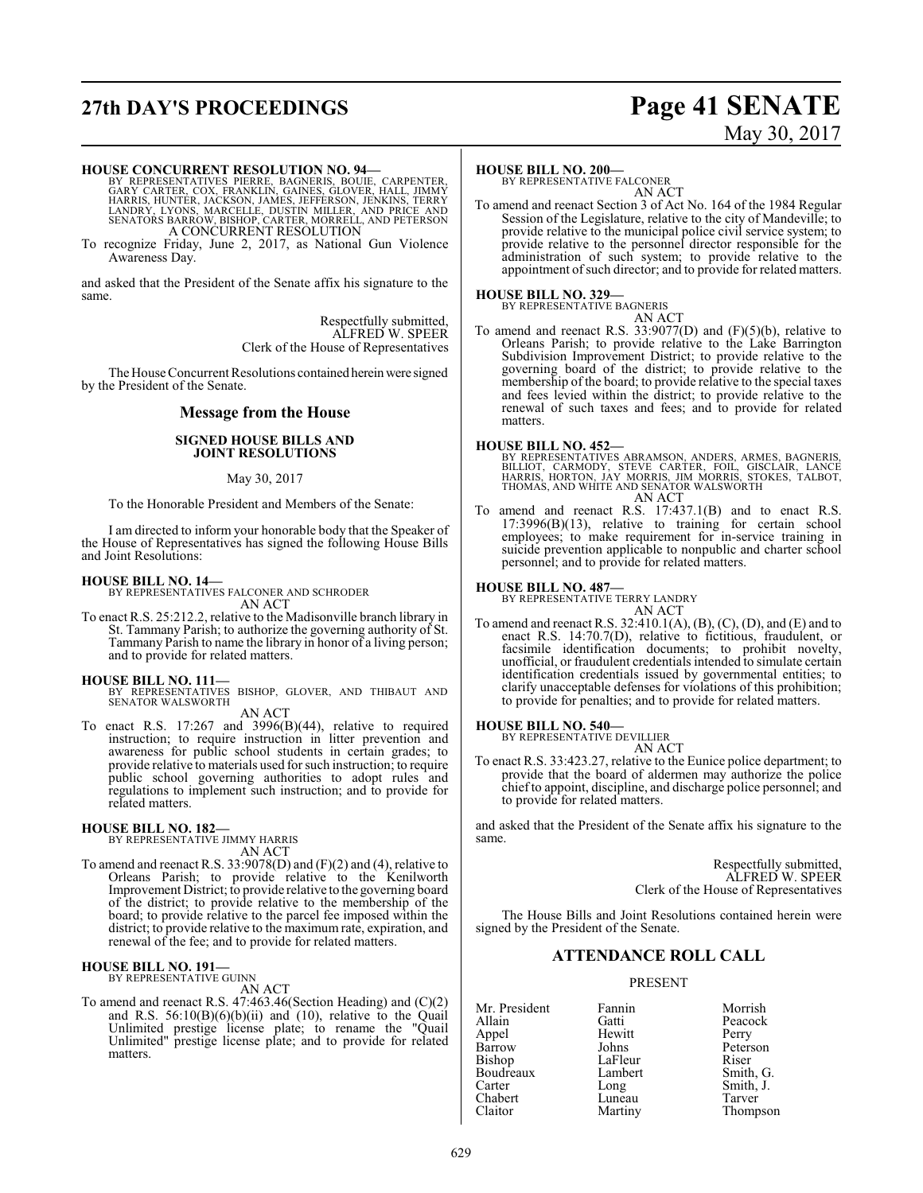## **27th DAY'S PROCEEDINGS Page 41 SENATE**

# May 30, 2017

#### **HOUSE CONCURRENT RESOLUTION NO. 94—**

BY REPRESENTATIVES PIERRE, BAGNERIS, BOUIE, CARPENTER,<br>GARY CARTER, COX, FRANKLIN, GAINES, GLOVER, HALL, JIMMY<br>HARRIS, HUNTER, JACKSON, JAMES, JEFFERSON, JENKINS, TERRY<br>LANDRY, LYONS, MARCELLE, DUSTIN MILLER, AND PRICE AND A CONCURRENT RESOLUTION

To recognize Friday, June 2, 2017, as National Gun Violence Awareness Day.

and asked that the President of the Senate affix his signature to the same.

> Respectfully submitted, ALFRED W. SPEER Clerk of the House of Representatives

The House Concurrent Resolutions contained herein were signed by the President of the Senate.

#### **Message from the House**

#### **SIGNED HOUSE BILLS AND JOINT RESOLUTIONS**

#### May 30, 2017

To the Honorable President and Members of the Senate:

I am directed to inform your honorable body that the Speaker of the House of Representatives has signed the following House Bills and Joint Resolutions:

**HOUSE BILL NO. 14—** BY REPRESENTATIVES FALCONER AND SCHRODER AN ACT

To enact R.S. 25:212.2, relative to the Madisonville branch library in St. Tammany Parish; to authorize the governing authority of St. Tammany Parish to name the library in honor of a living person; and to provide for related matters.

#### **HOUSE BILL NO. 111—**

BY REPRESENTATIVES BISHOP, GLOVER, AND THIBAUT AND SENATOR WALSWORTH

AN ACT

To enact R.S. 17:267 and 3996(B)(44), relative to required instruction; to require instruction in litter prevention and awareness for public school students in certain grades; to provide relative to materials used for such instruction; to require public school governing authorities to adopt rules and regulations to implement such instruction; and to provide for related matters.

### **HOUSE BILL NO. 182—** BY REPRESENTATIVE JIMMY HARRIS

AN ACT

To amend and reenact R.S. 33:9078(D) and (F)(2) and (4), relative to Orleans Parish; to provide relative to the Kenilworth Improvement District; to provide relative to the governing board of the district; to provide relative to the membership of the board; to provide relative to the parcel fee imposed within the district; to provide relative to the maximum rate, expiration, and renewal of the fee; and to provide for related matters.

### **HOUSE BILL NO. 191—** BY REPRESENTATIVE GUINN

AN ACT

To amend and reenact R.S. 47:463.46(Section Heading) and (C)(2) and R.S.  $56:10(B)(6)(b)(ii)$  and  $(10)$ , relative to the Quail Unlimited prestige license plate; to rename the "Quail Unlimited" prestige license plate; and to provide for related matters.

#### **HOUSE BILL NO. 200—**

BY REPRESENTATIVE FALCONER AN ACT

To amend and reenact Section 3 of Act No. 164 of the 1984 Regular Session of the Legislature, relative to the city of Mandeville; to provide relative to the municipal police civil service system; to provide relative to the personnel director responsible for the administration of such system; to provide relative to the appointment of such director; and to provide for related matters.

### **HOUSE BILL NO. 329—** BY REPRESENTATIVE BAGNERIS

AN ACT

To amend and reenact R.S. 33:9077(D) and  $(F)(5)(b)$ , relative to Orleans Parish; to provide relative to the Lake Barrington Subdivision Improvement District; to provide relative to the governing board of the district; to provide relative to the membership of the board; to provide relative to the special taxes and fees levied within the district; to provide relative to the renewal of such taxes and fees; and to provide for related matters.

**HOUSE BILL NO. 452—**<br>BY REPRESENTATIVES ABRAMSON, ANDERS, ARMES, BAGNERIS,<br>BILLIOT, CARMODY, STEVE CARTER, FOIL, GISCLAIR, LANCE<br>HARRIS, HORTON, JAY MORRIS, JIM MORRIS, STOKES, TALBOT,<br>THOMAS, AND WHITE AND SENATOR WALSWO

To amend and reenact R.S. 17:437.1(B) and to enact R.S. 17:3996(B)(13), relative to training for certain school employees; to make requirement for in-service training in suicide prevention applicable to nonpublic and charter school personnel; and to provide for related matters.

### **HOUSE BILL NO. 487—** BY REPRESENTATIVE TERRY LANDRY

AN ACT

To amend and reenact R.S. 32:410.1(A), (B), (C), (D), and (E) and to enact R.S. 14:70.7(D), relative to fictitious, fraudulent, or facsimile identification documents; to prohibit novelty, unofficial, or fraudulent credentials intended to simulate certain identification credentials issued by governmental entities; to clarify unacceptable defenses for violations of this prohibition; to provide for penalties; and to provide for related matters.

#### **HOUSE BILL NO. 540—**

BY REPRESENTATIVE DEVILLIER

AN ACT To enact R.S. 33:423.27, relative to the Eunice police department; to provide that the board of aldermen may authorize the police chief to appoint, discipline, and discharge police personnel; and to provide for related matters.

and asked that the President of the Senate affix his signature to the same.

> Respectfully submitted, ALFRED W. SPEER Clerk of the House of Representatives

The House Bills and Joint Resolutions contained herein were signed by the President of the Senate.

#### **ATTENDANCE ROLL CALL**

#### PRESENT

Mr. President Fannin Morrish<br>Allain Gatti Peacock Allain Gatti Peacock Appel Hewitt<br>Barrow Johns Bishop LaFleur Riser<br>Boudreaux Lambert Smith, G. Boudreaux Lambert Lambert School Lambert School Lambert School Lambert School Lambert School Lambert School Lambert School Lambert School Lambert School Lambert School Lambert School Lambert School Lambert School Lambert S Carter Long Smith, J. Chabert Luneau<br>Claitor Martiny

Johns Peterson<br>LaFleur Riser Thompson